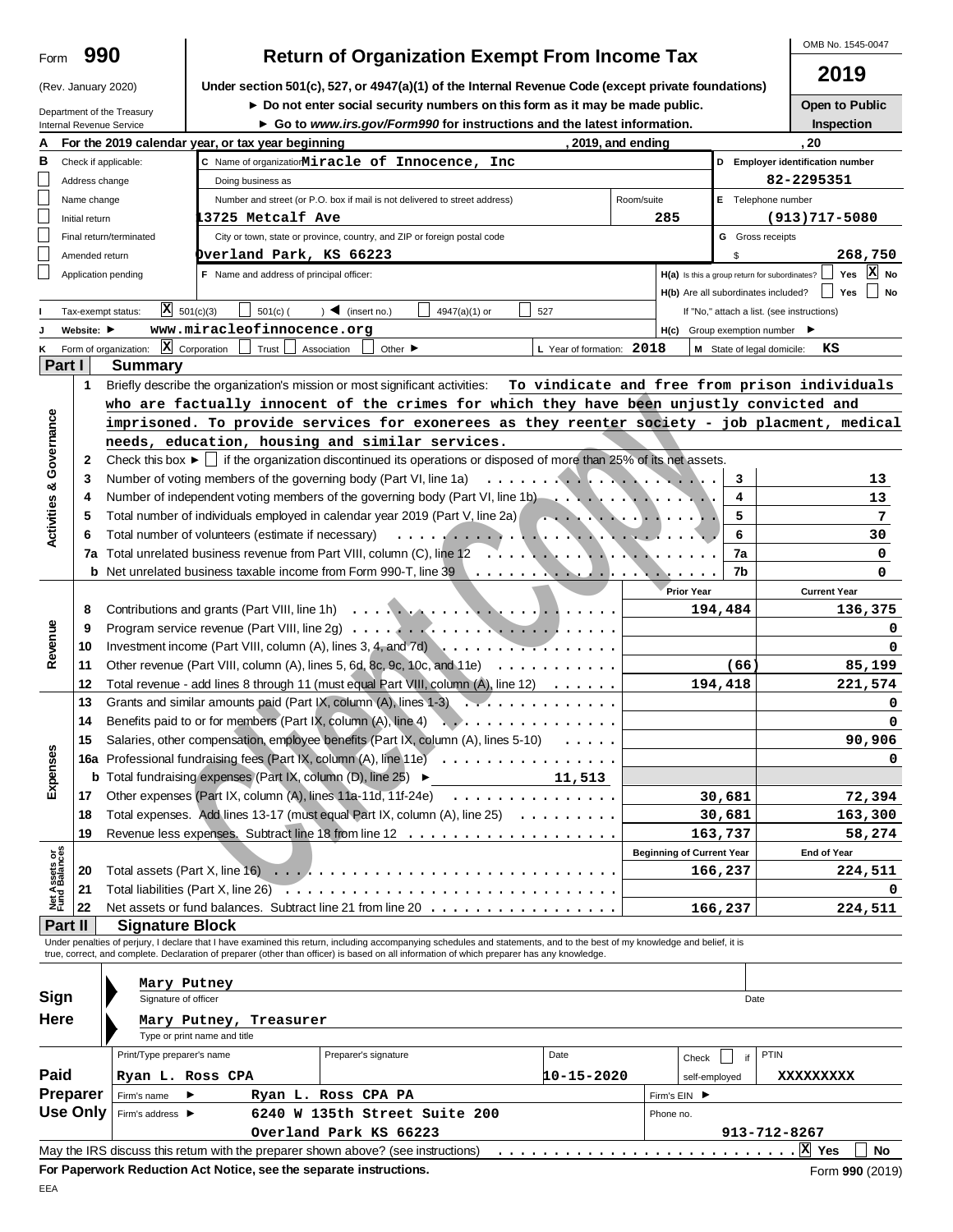| Form | 990 |
|------|-----|
|------|-----|

OMB No. 1545-0047

**2019**

|                                | (Rev. January 2020) |                                       |                                                                               | Under section 501(c), 527, or 4947(a)(1) of the Internal Revenue Code (except private foundations)                                                                                                                                                                                                                       |                           |                                  |                                                     | ∠ ∪ ⊿                                         |
|--------------------------------|---------------------|---------------------------------------|-------------------------------------------------------------------------------|--------------------------------------------------------------------------------------------------------------------------------------------------------------------------------------------------------------------------------------------------------------------------------------------------------------------------|---------------------------|----------------------------------|-----------------------------------------------------|-----------------------------------------------|
| Department of the Treasury     |                     |                                       | ► Do not enter social security numbers on this form as it may be made public. |                                                                                                                                                                                                                                                                                                                          | <b>Open to Public</b>     |                                  |                                                     |                                               |
|                                |                     | Internal Revenue Service              |                                                                               | ► Go to www.irs.gov/Form990 for instructions and the latest information.                                                                                                                                                                                                                                                 |                           |                                  |                                                     | Inspection                                    |
|                                |                     |                                       | For the 2019 calendar year, or tax year beginning                             |                                                                                                                                                                                                                                                                                                                          |                           | , 2019, and ending               |                                                     | . 20                                          |
| В                              |                     | Check if applicable:                  |                                                                               | C Name of organizatiorMiracle of Innocence, Inc                                                                                                                                                                                                                                                                          |                           |                                  |                                                     | D Employer identification number              |
|                                | Address change      |                                       | Doing business as                                                             |                                                                                                                                                                                                                                                                                                                          |                           |                                  |                                                     | 82-2295351                                    |
|                                | Name change         |                                       |                                                                               | Number and street (or P.O. box if mail is not delivered to street address)                                                                                                                                                                                                                                               |                           | Room/suite                       | E Telephone number                                  |                                               |
|                                | Initial return      |                                       | 3725 Metcalf Ave                                                              |                                                                                                                                                                                                                                                                                                                          |                           | 285                              |                                                     | $(913)717 - 5080$                             |
|                                |                     | Final return/terminated               |                                                                               | City or town, state or province, country, and ZIP or foreign postal code                                                                                                                                                                                                                                                 |                           |                                  | <b>G</b> Gross receipts                             |                                               |
|                                | Amended return      |                                       | Dverland Park, KS 66223                                                       |                                                                                                                                                                                                                                                                                                                          |                           |                                  | \$                                                  | 268,750                                       |
|                                |                     | Application pending                   | F Name and address of principal officer:                                      |                                                                                                                                                                                                                                                                                                                          |                           |                                  | H(a) Is this a group return for subordinates?       | X No<br>Yes                                   |
|                                |                     |                                       |                                                                               |                                                                                                                                                                                                                                                                                                                          |                           |                                  | H(b) Are all subordinates included?                 | Yes<br>  No                                   |
|                                |                     | $X = 501(c)(3)$                       |                                                                               |                                                                                                                                                                                                                                                                                                                          |                           |                                  |                                                     |                                               |
|                                |                     | Tax-exempt status:                    | $501(c)$ (                                                                    | $)$ (insert no.)<br>4947(a)(1) or                                                                                                                                                                                                                                                                                        | 527                       |                                  | If "No," attach a list. (see instructions)          |                                               |
|                                | Website: ▶          |                                       | www.miracleofinnocence.org                                                    |                                                                                                                                                                                                                                                                                                                          |                           |                                  | $H(c)$ Group exemption number $\blacktriangleright$ |                                               |
| ĸ                              |                     | Form of organization: $X$ Corporation | Trust                                                                         | Association<br>Other $\blacktriangleright$                                                                                                                                                                                                                                                                               | L Year of formation: 2018 |                                  | M State of legal domicile:                          | кs                                            |
| Part I                         |                     | Summary                               |                                                                               |                                                                                                                                                                                                                                                                                                                          |                           |                                  |                                                     |                                               |
|                                | 1                   |                                       |                                                                               | Briefly describe the organization's mission or most significant activities:                                                                                                                                                                                                                                              |                           |                                  |                                                     | To vindicate and free from prison individuals |
|                                |                     |                                       |                                                                               | who are factually innocent of the crimes for which they have been unjustly convicted and                                                                                                                                                                                                                                 |                           |                                  |                                                     |                                               |
|                                |                     |                                       |                                                                               | imprisoned. To provide services for exonerees as they reenter society - job placment, medical                                                                                                                                                                                                                            |                           |                                  |                                                     |                                               |
| Activities & Governance        |                     |                                       |                                                                               | needs, education, housing and similar services.                                                                                                                                                                                                                                                                          |                           |                                  |                                                     |                                               |
|                                | 2                   |                                       |                                                                               | Check this box $\blacktriangleright \Box$ if the organization discontinued its operations or disposed of more than 25% of its net assets.                                                                                                                                                                                |                           |                                  |                                                     |                                               |
|                                | 3                   |                                       |                                                                               | Number of voting members of the governing body (Part VI, line 1a)                                                                                                                                                                                                                                                        |                           |                                  | 3                                                   | 13                                            |
|                                |                     |                                       |                                                                               | Number of independent voting members of the governing body (Part VI, line 1b)                                                                                                                                                                                                                                            |                           |                                  | 4                                                   | 13                                            |
|                                |                     |                                       |                                                                               | Total number of individuals employed in calendar year 2019 (Part V, line 2a)                                                                                                                                                                                                                                             |                           |                                  | 5                                                   | 7                                             |
|                                |                     |                                       |                                                                               |                                                                                                                                                                                                                                                                                                                          |                           | . <i>.</i>                       | 6                                                   | 30                                            |
|                                | 7a                  |                                       |                                                                               | Total unrelated business revenue from Part VIII, column (C), line 12                                                                                                                                                                                                                                                     |                           |                                  | 7a                                                  | 0                                             |
|                                |                     |                                       |                                                                               |                                                                                                                                                                                                                                                                                                                          |                           |                                  | 7b                                                  | 0                                             |
|                                |                     |                                       |                                                                               |                                                                                                                                                                                                                                                                                                                          |                           | <b>Prior Year</b>                |                                                     | <b>Current Year</b>                           |
|                                | 8                   |                                       |                                                                               |                                                                                                                                                                                                                                                                                                                          |                           |                                  | 194,484                                             | 136,375                                       |
|                                | 9                   |                                       |                                                                               |                                                                                                                                                                                                                                                                                                                          |                           |                                  |                                                     |                                               |
| Revenue                        | 10                  |                                       |                                                                               | Investment income (Part VIII, column (A), lines $3, 4$ , and $\overline{7d}$                                                                                                                                                                                                                                             |                           |                                  |                                                     |                                               |
|                                | 11                  |                                       |                                                                               | Other revenue (Part VIII, column (A), lines 5, 6d, 8c, 9c, 10c, and 11e) $\ldots \ldots \ldots$                                                                                                                                                                                                                          |                           |                                  | (66                                                 | 85,199                                        |
|                                | 12                  |                                       |                                                                               | Total revenue - add lines 8 through 11 (must equal Part VIII, column (A), line 12)                                                                                                                                                                                                                                       |                           | 194,418                          | 221,574                                             |                                               |
|                                | 13                  |                                       |                                                                               | Grants and similar amounts paid (Part IX, column (A), lines $1-3$                                                                                                                                                                                                                                                        |                           |                                  |                                                     |                                               |
|                                | 14                  |                                       | Benefits paid to or for members (Part IX, column (A), line 4)                 |                                                                                                                                                                                                                                                                                                                          |                           |                                  |                                                     | 0                                             |
|                                |                     |                                       |                                                                               |                                                                                                                                                                                                                                                                                                                          | .                         |                                  |                                                     |                                               |
| Ŵ                              | 15                  |                                       |                                                                               | Salaries, other compensation, employee benefits (Part IX, column (A), lines 5-10)                                                                                                                                                                                                                                        | $\cdots$                  |                                  |                                                     | 90,906                                        |
| Expenses                       |                     |                                       |                                                                               | 16a Professional fundraising fees (Part IX, column (A), line 11e)                                                                                                                                                                                                                                                        |                           |                                  |                                                     | 0                                             |
|                                |                     |                                       |                                                                               | <b>b</b> Total fundraising expenses (Part IX, column (D), line 25) $\blacktriangleright$                                                                                                                                                                                                                                 | 11,513                    |                                  |                                                     |                                               |
|                                | 17                  |                                       |                                                                               | Other expenses (Part IX, column (A), lines 11a-11d, 11f-24e)                                                                                                                                                                                                                                                             |                           |                                  | 30,681                                              | 72,394                                        |
|                                | 18                  |                                       |                                                                               | Total expenses. Add lines 13-17 (must equal Part IX, column (A), line 25)                                                                                                                                                                                                                                                |                           |                                  | 30,681                                              | 163,300                                       |
|                                | 19                  |                                       |                                                                               |                                                                                                                                                                                                                                                                                                                          |                           |                                  | 163,737                                             | 58,274                                        |
| Net Assets or<br>Fund Balances |                     |                                       |                                                                               |                                                                                                                                                                                                                                                                                                                          |                           | <b>Beginning of Current Year</b> |                                                     | End of Year                                   |
|                                | 20                  |                                       |                                                                               |                                                                                                                                                                                                                                                                                                                          |                           |                                  | 166,237                                             | 224,511                                       |
|                                | 21                  |                                       |                                                                               |                                                                                                                                                                                                                                                                                                                          |                           |                                  |                                                     | 0                                             |
|                                | 22                  |                                       |                                                                               | Net assets or fund balances. Subtract line 21 from line 20                                                                                                                                                                                                                                                               |                           |                                  | 166,237                                             | 224,511                                       |
| Part II                        |                     | <b>Signature Block</b>                |                                                                               |                                                                                                                                                                                                                                                                                                                          |                           |                                  |                                                     |                                               |
|                                |                     |                                       |                                                                               | Under penalties of perjury, I declare that I have examined this return, including accompanying schedules and statements, and to the best of my knowledge and belief, it is<br>true, correct, and complete. Declaration of preparer (other than officer) is based on all information of which preparer has any knowledge. |                           |                                  |                                                     |                                               |
|                                |                     |                                       |                                                                               |                                                                                                                                                                                                                                                                                                                          |                           |                                  |                                                     |                                               |
|                                |                     | Mary Putney                           |                                                                               |                                                                                                                                                                                                                                                                                                                          |                           |                                  |                                                     |                                               |
| Sign                           |                     | Signature of officer                  |                                                                               |                                                                                                                                                                                                                                                                                                                          |                           |                                  | Date                                                |                                               |
| Here                           |                     |                                       | Mary Putney, Treasurer                                                        |                                                                                                                                                                                                                                                                                                                          |                           |                                  |                                                     |                                               |
|                                |                     |                                       | Type or print name and title                                                  |                                                                                                                                                                                                                                                                                                                          |                           |                                  |                                                     |                                               |
|                                |                     | Print/Type preparer's name            |                                                                               | Preparer's signature                                                                                                                                                                                                                                                                                                     | Date                      | Check                            | <b>PTIN</b><br>if                                   |                                               |
| Paid                           |                     | Ryan L. Ross CPA                      |                                                                               |                                                                                                                                                                                                                                                                                                                          | 10-15-2020                |                                  | self-employed                                       | xxxxxxxxx                                     |
| Preparer                       |                     | Firm's name<br>▶                      |                                                                               | Ryan L. Ross CPA PA                                                                                                                                                                                                                                                                                                      |                           | Firm's EIN ▶                     |                                                     |                                               |
| Use Only                       |                     | Firm's address ▶                      |                                                                               | 6240 W 135th Street Suite 200                                                                                                                                                                                                                                                                                            |                           | Phone no.                        |                                                     |                                               |
|                                |                     |                                       |                                                                               |                                                                                                                                                                                                                                                                                                                          |                           |                                  |                                                     |                                               |
|                                |                     |                                       |                                                                               | Overland Park KS 66223<br>May the IRS discuss this retum with the preparer shown above? (see instructions)                                                                                                                                                                                                               |                           |                                  | 913-712-8267                                        | X Yes<br>No                                   |
|                                |                     |                                       | For Paperwork Reduction Act Notice, see the separate instructions.            |                                                                                                                                                                                                                                                                                                                          |                           |                                  |                                                     |                                               |
|                                |                     |                                       |                                                                               |                                                                                                                                                                                                                                                                                                                          |                           |                                  |                                                     | Form 990 (2019)                               |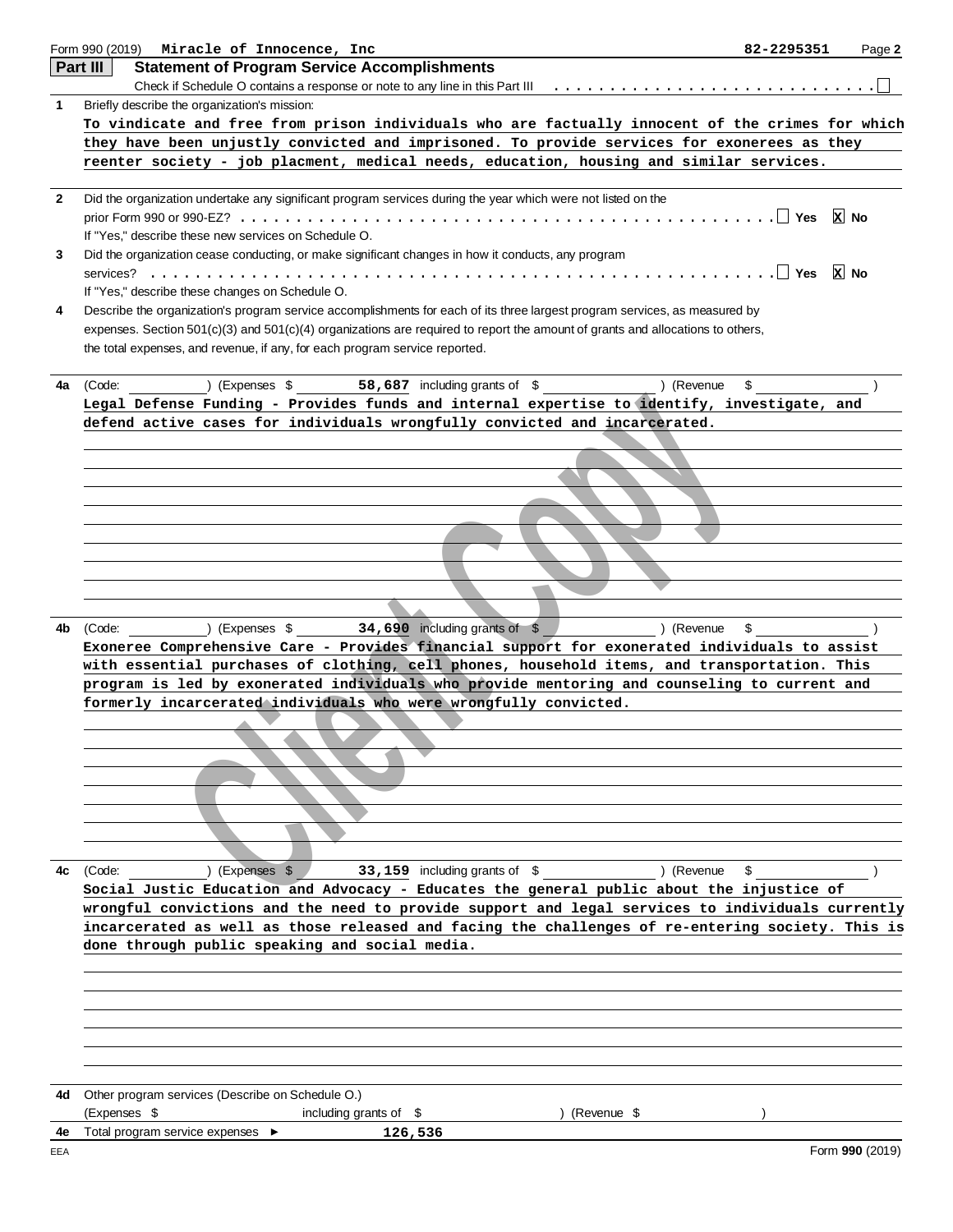|              | Form 990 (2019)<br>Miracle of Innocence, Inc                                                                                   | 82-2295351 | Page 2          |
|--------------|--------------------------------------------------------------------------------------------------------------------------------|------------|-----------------|
|              | Part III<br><b>Statement of Program Service Accomplishments</b>                                                                |            |                 |
|              | Check if Schedule O contains a response or note to any line in this Part III $\dots \dots \dots \dots \dots \dots \dots \dots$ |            |                 |
| 1            | Briefly describe the organization's mission:                                                                                   |            |                 |
|              | To vindicate and free from prison individuals who are factually innocent of the crimes for which                               |            |                 |
|              | they have been unjustly convicted and imprisoned. To provide services for exonerees as they                                    |            |                 |
|              | reenter society - job placment, medical needs, education, housing and similar services.                                        |            |                 |
|              |                                                                                                                                |            |                 |
| $\mathbf{2}$ | Did the organization undertake any significant program services during the year which were not listed on the                   |            |                 |
|              |                                                                                                                                | ∣ Yes      | x <br>No        |
|              | If "Yes," describe these new services on Schedule O.                                                                           |            |                 |
| 3            | Did the organization cease conducting, or make significant changes in how it conducts, any program                             |            |                 |
|              |                                                                                                                                | ∣ Yes      | $x$ No          |
|              | If "Yes," describe these changes on Schedule O.                                                                                |            |                 |
| 4            | Describe the organization's program service accomplishments for each of its three largest program services, as measured by     |            |                 |
|              | expenses. Section 501(c)(3) and 501(c)(4) organizations are required to report the amount of grants and allocations to others, |            |                 |
|              | the total expenses, and revenue, if any, for each program service reported.                                                    |            |                 |
|              |                                                                                                                                |            |                 |
| 4a           | 58,687 including grants of \$ (Revenue<br>(Code:<br>$(Expenses \$                                                              | \$         |                 |
|              | Legal Defense Funding - Provides funds and internal expertise to identify, investigate, and                                    |            |                 |
|              | defend active cases for individuals wrongfully convicted and incarcerated.                                                     |            |                 |
|              |                                                                                                                                |            |                 |
|              |                                                                                                                                |            |                 |
|              |                                                                                                                                |            |                 |
|              |                                                                                                                                |            |                 |
|              |                                                                                                                                |            |                 |
|              |                                                                                                                                |            |                 |
|              |                                                                                                                                |            |                 |
|              |                                                                                                                                |            |                 |
|              |                                                                                                                                |            |                 |
|              |                                                                                                                                |            |                 |
| 4b           | ) (Expenses $$34,690$ including grants of $$$<br>) (Revenue<br>(Code:                                                          | \$         |                 |
|              | Exoneree Comprehensive Care - Provides financial support for exonerated individuals to assist                                  |            |                 |
|              | with essential purchases of clothing, cell phones, household items, and transportation. This                                   |            |                 |
|              | program is led by exonerated individuals who provide mentoring and counseling to current and                                   |            |                 |
|              | formerly incarcerated individuals who were wrongfully convicted.                                                               |            |                 |
|              |                                                                                                                                |            |                 |
|              |                                                                                                                                |            |                 |
|              |                                                                                                                                |            |                 |
|              |                                                                                                                                |            |                 |
|              |                                                                                                                                |            |                 |
|              |                                                                                                                                |            |                 |
|              |                                                                                                                                |            |                 |
|              |                                                                                                                                |            |                 |
| 4c           | ) (Expenses \$<br>33,159 including grants of \$<br>) (Revenue<br>(Code:                                                        | \$         |                 |
|              | Social Justic Education and Advocacy - Educates the general public about the injustice of                                      |            |                 |
|              | wrongful convictions and the need to provide support and legal services to individuals currently                               |            |                 |
|              | incarcerated as well as those released and facing the challenges of re-entering society. This is                               |            |                 |
|              | done through public speaking and social media.                                                                                 |            |                 |
|              |                                                                                                                                |            |                 |
|              |                                                                                                                                |            |                 |
|              |                                                                                                                                |            |                 |
|              |                                                                                                                                |            |                 |
|              |                                                                                                                                |            |                 |
|              |                                                                                                                                |            |                 |
|              |                                                                                                                                |            |                 |
| 4d           | Other program services (Describe on Schedule O.)                                                                               |            |                 |
|              | (Expenses \$<br>including grants of \$<br>) (Revenue \$                                                                        |            |                 |
| 4e           | Total program service expenses ▶<br>126,536                                                                                    |            |                 |
| EEA          |                                                                                                                                |            | Form 990 (2019) |
|              |                                                                                                                                |            |                 |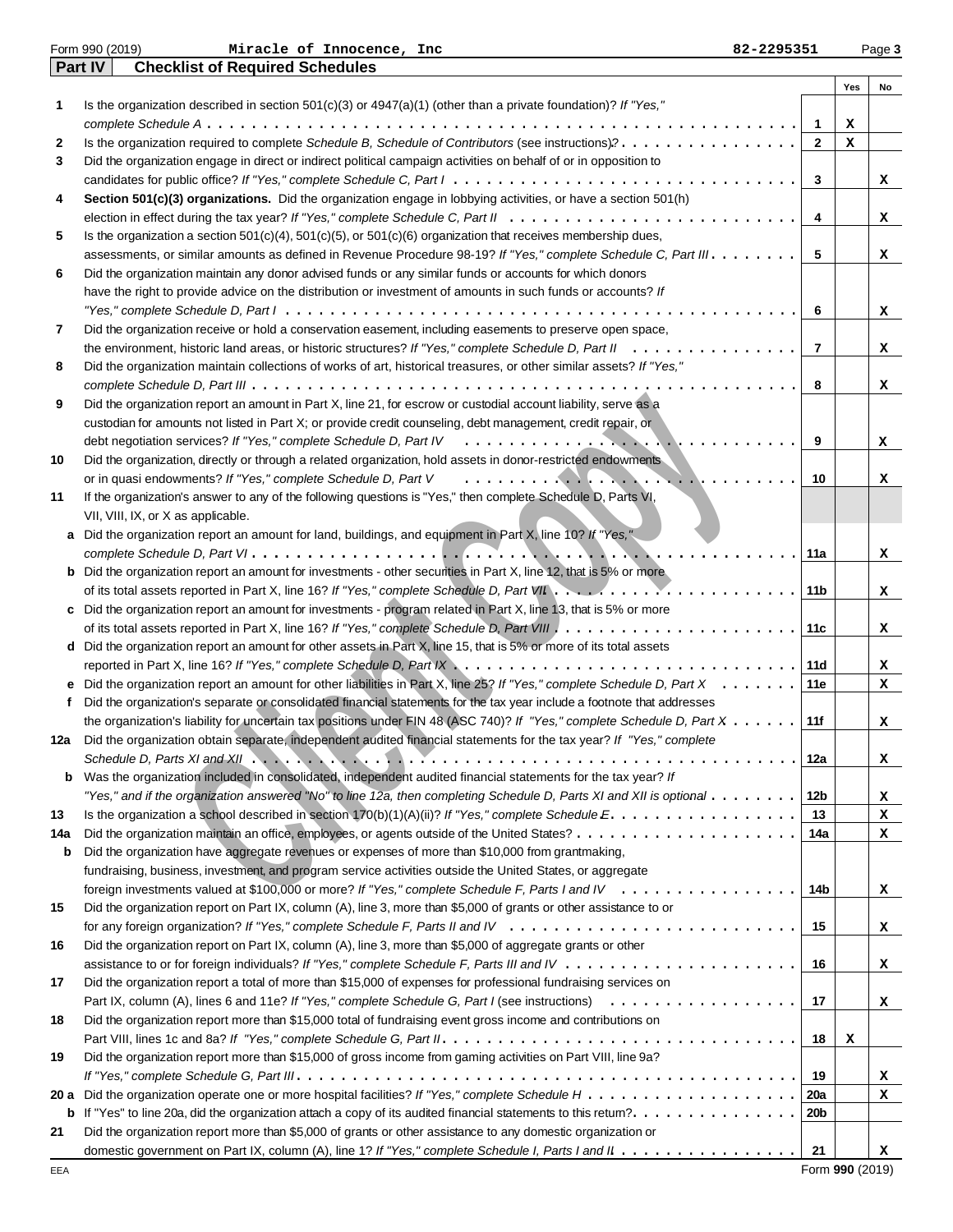|           | Part IV<br><b>Checklist of Required Schedules</b>                                                                                                                                                             |                  |     |    |  |  |  |  |
|-----------|---------------------------------------------------------------------------------------------------------------------------------------------------------------------------------------------------------------|------------------|-----|----|--|--|--|--|
|           |                                                                                                                                                                                                               |                  | Yes | No |  |  |  |  |
| 1         | Is the organization described in section $501(c)(3)$ or $4947(a)(1)$ (other than a private foundation)? If "Yes,"                                                                                             |                  |     |    |  |  |  |  |
|           |                                                                                                                                                                                                               | $\mathbf{1}$     | х   |    |  |  |  |  |
| 2         | Is the organization required to complete Schedule B, Schedule of Contributors (see instructions)?                                                                                                             | $\mathbf{2}$     | х   |    |  |  |  |  |
| 3         | Did the organization engage in direct or indirect political campaign activities on behalf of or in opposition to                                                                                              | 3                |     |    |  |  |  |  |
|           |                                                                                                                                                                                                               |                  |     |    |  |  |  |  |
| 4         | Section 501(c)(3) organizations. Did the organization engage in lobbying activities, or have a section 501(h)                                                                                                 |                  |     |    |  |  |  |  |
|           |                                                                                                                                                                                                               | 4                |     | x  |  |  |  |  |
| 5         | Is the organization a section $501(c)(4)$ , $501(c)(5)$ , or $501(c)(6)$ organization that receives membership dues,                                                                                          |                  |     |    |  |  |  |  |
|           | assessments, or similar amounts as defined in Revenue Procedure 98-19? If "Yes," complete Schedule C, Part III.                                                                                               | 5                |     | x  |  |  |  |  |
| 6         | Did the organization maintain any donor advised funds or any similar funds or accounts for which donors                                                                                                       |                  |     |    |  |  |  |  |
|           | have the right to provide advice on the distribution or investment of amounts in such funds or accounts? If                                                                                                   |                  |     |    |  |  |  |  |
|           |                                                                                                                                                                                                               | 6                |     | x  |  |  |  |  |
| 7         | Did the organization receive or hold a conservation easement, including easements to preserve open space,                                                                                                     |                  |     |    |  |  |  |  |
|           | the environment, historic land areas, or historic structures? If "Yes," complete Schedule D, Part II                                                                                                          | $\overline{7}$   |     | x  |  |  |  |  |
| 8         | Did the organization maintain collections of works of art, historical treasures, or other similar assets? If "Yes,"                                                                                           |                  |     |    |  |  |  |  |
|           |                                                                                                                                                                                                               | 8                |     | x  |  |  |  |  |
| 9         | Did the organization report an amount in Part X, line 21, for escrow or custodial account liability, serve as a                                                                                               |                  |     |    |  |  |  |  |
|           | custodian for amounts not listed in Part X; or provide credit counseling, debt management, credit repair, or                                                                                                  |                  |     |    |  |  |  |  |
|           | debt negotiation services? If "Yes," complete Schedule D, Part IV                                                                                                                                             | 9                |     | x  |  |  |  |  |
| 10        | Did the organization, directly or through a related organization, hold assets in donor-restricted endowments                                                                                                  |                  |     |    |  |  |  |  |
|           | or in quasi endowments? If "Yes," complete Schedule D, Part V                                                                                                                                                 | 10               |     | x  |  |  |  |  |
| 11        | If the organization's answer to any of the following questions is "Yes," then complete Schedule D, Parts VI,                                                                                                  |                  |     |    |  |  |  |  |
|           | VII, VIII, IX, or X as applicable.                                                                                                                                                                            |                  |     |    |  |  |  |  |
| a         | Did the organization report an amount for land, buildings, and equipment in Part X, line 10? If "Yes,"                                                                                                        |                  |     |    |  |  |  |  |
|           |                                                                                                                                                                                                               | 11a              |     | x  |  |  |  |  |
|           | <b>b</b> Did the organization report an amount for investments - other securities in Part X, line 12, that is 5% or more                                                                                      |                  |     |    |  |  |  |  |
|           | of its total assets reported in Part X, line 16? If "Yes," complete Schedule D, Part VII<br>.                                                                                                                 | 11 <sub>b</sub>  |     | x  |  |  |  |  |
| c         | Did the organization report an amount for investments - program related in Part X, line 13, that is 5% or more                                                                                                |                  |     |    |  |  |  |  |
|           |                                                                                                                                                                                                               | 11c              |     | x  |  |  |  |  |
|           | d Did the organization report an amount for other assets in Part X, line 15, that is 5% or more of its total assets                                                                                           |                  |     |    |  |  |  |  |
|           | reported in Part X, line 16? If "Yes," complete Schedule D, Part IX $\ldots \ldots \ldots \ldots \ldots \ldots \ldots \ldots \ldots \ldots \ldots \ldots$                                                     | 11d              |     | x  |  |  |  |  |
|           | e Did the organization report an amount for other liabilities in Part X, line 25? If "Yes," complete Schedule D, Part X                                                                                       | 11e              |     | x  |  |  |  |  |
| f         | Did the organization's separate or consolidated financial statements for the tax year include a footnote that addresses                                                                                       |                  |     |    |  |  |  |  |
|           | the organization's liability for uncertain tax positions under FIN 48 (ASC 740)? If "Yes," complete Schedule D, Part X                                                                                        | 11f              |     | x  |  |  |  |  |
| 12a       | Did the organization obtain separate, independent audited financial statements for the tax year? If "Yes," complete                                                                                           |                  |     |    |  |  |  |  |
|           | Schedule D, Parts XI and XII $\ldots$ , $\ldots$ , $\ldots$ , $\ldots$ , $\ldots$ , $\ldots$ , $\ldots$ , $\ldots$ , $\ldots$ , $\ldots$ , $\ldots$<br>.                                                      | 12a              |     | x  |  |  |  |  |
| b         | Was the organization included in consolidated, independent audited financial statements for the tax year? If                                                                                                  |                  |     |    |  |  |  |  |
|           | "Yes," and if the organization answered "No" to line 12a, then completing Schedule D, Parts XI and XII is optional $\ldots\ldots\ldots$                                                                       | 12b              |     | x  |  |  |  |  |
| 13        | Is the organization a school described in section 170(b)(1)(A)(ii)? If "Yes," complete Schedule $E_1, \ldots, \ldots, \ldots, \ldots, \ldots$                                                                 | 13               |     | x  |  |  |  |  |
| 14a       |                                                                                                                                                                                                               | 14a              |     | х  |  |  |  |  |
| b         | Did the organization have aggregate revenues or expenses of more than \$10,000 from grantmaking,<br>fundraising, business, investment, and program service activities outside the United States, or aggregate |                  |     |    |  |  |  |  |
|           | foreign investments valued at \$100,000 or more? If "Yes," complete Schedule F, Parts I and IV $\ldots \ldots \ldots \ldots$                                                                                  | 14b              |     |    |  |  |  |  |
| 15        | Did the organization report on Part IX, column (A), line 3, more than \$5,000 of grants or other assistance to or                                                                                             |                  |     | x  |  |  |  |  |
|           |                                                                                                                                                                                                               | 15               |     |    |  |  |  |  |
| 16        | Did the organization report on Part IX, column (A), line 3, more than \$5,000 of aggregate grants or other                                                                                                    |                  |     | x  |  |  |  |  |
|           |                                                                                                                                                                                                               | 16               |     |    |  |  |  |  |
| 17        | Did the organization report a total of more than \$15,000 of expenses for professional fundraising services on                                                                                                |                  |     | х  |  |  |  |  |
|           |                                                                                                                                                                                                               |                  |     |    |  |  |  |  |
|           | Part IX, column (A), lines 6 and 11e? If "Yes," complete Schedule G, Part I (see instructions)<br>Did the organization report more than \$15,000 total of fundraising event gross income and contributions on | 17               |     | x  |  |  |  |  |
| 18        |                                                                                                                                                                                                               |                  |     |    |  |  |  |  |
|           | Did the organization report more than \$15,000 of gross income from gaming activities on Part VIII, line 9a?                                                                                                  | 18               | х   |    |  |  |  |  |
| 19        |                                                                                                                                                                                                               |                  |     |    |  |  |  |  |
|           |                                                                                                                                                                                                               | 19<br><b>20a</b> |     | x  |  |  |  |  |
| 20 a<br>b |                                                                                                                                                                                                               | 20b              |     | x  |  |  |  |  |
| 21        | Did the organization report more than \$5,000 of grants or other assistance to any domestic organization or                                                                                                   |                  |     |    |  |  |  |  |
|           | domestic government on Part IX, column (A), line 1? If "Yes," complete Schedule I, Parts I and II                                                                                                             | 21               |     |    |  |  |  |  |
|           |                                                                                                                                                                                                               |                  |     | x  |  |  |  |  |

Form 990 (2019) Page **3 Miracle of Innocence, Inc 82-2295351**

Form **990** (2019)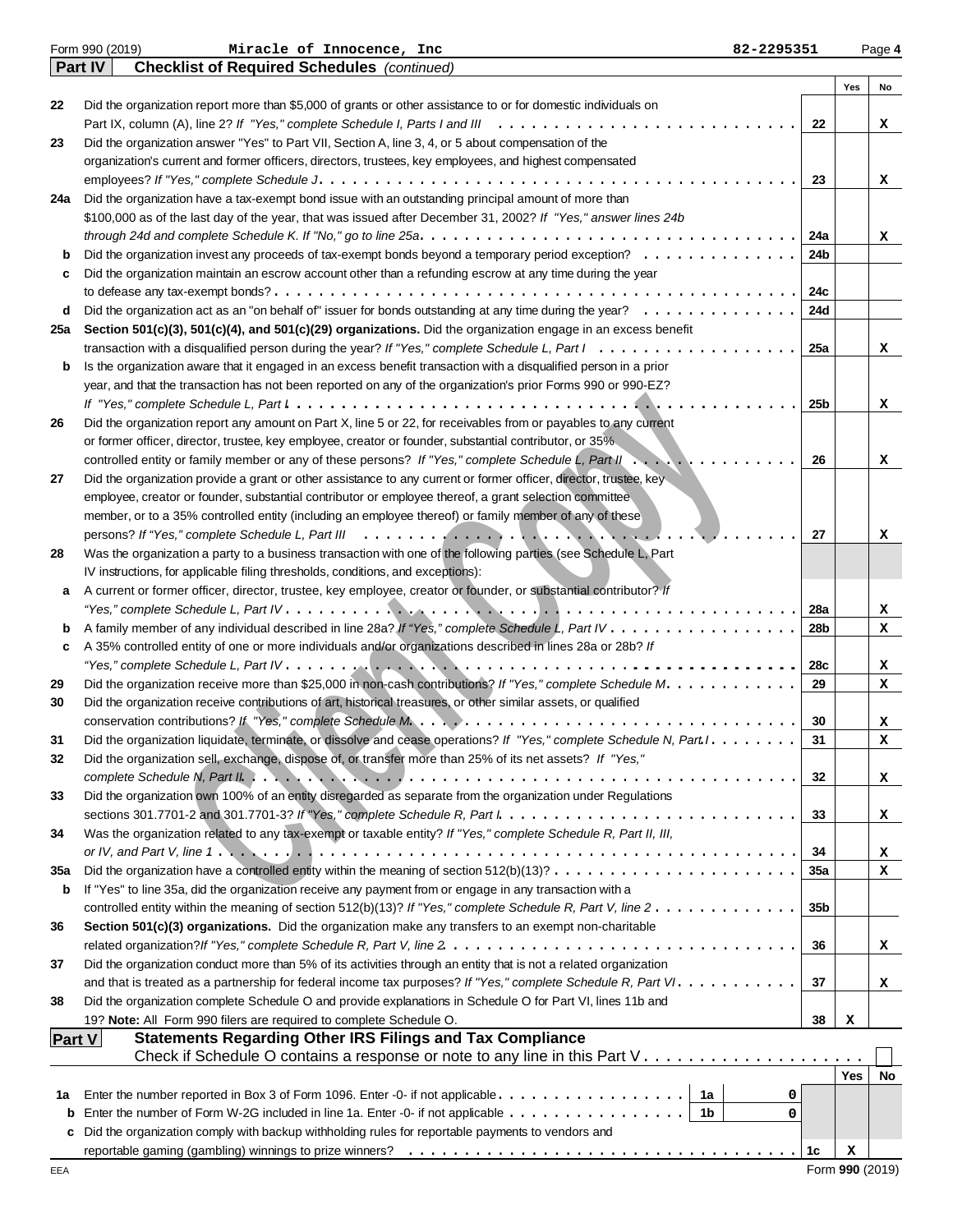|               | Form 990 (2019)<br>Miracle of Innocence, Inc<br>82-2295351                                                                                                                               |                 |            | Page 4 |
|---------------|------------------------------------------------------------------------------------------------------------------------------------------------------------------------------------------|-----------------|------------|--------|
|               | <b>Part IV</b><br><b>Checklist of Required Schedules</b> (continued)                                                                                                                     |                 |            |        |
|               |                                                                                                                                                                                          |                 | Yes        | No     |
| 22            | Did the organization report more than \$5,000 of grants or other assistance to or for domestic individuals on                                                                            |                 |            |        |
|               |                                                                                                                                                                                          | 22              |            | x      |
| 23            | Did the organization answer "Yes" to Part VII, Section A, line 3, 4, or 5 about compensation of the                                                                                      |                 |            |        |
|               | organization's current and former officers, directors, trustees, key employees, and highest compensated                                                                                  |                 |            |        |
|               |                                                                                                                                                                                          | 23              |            | x      |
| 24a           | Did the organization have a tax-exempt bond issue with an outstanding principal amount of more than                                                                                      |                 |            |        |
|               | \$100,000 as of the last day of the year, that was issued after December 31, 2002? If "Yes," answer lines 24b                                                                            |                 |            |        |
|               |                                                                                                                                                                                          | 24a             |            | x      |
| b             | Did the organization invest any proceeds of tax-exempt bonds beyond a temporary period exception?                                                                                        | 24b             |            |        |
| c             | Did the organization maintain an escrow account other than a refunding escrow at any time during the year                                                                                |                 |            |        |
|               |                                                                                                                                                                                          | 24c             |            |        |
| d             | Did the organization act as an "on behalf of" issuer for bonds outstanding at any time during the year?                                                                                  | 24d             |            |        |
| 25a           | Section 501(c)(3), 501(c)(4), and 501(c)(29) organizations. Did the organization engage in an excess benefit                                                                             |                 |            |        |
|               | transaction with a disqualified person during the year? If "Yes," complete Schedule L, Part $1, \ldots, \ldots, \ldots, \ldots, \ldots, \ldots$                                          | 25a             |            | x      |
| b             | Is the organization aware that it engaged in an excess benefit transaction with a disqualified person in a prior                                                                         |                 |            |        |
|               | year, and that the transaction has not been reported on any of the organization's prior Forms 990 or 990-EZ?                                                                             |                 |            |        |
|               |                                                                                                                                                                                          | 25b             |            | x      |
| 26            | Did the organization report any amount on Part X, line 5 or 22, for receivables from or payables to any current                                                                          |                 |            |        |
|               | or former officer, director, trustee, key employee, creator or founder, substantial contributor, or 35%                                                                                  |                 |            |        |
|               | controlled entity or family member or any of these persons? If "Yes," complete Schedule L, Part II                                                                                       | 26              |            | x      |
| 27            | Did the organization provide a grant or other assistance to any current or former officer, director, trustee, key                                                                        |                 |            |        |
|               | employee, creator or founder, substantial contributor or employee thereof, a grant selection committee                                                                                   |                 |            |        |
|               | member, or to a 35% controlled entity (including an employee thereof) or family member of any of these                                                                                   |                 |            |        |
|               |                                                                                                                                                                                          | 27              |            | x      |
| 28            | Was the organization a party to a business transaction with one of the following parties (see Schedule L, Part                                                                           |                 |            |        |
|               | IV instructions, for applicable filing thresholds, conditions, and exceptions):                                                                                                          |                 |            |        |
| а             | A current or former officer, director, trustee, key employee, creator or founder, or substantial contributor? If                                                                         |                 |            |        |
|               |                                                                                                                                                                                          | 28a             |            | x      |
| b             |                                                                                                                                                                                          | 28b             |            | x      |
| c             | A 35% controlled entity of one or more individuals and/or organizations described in lines 28a or 28b? If                                                                                |                 |            |        |
|               |                                                                                                                                                                                          | 28c             |            | x      |
| 29            | Did the organization receive more than \$25,000 in non-cash contributions? If "Yes," complete Schedule M.                                                                                | 29              |            | x      |
| 30            | Did the organization receive contributions of art, historical treasures, or other similar assets, or qualified                                                                           |                 |            |        |
|               |                                                                                                                                                                                          | 30              |            | x      |
| 31            | Did the organization liquidate, terminate, or dissolve and cease operations? If "Yes," complete Schedule N, Part I. .                                                                    | 31              |            | x      |
| 32            | Did the organization sell, exchange, dispose of, or transfer more than 25% of its net assets? If "Yes,"                                                                                  |                 |            |        |
|               |                                                                                                                                                                                          | 32              |            | x      |
| 33            | Did the organization own 100% of an entity disregarded as separate from the organization under Regulations                                                                               |                 |            |        |
|               |                                                                                                                                                                                          | 33              |            | x      |
| 34            | Was the organization related to any tax-exempt or taxable entity? If "Yes," complete Schedule R, Part II, III,                                                                           |                 |            |        |
|               | or IV, and Part V, line 1. $\dots$ , $\dots$ , $\dots$ , $\dots$ , $\dots$ , $\dots$ , $\dots$ , $\dots$ , $\dots$ , $\dots$ , $\dots$ , $\dots$ , $\dots$ , $\dots$ , $\dots$ , $\dots$ | 34              |            | x      |
| 35a           | Did the organization have a controlled entity within the meaning of section $512(b)(13)? \ldots \ldots \ldots \ldots \ldots \ldots \ldots$                                               | <b>35a</b>      |            | x      |
| b             | If "Yes" to line 35a, did the organization receive any payment from or engage in any transaction with a                                                                                  |                 |            |        |
|               | controlled entity within the meaning of section 512(b)(13)? If "Yes," complete Schedule R, Part V, line 2.                                                                               | 35 <sub>b</sub> |            |        |
| 36            | Section 501(c)(3) organizations. Did the organization make any transfers to an exempt non-charitable                                                                                     |                 |            |        |
|               |                                                                                                                                                                                          | 36              |            | x      |
| 37            | Did the organization conduct more than 5% of its activities through an entity that is not a related organization                                                                         |                 |            |        |
|               | and that is treated as a partnership for federal income tax purposes? If "Yes," complete Schedule R, Part VI.                                                                            | 37              |            | x      |
| 38            | Did the organization complete Schedule O and provide explanations in Schedule O for Part VI, lines 11b and                                                                               |                 |            |        |
|               | 19? Note: All Form 990 filers are required to complete Schedule O.                                                                                                                       | 38              | х          |        |
| <b>Part V</b> | <b>Statements Regarding Other IRS Filings and Tax Compliance</b>                                                                                                                         |                 |            |        |
|               |                                                                                                                                                                                          |                 |            |        |
|               |                                                                                                                                                                                          |                 | <b>Yes</b> | No     |
| 1а            |                                                                                                                                                                                          | 0               |            |        |
|               | <b>b</b> Enter the number of Form W-2G included in line 1a. Enter -0- if not applicable $\dots \dots \dots \dots \dots$                                                                  | 0               |            |        |
|               | c Did the organization comply with backup withholding rules for reportable payments to vendors and                                                                                       |                 |            |        |
|               |                                                                                                                                                                                          | 1c              | x          |        |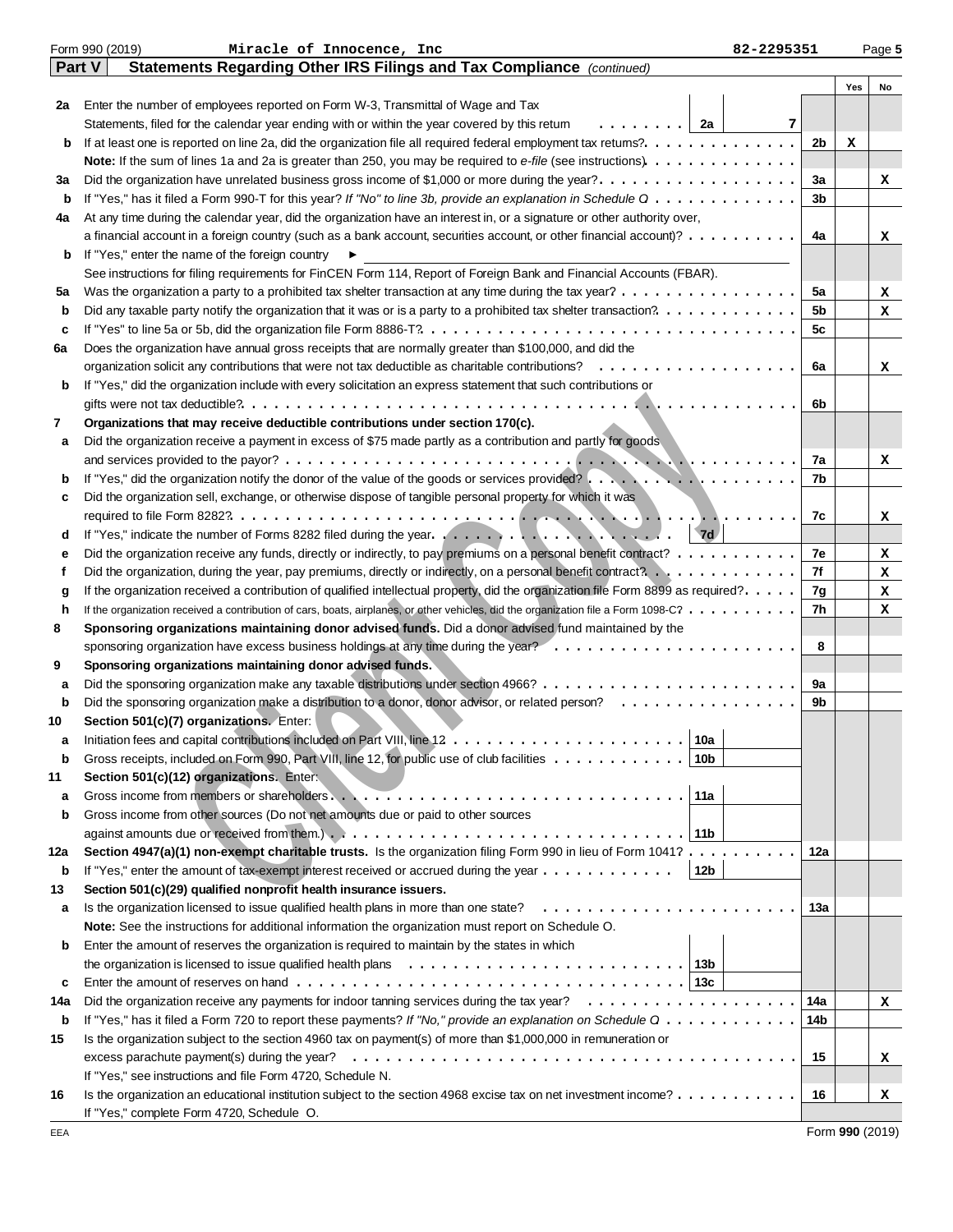|     | Form 990 (2019)<br>Miracle of Innocence, Inc                                                                                       | 82-2295351     |     | Page 5 |
|-----|------------------------------------------------------------------------------------------------------------------------------------|----------------|-----|--------|
|     | Statements Regarding Other IRS Filings and Tax Compliance (continued)<br>Part V                                                    |                |     |        |
|     |                                                                                                                                    |                | Yes | No     |
| 2a  | Enter the number of employees reported on Form W-3, Transmittal of Wage and Tax                                                    |                |     |        |
|     | . 1<br>Statements, filed for the calendar year ending with or within the year covered by this retum<br>2a                          | 7              |     |        |
| b   |                                                                                                                                    | 2 <sub>b</sub> | x   |        |
|     |                                                                                                                                    |                |     |        |
| За  | Did the organization have unrelated business gross income of \$1,000 or more during the year?                                      | За             |     | x      |
| b   | If "Yes," has it filed a Form 990-T for this year? If "No" to line 3b, provide an explanation in Schedule $0$                      | 3 <sub>b</sub> |     |        |
| 4a  | At any time during the calendar year, did the organization have an interest in, or a signature or other authority over,            |                |     |        |
|     | a financial account in a foreign country (such as a bank account, securities account, or other financial account)?                 | 4a             |     | x      |
| b   | If "Yes," enter the name of the foreign country                                                                                    |                |     |        |
|     | See instructions for filing requirements for FinCEN Form 114, Report of Foreign Bank and Financial Accounts (FBAR).                |                |     |        |
| 5a  | Was the organization a party to a prohibited tax shelter transaction at any time during the tax year?                              | 5a             |     | x      |
| b   |                                                                                                                                    | 5b             |     | x      |
| c   |                                                                                                                                    | 5c             |     |        |
| 6a  | Does the organization have annual gross receipts that are normally greater than \$100,000, and did the                             |                |     |        |
|     |                                                                                                                                    | 6a             |     | x      |
| b   | If "Yes," did the organization include with every solicitation an express statement that such contributions or                     |                |     |        |
|     |                                                                                                                                    | 6b             |     |        |
| 7   | Organizations that may receive deductible contributions under section 170(c).                                                      |                |     |        |
| а   | Did the organization receive a payment in excess of \$75 made partly as a contribution and partly for goods                        |                |     |        |
|     |                                                                                                                                    | 7a             |     | x      |
| b   | If "Yes," did the organization notify the donor of the value of the goods or services provided?                                    | 7b             |     |        |
| c   | Did the organization sell, exchange, or otherwise dispose of tangible personal property for which it was                           |                |     |        |
|     |                                                                                                                                    | 7c             |     | x      |
| d   | 7d                                                                                                                                 |                |     |        |
| е   | Did the organization receive any funds, directly or indirectly, to pay premiums on a personal benefit contract?                    | 7e             |     | x      |
| f   |                                                                                                                                    | 7f             |     | x      |
| g   | If the organization received a contribution of qualified intellectual property, did the organization file Form 8899 as required?.  | 7g             |     | x      |
| h   | If the organization received a contribution of cars, boats, airplanes, or other vehicles, did the organization file a Form 1098-C? | 7h             |     | x      |
| 8   | Sponsoring organizations maintaining donor advised funds. Did a donor advised fund maintained by the                               |                |     |        |
|     |                                                                                                                                    | 8              |     |        |
| 9   | Sponsoring organizations maintaining donor advised funds.                                                                          |                |     |        |
| а   |                                                                                                                                    | 9а             |     |        |
| b   |                                                                                                                                    | 9b             |     |        |
| 10  | Section 501(c)(7) organizations. Enter:                                                                                            |                |     |        |
|     | 10a $ $                                                                                                                            |                |     |        |
| b   | Gross receipts, included on Form 990, Part VIII, line 12, for public use of club facilities<br>10b                                 |                |     |        |
| 11  | Section 501(c)(12) organizations. Enter:                                                                                           |                |     |        |
| a   | 11a                                                                                                                                |                |     |        |
| b   | Gross income from other sources (Do not net amounts due or paid to other sources                                                   |                |     |        |
|     | 11b                                                                                                                                |                |     |        |
| 12a | Section 4947(a)(1) non-exempt charitable trusts. Is the organization filing Form 990 in lieu of Form 1041?                         | 12a            |     |        |
| b   | If "Yes," enter the amount of tax-exempt interest received or accrued during the year $\dots \dots \dots \dots$<br>12b             |                |     |        |
| 13  | Section 501(c)(29) qualified nonprofit health insurance issuers.                                                                   |                |     |        |
| a   | Is the organization licensed to issue qualified health plans in more than one state?                                               | 13а            |     |        |
|     | Note: See the instructions for additional information the organization must report on Schedule O.                                  |                |     |        |
| b   | Enter the amount of reserves the organization is required to maintain by the states in which                                       |                |     |        |
|     | the organization is licensed to issue qualified health plans $\ldots \ldots \ldots \ldots \ldots \ldots \ldots \ldots$<br>13b      |                |     |        |
| c   |                                                                                                                                    |                |     |        |
| 14a |                                                                                                                                    | 14a            |     | x      |
| b   | If "Yes," has it filed a Form 720 to report these payments? If "No," provide an explanation on Schedule Q                          | 14b            |     |        |
| 15  | Is the organization subject to the section 4960 tax on payment(s) of more than \$1,000,000 in remuneration or                      |                |     |        |
|     | excess parachute payment(s) during the year?                                                                                       | 15             |     | x      |
|     | If "Yes," see instructions and file Form 4720, Schedule N.                                                                         |                |     |        |
| 16  | Is the organization an educational institution subject to the section 4968 excise tax on net investment income?                    | 16             |     | x      |
|     | If "Yes," complete Form 4720, Schedule O.                                                                                          |                |     |        |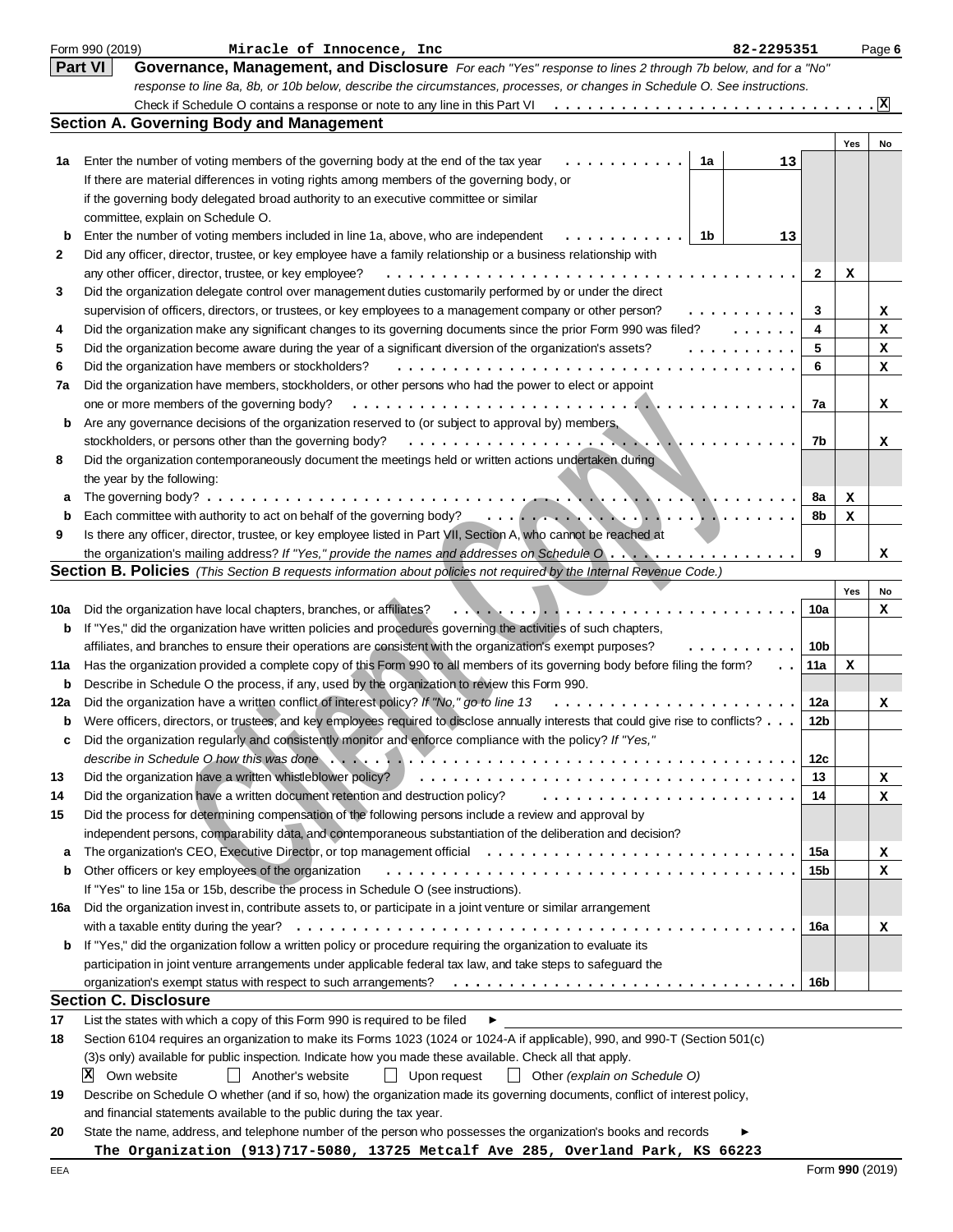|     | Form 990 (2019)<br>Miracle of Innocence, Inc<br>82-2295351                                                                                                                                                                                                   |     |     | Page 6          |
|-----|--------------------------------------------------------------------------------------------------------------------------------------------------------------------------------------------------------------------------------------------------------------|-----|-----|-----------------|
|     | Part VI<br>Governance, Management, and Disclosure For each "Yes" response to lines 2 through 7b below, and for a "No"                                                                                                                                        |     |     |                 |
|     | response to line 8a, 8b, or 10b below, describe the circumstances, processes, or changes in Schedule O. See instructions.                                                                                                                                    |     |     |                 |
|     |                                                                                                                                                                                                                                                              |     |     | $\vert x \vert$ |
|     | <b>Section A. Governing Body and Management</b>                                                                                                                                                                                                              |     |     |                 |
|     |                                                                                                                                                                                                                                                              |     | Yes | No              |
| 1а  | Enter the number of voting members of the governing body at the end of the tax year<br>1a<br>13                                                                                                                                                              |     |     |                 |
|     | If there are material differences in voting rights among members of the governing body, or                                                                                                                                                                   |     |     |                 |
|     | if the governing body delegated broad authority to an executive committee or similar                                                                                                                                                                         |     |     |                 |
|     | committee, explain on Schedule O.                                                                                                                                                                                                                            |     |     |                 |
| b   | Enter the number of voting members included in line 1a, above, who are independent<br>1b<br>13                                                                                                                                                               |     |     |                 |
| 2   | Did any officer, director, trustee, or key employee have a family relationship or a business relationship with                                                                                                                                               |     |     |                 |
|     | any other officer, director, trustee, or key employee?<br>.                                                                                                                                                                                                  | 2   | x   |                 |
| 3   | Did the organization delegate control over management duties customarily performed by or under the direct                                                                                                                                                    |     |     |                 |
|     | supervision of officers, directors, or trustees, or key employees to a management company or other person?<br>.                                                                                                                                              | 3   |     | x               |
| 4   | Did the organization make any significant changes to its governing documents since the prior Form 990 was filed?<br>1.1.1.1.1                                                                                                                                | 4   |     | x               |
| 5   | Did the organization become aware during the year of a significant diversion of the organization's assets?<br>.                                                                                                                                              | 5   |     | x               |
| 6   | Did the organization have members or stockholders?                                                                                                                                                                                                           | 6   |     | х               |
| 7a  | Did the organization have members, stockholders, or other persons who had the power to elect or appoint                                                                                                                                                      |     |     |                 |
|     | one or more members of the governing body?                                                                                                                                                                                                                   | 7a  |     | x               |
| b   | Are any governance decisions of the organization reserved to (or subject to approval by) members,                                                                                                                                                            |     |     |                 |
|     | stockholders, or persons other than the governing body?<br><b>There is a series</b>                                                                                                                                                                          | 7b  |     | x               |
| 8   | Did the organization contemporaneously document the meetings held or written actions undertaken during                                                                                                                                                       |     |     |                 |
|     | the year by the following:                                                                                                                                                                                                                                   |     |     |                 |
| а   | The governing body? $\ldots$<br><b>TAR ANTI ARTISTS AND ARTISTS AND THE RESIDENT</b>                                                                                                                                                                         | 8a  | х   |                 |
| b   |                                                                                                                                                                                                                                                              | 8b  | x   |                 |
| 9   | Is there any officer, director, trustee, or key employee listed in Part VII, Section A, who cannot be reached at                                                                                                                                             |     |     |                 |
|     | the organization's mailing address? If "Yes," provide the names and addresses on Schedule $0, \ldots, \ldots, \ldots, \ldots, \ldots$<br>Section B. Policies (This Section B requests information about policies not required by the Internal Revenue Code.) | 9   |     | x               |
|     |                                                                                                                                                                                                                                                              |     | Yes | No              |
| 10a | Did the organization have local chapters, branches, or affiliates?                                                                                                                                                                                           | 10a |     | x               |
| b   | If "Yes," did the organization have written policies and procedures governing the activities of such chapters,                                                                                                                                               |     |     |                 |
|     | affiliates, and branches to ensure their operations are consistent with the organization's exempt purposes?                                                                                                                                                  | 10b |     |                 |
| 11a | Has the organization provided a complete copy of this Form 990 to all members of its governing body before filing the form?<br>$\ddot{\phantom{1}}$                                                                                                          | 11a | x   |                 |
| b   | Describe in Schedule O the process, if any, used by the organization to review this Form 990.                                                                                                                                                                |     |     |                 |
| 12a | Did the organization have a written conflict of interest policy? If "No," go to line 13                                                                                                                                                                      | 12a |     | x               |
| b   | Were officers, directors, or trustees, and key employees required to disclose annually interests that could give rise to conflicts?                                                                                                                          | 12b |     |                 |
|     | Did the organization regularly and consistently monitor and enforce compliance with the policy? If "Yes,"                                                                                                                                                    |     |     |                 |
|     |                                                                                                                                                                                                                                                              | 12c |     |                 |
| 13  | Did the organization have a written whistleblower policy?                                                                                                                                                                                                    | 13  |     | x               |
| 14  | Did the organization have a written document retention and destruction policy?                                                                                                                                                                               | 14  |     | x               |
| 15  | Did the process for determining compensation of the following persons include a review and approval by                                                                                                                                                       |     |     |                 |
|     | independent persons, comparability data, and contemporaneous substantiation of the deliberation and decision?                                                                                                                                                |     |     |                 |
| a   | The organization's CEO, Executive Director, or top management official                                                                                                                                                                                       | 15a |     | x               |
| b   | Other officers or key employees of the organization                                                                                                                                                                                                          | 15b |     | x               |
|     | If "Yes" to line 15a or 15b, describe the process in Schedule O (see instructions).                                                                                                                                                                          |     |     |                 |
| 16a | Did the organization invest in, contribute assets to, or participate in a joint venture or similar arrangement                                                                                                                                               |     |     |                 |
|     |                                                                                                                                                                                                                                                              | 16a |     | x               |
| b   | If "Yes," did the organization follow a written policy or procedure requiring the organization to evaluate its                                                                                                                                               |     |     |                 |
|     | participation in joint venture arrangements under applicable federal tax law, and take steps to safeguard the                                                                                                                                                |     |     |                 |
|     | organization's exempt status with respect to such arrangements?                                                                                                                                                                                              | 16b |     |                 |
|     | <b>Section C. Disclosure</b>                                                                                                                                                                                                                                 |     |     |                 |
| 17  | List the states with which a copy of this Form 990 is required to be filed<br>▶                                                                                                                                                                              |     |     |                 |
| 18  | Section 6104 requires an organization to make its Forms 1023 (1024 or 1024-A if applicable), 990, and 990-T (Section 501(c)                                                                                                                                  |     |     |                 |
|     | (3)s only) available for public inspection. Indicate how you made these available. Check all that apply.                                                                                                                                                     |     |     |                 |
|     | x <br>Own website<br>Upon request<br>$\perp$<br>Another's website<br>$\perp$<br>$\Box$ Other (explain on Schedule O)                                                                                                                                         |     |     |                 |
| 19  | Describe on Schedule O whether (and if so, how) the organization made its governing documents, conflict of interest policy,                                                                                                                                  |     |     |                 |
|     | and financial statements available to the public during the tax year.                                                                                                                                                                                        |     |     |                 |
| 20  | State the name, address, and telephone number of the person who possesses the organization's books and records                                                                                                                                               |     |     |                 |
|     | The Organization (913)717-5080, 13725 Metcalf Ave 285, Overland Park, KS 66223                                                                                                                                                                               |     |     |                 |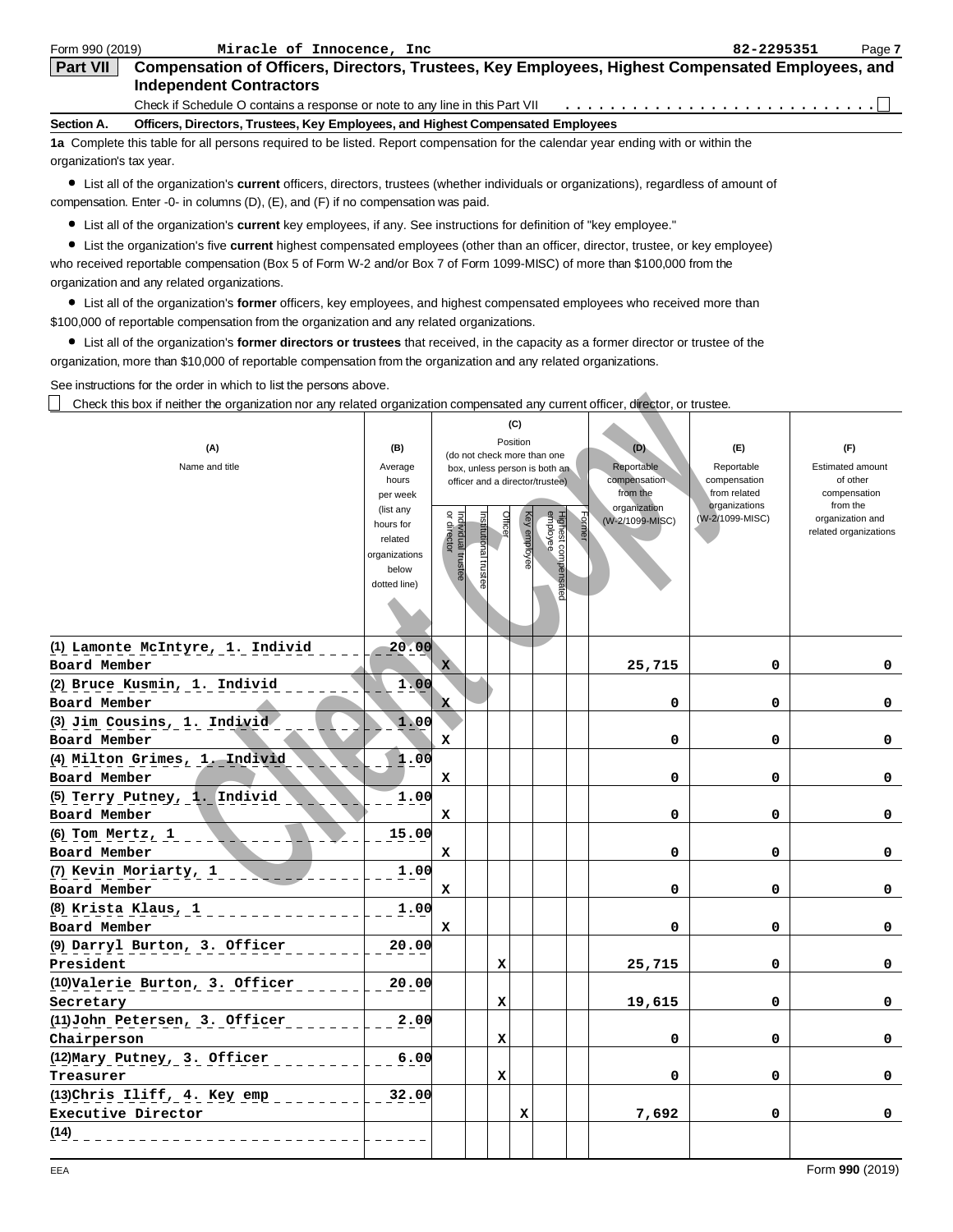| Form 990 (2019)          | Miracle of Innocence, Inc                                                                                                          | 82-2295351 | Page 7 |
|--------------------------|------------------------------------------------------------------------------------------------------------------------------------|------------|--------|
| <b>Part VII</b>          | Compensation of Officers, Directors, Trustees, Key Employees, Highest Compensated Employees, and<br><b>Independent Contractors</b> |            |        |
|                          | Check if Schedule O contains a response or note to any line in this Part VII                                                       |            |        |
| Section A.               | Officers, Directors, Trustees, Key Employees, and Highest Compensated Employees                                                    |            |        |
|                          | 1a Complete this table for all persons required to be listed. Report compensation for the calendar year ending with or within the  |            |        |
| organization's tax year. |                                                                                                                                    |            |        |

List all of the organization's **current** officers, directors, trustees (whether individuals or organizations), regardless of amount of compensation. Enter -0- in columns (D), (E), and (F) if no compensation was paid.

List all of the organization's **current** key employees, if any. See instructions for definition of "key employee."

List the organization's five **current** highest compensated employees (other than an officer, director, trustee, or key employee) who received reportable compensation (Box 5 of Form W-2 and/or Box 7 of Form 1099-MISC) of more than \$100,000 from the organization and any related organizations.

List all of the organization's **former** officers, key employees, and highest compensated employees who received more than \$100,000 of reportable compensation from the organization and any related organizations.

List all of the organization's **former directors or trustees** that received, in the capacity as a former director or trustee of the organization, more than \$10,000 of reportable compensation from the organization and any related organizations.

See instructions for the order in which to list the persons above.

| Check this box if neither the organization nor any related organization compensated any current officer, director, or trustee. |                                                                                                                    |                                   |                                                                                         |                            |              |                                                                  |                                                                                            |                                                                                       |                                                                                                              |
|--------------------------------------------------------------------------------------------------------------------------------|--------------------------------------------------------------------------------------------------------------------|-----------------------------------|-----------------------------------------------------------------------------------------|----------------------------|--------------|------------------------------------------------------------------|--------------------------------------------------------------------------------------------|---------------------------------------------------------------------------------------|--------------------------------------------------------------------------------------------------------------|
| (A)<br>Name and title                                                                                                          | (B)<br>Average<br>hours<br>per week<br>(list any<br>hours for<br>related<br>organizations<br>below<br>dotted line) | Individual trustee<br>or director | (do not check more than one<br>officer and a director/trustee)<br>Institutional trustee | (C)<br>Position<br>Officer | Key employee | box, unless person is both an<br>Highest compensated<br>employee | (D)<br>Reportable<br>compensation<br>from the<br>organization<br>Former<br>(W-2/1099-MISC) | (F)<br>Reportable<br>compensation<br>from related<br>organizations<br>(W-2/1099-MISC) | (F)<br>Estimated amount<br>of other<br>compensation<br>from the<br>organization and<br>related organizations |
| (1) Lamonte McIntyre, 1. Individ                                                                                               | 20.00                                                                                                              |                                   |                                                                                         |                            |              |                                                                  |                                                                                            |                                                                                       |                                                                                                              |
| Board Member<br>(2) Bruce Kusmin, 1. Individ                                                                                   | 1.00                                                                                                               | $\mathbf{x}$                      |                                                                                         |                            |              |                                                                  | 25,715                                                                                     | 0                                                                                     | 0                                                                                                            |
| Board Member                                                                                                                   |                                                                                                                    | X                                 |                                                                                         |                            |              |                                                                  | 0                                                                                          | 0                                                                                     | 0                                                                                                            |
| (3) Jim Cousins, 1. Individ                                                                                                    | 1.00                                                                                                               |                                   |                                                                                         |                            |              |                                                                  |                                                                                            |                                                                                       |                                                                                                              |
| Board Member                                                                                                                   |                                                                                                                    | x                                 |                                                                                         |                            |              |                                                                  | 0                                                                                          | 0                                                                                     | 0                                                                                                            |
| (4) Milton Grimes, 1. Individ                                                                                                  | 1.00                                                                                                               |                                   |                                                                                         |                            |              |                                                                  |                                                                                            |                                                                                       |                                                                                                              |
| Board Member                                                                                                                   |                                                                                                                    | x                                 |                                                                                         |                            |              |                                                                  | 0                                                                                          | 0                                                                                     | 0                                                                                                            |
| (5) Terry Putney, 1. Individ                                                                                                   | 1.00                                                                                                               |                                   |                                                                                         |                            |              |                                                                  |                                                                                            |                                                                                       |                                                                                                              |
| Board Member                                                                                                                   |                                                                                                                    | x                                 |                                                                                         |                            |              |                                                                  | 0                                                                                          | $\mathbf 0$                                                                           | 0                                                                                                            |
| $(6)$ Tom Mertz, 1                                                                                                             | 15.00                                                                                                              |                                   |                                                                                         |                            |              |                                                                  |                                                                                            |                                                                                       |                                                                                                              |
| Board Member                                                                                                                   |                                                                                                                    | x                                 |                                                                                         |                            |              |                                                                  | 0                                                                                          | 0                                                                                     | 0                                                                                                            |
| (7) Kevin Moriarty, 1                                                                                                          | 1.00                                                                                                               |                                   |                                                                                         |                            |              |                                                                  |                                                                                            |                                                                                       |                                                                                                              |
| Board Member                                                                                                                   |                                                                                                                    | x                                 |                                                                                         |                            |              |                                                                  | 0                                                                                          | 0                                                                                     | 0                                                                                                            |
| (8) Krista Klaus, 1                                                                                                            | 1.00                                                                                                               |                                   |                                                                                         |                            |              |                                                                  |                                                                                            |                                                                                       |                                                                                                              |
| Board Member                                                                                                                   |                                                                                                                    | x                                 |                                                                                         |                            |              |                                                                  | 0                                                                                          | 0                                                                                     | 0                                                                                                            |
| (9) Darryl Burton, 3. Officer<br>President                                                                                     | 20.00                                                                                                              |                                   |                                                                                         | x                          |              |                                                                  | 25,715                                                                                     | $\mathbf 0$                                                                           | 0                                                                                                            |
| (10) Valerie Burton, 3. Officer                                                                                                | 20.00                                                                                                              |                                   |                                                                                         |                            |              |                                                                  |                                                                                            |                                                                                       |                                                                                                              |
| Secretary                                                                                                                      |                                                                                                                    |                                   |                                                                                         | X                          |              |                                                                  | 19,615                                                                                     | 0                                                                                     | 0                                                                                                            |
| (11) John Petersen, 3. Officer                                                                                                 | 2.00                                                                                                               |                                   |                                                                                         |                            |              |                                                                  |                                                                                            |                                                                                       |                                                                                                              |
| Chairperson                                                                                                                    |                                                                                                                    |                                   |                                                                                         | X                          |              |                                                                  | 0                                                                                          | 0                                                                                     | 0                                                                                                            |
| (12) Mary Putney, 3. Officer                                                                                                   | 6.00                                                                                                               |                                   |                                                                                         |                            |              |                                                                  |                                                                                            |                                                                                       |                                                                                                              |
| Treasurer                                                                                                                      |                                                                                                                    |                                   |                                                                                         | x                          |              |                                                                  | 0                                                                                          | $\mathbf 0$                                                                           | 0                                                                                                            |
| (13)Chris Iliff, 4. Key emp                                                                                                    | 32.00                                                                                                              |                                   |                                                                                         |                            |              |                                                                  |                                                                                            |                                                                                       |                                                                                                              |
| Executive Director                                                                                                             |                                                                                                                    |                                   |                                                                                         |                            | x            |                                                                  | 7,692                                                                                      | 0                                                                                     | 0                                                                                                            |
| (14)                                                                                                                           |                                                                                                                    |                                   |                                                                                         |                            |              |                                                                  |                                                                                            |                                                                                       |                                                                                                              |
|                                                                                                                                |                                                                                                                    |                                   |                                                                                         |                            |              |                                                                  |                                                                                            |                                                                                       |                                                                                                              |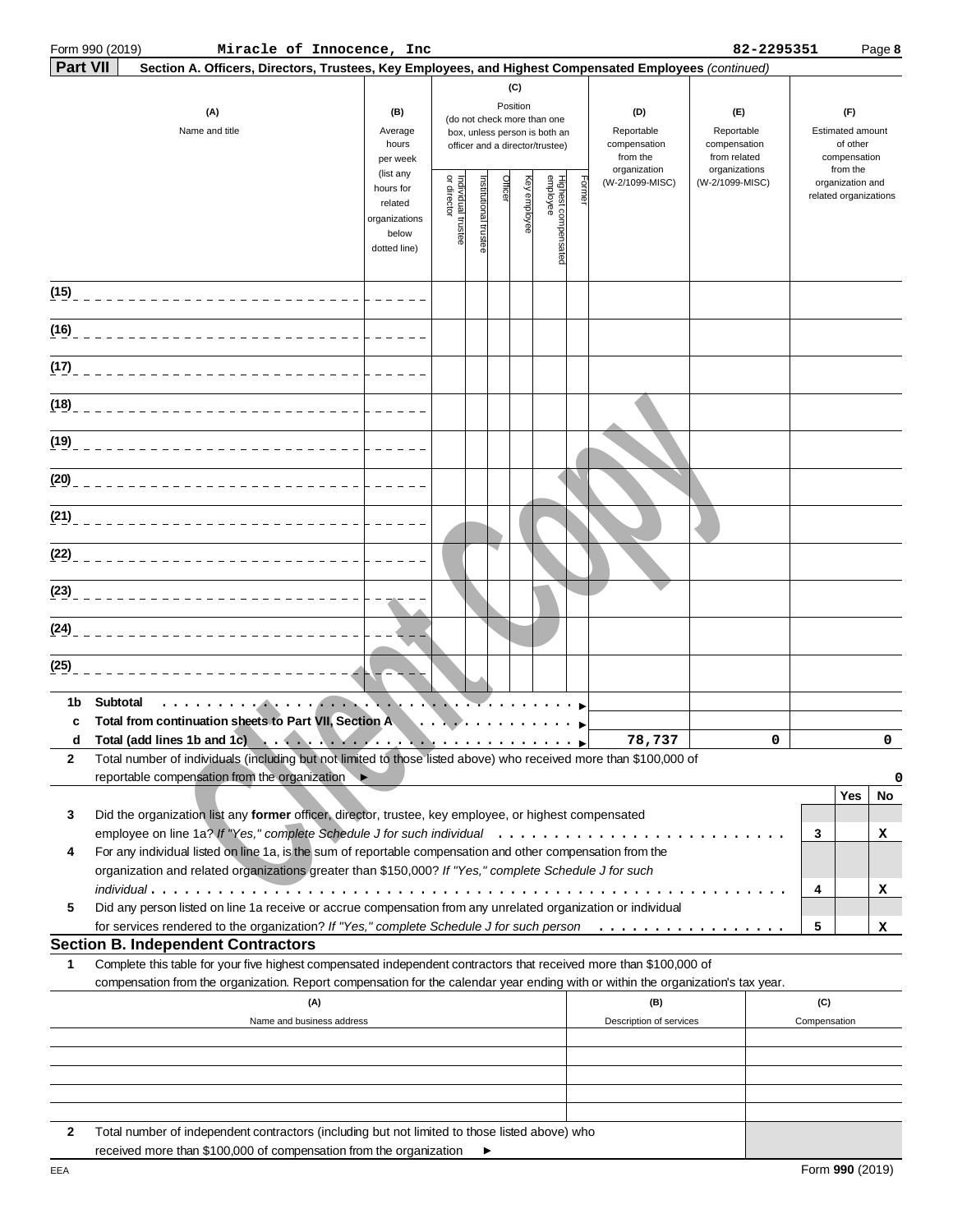|                       | Form 990 (2019)<br>Miracle of Innocence, Inc                                                                                                                                                                         |                                                                                           |                                   |                       |                     |                      |                                                                                                                                    |       |                                                                                  | 82-2295351                                                                            |                     |                                                                                                              | Page 8   |
|-----------------------|----------------------------------------------------------------------------------------------------------------------------------------------------------------------------------------------------------------------|-------------------------------------------------------------------------------------------|-----------------------------------|-----------------------|---------------------|----------------------|------------------------------------------------------------------------------------------------------------------------------------|-------|----------------------------------------------------------------------------------|---------------------------------------------------------------------------------------|---------------------|--------------------------------------------------------------------------------------------------------------|----------|
| <b>Part VII</b>       | Section A. Officers, Directors, Trustees, Key Employees, and Highest Compensated Employees (continued)                                                                                                               |                                                                                           |                                   |                       |                     |                      |                                                                                                                                    |       |                                                                                  |                                                                                       |                     |                                                                                                              |          |
| (A)<br>Name and title |                                                                                                                                                                                                                      | (B)<br>Average<br>hours<br>per week<br>(list any<br>hours for<br>related<br>organizations | Individual trustee<br>or director | Institutional trustee | Position<br>Officer | (C)<br>eyelqida<br>A | (do not check more than one<br>box, unless person is both an<br>officer and a director/trustee)<br>Highest compensated<br>employee | Forme | (D)<br>Reportable<br>compensation<br>from the<br>organization<br>(W-2/1099-MISC) | (E)<br>Reportable<br>compensation<br>from related<br>organizations<br>(W-2/1099-MISC) |                     | (F)<br>Estimated amount<br>of other<br>compensation<br>from the<br>organization and<br>related organizations |          |
|                       |                                                                                                                                                                                                                      | below<br>dotted line)                                                                     |                                   |                       |                     |                      |                                                                                                                                    |       |                                                                                  |                                                                                       |                     |                                                                                                              |          |
|                       |                                                                                                                                                                                                                      |                                                                                           |                                   |                       |                     |                      |                                                                                                                                    |       |                                                                                  |                                                                                       |                     |                                                                                                              |          |
| (16)                  |                                                                                                                                                                                                                      |                                                                                           |                                   |                       |                     |                      |                                                                                                                                    |       |                                                                                  |                                                                                       |                     |                                                                                                              |          |
| (17)                  |                                                                                                                                                                                                                      |                                                                                           |                                   |                       |                     |                      |                                                                                                                                    |       |                                                                                  |                                                                                       |                     |                                                                                                              |          |
| (18)                  |                                                                                                                                                                                                                      |                                                                                           |                                   |                       |                     |                      |                                                                                                                                    |       |                                                                                  |                                                                                       |                     |                                                                                                              |          |
| (19)                  |                                                                                                                                                                                                                      |                                                                                           |                                   |                       |                     |                      |                                                                                                                                    |       |                                                                                  |                                                                                       |                     |                                                                                                              |          |
| (20)                  |                                                                                                                                                                                                                      |                                                                                           |                                   |                       |                     |                      |                                                                                                                                    |       |                                                                                  |                                                                                       |                     |                                                                                                              |          |
|                       |                                                                                                                                                                                                                      |                                                                                           |                                   |                       |                     |                      |                                                                                                                                    |       |                                                                                  |                                                                                       |                     |                                                                                                              |          |
|                       |                                                                                                                                                                                                                      |                                                                                           |                                   |                       |                     |                      |                                                                                                                                    |       |                                                                                  |                                                                                       |                     |                                                                                                              |          |
|                       |                                                                                                                                                                                                                      |                                                                                           |                                   |                       |                     |                      |                                                                                                                                    |       |                                                                                  |                                                                                       |                     |                                                                                                              |          |
|                       |                                                                                                                                                                                                                      |                                                                                           |                                   |                       |                     |                      |                                                                                                                                    |       |                                                                                  |                                                                                       |                     |                                                                                                              |          |
| (24)<br>(25)          |                                                                                                                                                                                                                      |                                                                                           |                                   |                       |                     |                      |                                                                                                                                    |       |                                                                                  |                                                                                       |                     |                                                                                                              |          |
| 1b                    | Subtotal<br>. <b>.</b>                                                                                                                                                                                               |                                                                                           |                                   |                       |                     |                      |                                                                                                                                    |       |                                                                                  |                                                                                       |                     |                                                                                                              |          |
| c                     | Total from continuation sheets to Part VII, Section A<br>d Total (add lines 1b and 1c)                                                                                                                               |                                                                                           |                                   |                       |                     |                      |                                                                                                                                    |       | 78,737                                                                           | $\Omega$                                                                              |                     |                                                                                                              | $\Omega$ |
| 2                     | Total number of individuals (including but not limited to those listed above) who received more than \$100,000 of                                                                                                    |                                                                                           |                                   |                       |                     |                      |                                                                                                                                    |       |                                                                                  |                                                                                       |                     |                                                                                                              |          |
|                       | reportable compensation from the organization ▶                                                                                                                                                                      |                                                                                           |                                   |                       |                     |                      |                                                                                                                                    |       |                                                                                  |                                                                                       |                     |                                                                                                              | 0        |
| 3                     | Did the organization list any former officer, director, trustee, key employee, or highest compensated                                                                                                                |                                                                                           |                                   |                       |                     |                      |                                                                                                                                    |       |                                                                                  |                                                                                       |                     | Yes                                                                                                          | No       |
| 4                     | For any individual listed on line 1a, is the sum of reportable compensation and other compensation from the<br>organization and related organizations greater than \$150,000? If "Yes," complete Schedule J for such |                                                                                           |                                   |                       |                     |                      |                                                                                                                                    |       |                                                                                  |                                                                                       | 3                   |                                                                                                              | х        |
| 5                     | $indivial$ ual<br>Did any person listed on line 1a receive or accrue compensation from any unrelated organization or individual                                                                                      |                                                                                           |                                   |                       |                     |                      |                                                                                                                                    |       |                                                                                  |                                                                                       | 4                   |                                                                                                              | x        |
|                       | for services rendered to the organization? If "Yes," complete Schedule J for such person                                                                                                                             |                                                                                           |                                   |                       |                     |                      |                                                                                                                                    |       |                                                                                  |                                                                                       | 5                   |                                                                                                              | x        |
| 1                     | <b>Section B. Independent Contractors</b><br>Complete this table for your five highest compensated independent contractors that received more than \$100,000 of                                                      |                                                                                           |                                   |                       |                     |                      |                                                                                                                                    |       |                                                                                  |                                                                                       |                     |                                                                                                              |          |
|                       | compensation from the organization. Report compensation for the calendar year ending with or within the organization's tax year.                                                                                     |                                                                                           |                                   |                       |                     |                      |                                                                                                                                    |       |                                                                                  |                                                                                       |                     |                                                                                                              |          |
|                       | (A)<br>Name and business address                                                                                                                                                                                     |                                                                                           |                                   |                       |                     |                      |                                                                                                                                    |       | (B)<br>Description of services                                                   |                                                                                       | (C)<br>Compensation |                                                                                                              |          |
|                       |                                                                                                                                                                                                                      |                                                                                           |                                   |                       |                     |                      |                                                                                                                                    |       |                                                                                  |                                                                                       |                     |                                                                                                              |          |
|                       |                                                                                                                                                                                                                      |                                                                                           |                                   |                       |                     |                      |                                                                                                                                    |       |                                                                                  |                                                                                       |                     |                                                                                                              |          |
| 2                     | Total number of independent contractors (including but not limited to those listed above) who                                                                                                                        |                                                                                           |                                   |                       |                     |                      |                                                                                                                                    |       |                                                                                  |                                                                                       |                     |                                                                                                              |          |

 $\blacktriangleright$ 

received more than \$100,000 of compensation from the organization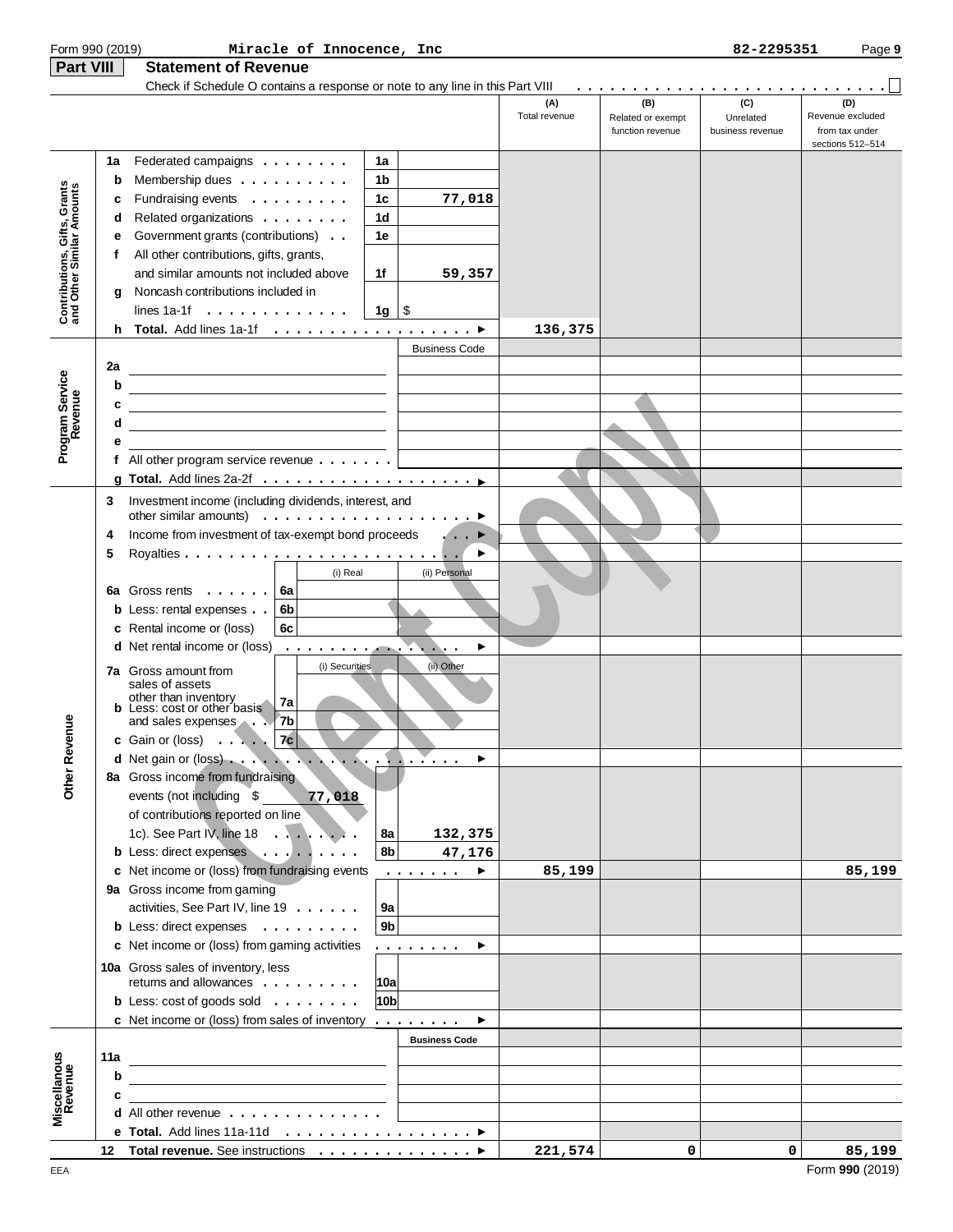| Form 990 (2019)                                           |     | Miracle of Innocence, Inc                                                     |                 |                                                                                                                                                                                                                                                                                                                                                                                                                                                                                            |                      |                                              | 82-2295351                           | Page 9                                                        |
|-----------------------------------------------------------|-----|-------------------------------------------------------------------------------|-----------------|--------------------------------------------------------------------------------------------------------------------------------------------------------------------------------------------------------------------------------------------------------------------------------------------------------------------------------------------------------------------------------------------------------------------------------------------------------------------------------------------|----------------------|----------------------------------------------|--------------------------------------|---------------------------------------------------------------|
| <b>Part VIII</b>                                          |     | <b>Statement of Revenue</b>                                                   |                 |                                                                                                                                                                                                                                                                                                                                                                                                                                                                                            |                      |                                              |                                      |                                                               |
|                                                           |     | Check if Schedule O contains a response or note to any line in this Part VIII |                 |                                                                                                                                                                                                                                                                                                                                                                                                                                                                                            |                      |                                              |                                      |                                                               |
|                                                           |     |                                                                               |                 |                                                                                                                                                                                                                                                                                                                                                                                                                                                                                            | (A)<br>Total revenue | (B)<br>Related or exempt<br>function revenue | (C)<br>Unrelated<br>business revenue | (D)<br>Revenue excluded<br>from tax under<br>sections 512-514 |
|                                                           | 1a  | Federated campaigns                                                           | 1a              |                                                                                                                                                                                                                                                                                                                                                                                                                                                                                            |                      |                                              |                                      |                                                               |
|                                                           | b   | Membership dues                                                               | 1b              |                                                                                                                                                                                                                                                                                                                                                                                                                                                                                            |                      |                                              |                                      |                                                               |
| Contributions, Gifts, Grants<br>and Other Similar Amounts | с   | Fundraising events                                                            | 1 <sub>c</sub>  | 77,018                                                                                                                                                                                                                                                                                                                                                                                                                                                                                     |                      |                                              |                                      |                                                               |
|                                                           | d   | Related organizations                                                         | 1 <sub>d</sub>  |                                                                                                                                                                                                                                                                                                                                                                                                                                                                                            |                      |                                              |                                      |                                                               |
|                                                           | е   | Government grants (contributions)                                             | 1e              |                                                                                                                                                                                                                                                                                                                                                                                                                                                                                            |                      |                                              |                                      |                                                               |
|                                                           | f   | All other contributions, gifts, grants,                                       |                 |                                                                                                                                                                                                                                                                                                                                                                                                                                                                                            |                      |                                              |                                      |                                                               |
|                                                           |     | and similar amounts not included above                                        | 1f              | 59,357                                                                                                                                                                                                                                                                                                                                                                                                                                                                                     |                      |                                              |                                      |                                                               |
|                                                           | a   | Noncash contributions included in                                             |                 |                                                                                                                                                                                                                                                                                                                                                                                                                                                                                            |                      |                                              |                                      |                                                               |
|                                                           |     | lines 1a-1f $\ldots$ , $\ldots$ , $\ldots$ , $\ldots$                         | 1g              | \$                                                                                                                                                                                                                                                                                                                                                                                                                                                                                         |                      |                                              |                                      |                                                               |
|                                                           | h.  |                                                                               |                 |                                                                                                                                                                                                                                                                                                                                                                                                                                                                                            | 136,375              |                                              |                                      |                                                               |
|                                                           |     |                                                                               |                 | <b>Business Code</b>                                                                                                                                                                                                                                                                                                                                                                                                                                                                       |                      |                                              |                                      |                                                               |
|                                                           | 2a  |                                                                               |                 |                                                                                                                                                                                                                                                                                                                                                                                                                                                                                            |                      |                                              |                                      |                                                               |
|                                                           | b   |                                                                               |                 |                                                                                                                                                                                                                                                                                                                                                                                                                                                                                            |                      |                                              |                                      |                                                               |
|                                                           | с   | <u> 1989 - Johann Stein, mars an deus Amerikaansk kommunister (</u>           |                 |                                                                                                                                                                                                                                                                                                                                                                                                                                                                                            |                      |                                              |                                      |                                                               |
| Program Service<br>Revenue                                | d   |                                                                               |                 |                                                                                                                                                                                                                                                                                                                                                                                                                                                                                            |                      |                                              |                                      |                                                               |
|                                                           | е   |                                                                               |                 |                                                                                                                                                                                                                                                                                                                                                                                                                                                                                            |                      |                                              |                                      |                                                               |
|                                                           |     | f All other program service revenue $\dots$                                   |                 |                                                                                                                                                                                                                                                                                                                                                                                                                                                                                            |                      |                                              |                                      |                                                               |
|                                                           |     |                                                                               |                 |                                                                                                                                                                                                                                                                                                                                                                                                                                                                                            |                      |                                              |                                      |                                                               |
|                                                           | 3   | Investment income (including dividends, interest, and                         |                 |                                                                                                                                                                                                                                                                                                                                                                                                                                                                                            |                      |                                              |                                      |                                                               |
|                                                           |     | other similar amounts) $\ldots \ldots \ldots \ldots \ldots$                   |                 |                                                                                                                                                                                                                                                                                                                                                                                                                                                                                            |                      |                                              |                                      |                                                               |
|                                                           | 4   | Income from investment of tax-exempt bond proceeds                            |                 |                                                                                                                                                                                                                                                                                                                                                                                                                                                                                            |                      |                                              |                                      |                                                               |
|                                                           | 5   |                                                                               |                 |                                                                                                                                                                                                                                                                                                                                                                                                                                                                                            |                      |                                              |                                      |                                                               |
|                                                           |     | (i) Real                                                                      |                 | (ii) Personal                                                                                                                                                                                                                                                                                                                                                                                                                                                                              |                      |                                              |                                      |                                                               |
|                                                           | 6a  | Gross rents<br>6a                                                             |                 |                                                                                                                                                                                                                                                                                                                                                                                                                                                                                            |                      |                                              |                                      |                                                               |
|                                                           |     | <b>b</b> Less: rental expenses<br>6b                                          |                 |                                                                                                                                                                                                                                                                                                                                                                                                                                                                                            |                      |                                              |                                      |                                                               |
|                                                           |     | c Rental income or (loss)<br>6c                                               |                 |                                                                                                                                                                                                                                                                                                                                                                                                                                                                                            |                      |                                              |                                      |                                                               |
|                                                           |     | <b>d</b> Net rental income or (loss)<br>$\cdots$                              |                 |                                                                                                                                                                                                                                                                                                                                                                                                                                                                                            |                      |                                              |                                      |                                                               |
|                                                           |     | (i) Securities<br><b>7a</b> Gross amount from                                 |                 | (ii) Other                                                                                                                                                                                                                                                                                                                                                                                                                                                                                 |                      |                                              |                                      |                                                               |
|                                                           |     | sales of assets                                                               |                 |                                                                                                                                                                                                                                                                                                                                                                                                                                                                                            |                      |                                              |                                      |                                                               |
|                                                           |     | other than inventory<br>7a<br><b>b</b> Less: cost or other basis              |                 |                                                                                                                                                                                                                                                                                                                                                                                                                                                                                            |                      |                                              |                                      |                                                               |
| nue                                                       |     | 7 <sub>b</sub><br>and sales expenses                                          |                 |                                                                                                                                                                                                                                                                                                                                                                                                                                                                                            |                      |                                              |                                      |                                                               |
|                                                           |     | c Gain or (loss) $\ldots$ 7c                                                  |                 |                                                                                                                                                                                                                                                                                                                                                                                                                                                                                            |                      |                                              |                                      |                                                               |
|                                                           |     |                                                                               |                 |                                                                                                                                                                                                                                                                                                                                                                                                                                                                                            |                      |                                              |                                      |                                                               |
| Other Reve                                                |     | 8a Gross income from fundraising                                              |                 |                                                                                                                                                                                                                                                                                                                                                                                                                                                                                            |                      |                                              |                                      |                                                               |
|                                                           |     | events (not including \$<br>77,018                                            |                 |                                                                                                                                                                                                                                                                                                                                                                                                                                                                                            |                      |                                              |                                      |                                                               |
|                                                           |     | of contributions reported on line                                             |                 |                                                                                                                                                                                                                                                                                                                                                                                                                                                                                            |                      |                                              |                                      |                                                               |
|                                                           |     | 1c). See Part IV, line 18                                                     | 8a              | 132,375                                                                                                                                                                                                                                                                                                                                                                                                                                                                                    |                      |                                              |                                      |                                                               |
|                                                           |     | b Less: direct expenses                                                       | 8b              | 47,176                                                                                                                                                                                                                                                                                                                                                                                                                                                                                     |                      |                                              |                                      |                                                               |
|                                                           |     | c Net income or (loss) from fundraising events                                |                 | $\mathbf{1} \cdot \mathbf{1} \cdot \mathbf{1} \cdot \mathbf{1} \cdot \mathbf{1} \cdot \mathbf{1} \cdot \mathbf{1} \cdot \mathbf{1} \cdot \mathbf{1} \cdot \mathbf{1} \cdot \mathbf{1} \cdot \mathbf{1} \cdot \mathbf{1} \cdot \mathbf{1} \cdot \mathbf{1} \cdot \mathbf{1} \cdot \mathbf{1} \cdot \mathbf{1} \cdot \mathbf{1} \cdot \mathbf{1} \cdot \mathbf{1} \cdot \mathbf{1} \cdot \mathbf{1} \cdot \mathbf{1} \cdot \mathbf{1} \cdot \mathbf{1} \cdot \mathbf{1} \cdot \mathbf{$<br>▶ | 85,199               |                                              |                                      | 85,199                                                        |
|                                                           |     | 9a Gross income from gaming                                                   |                 |                                                                                                                                                                                                                                                                                                                                                                                                                                                                                            |                      |                                              |                                      |                                                               |
|                                                           |     | activities, See Part IV, line 19                                              | 9a              |                                                                                                                                                                                                                                                                                                                                                                                                                                                                                            |                      |                                              |                                      |                                                               |
|                                                           |     | b Less: direct expenses                                                       | 9 <sub>b</sub>  |                                                                                                                                                                                                                                                                                                                                                                                                                                                                                            |                      |                                              |                                      |                                                               |
|                                                           |     | c Net income or (loss) from gaming activities                                 |                 | .<br>▸                                                                                                                                                                                                                                                                                                                                                                                                                                                                                     |                      |                                              |                                      |                                                               |
|                                                           |     | 10a Gross sales of inventory, less                                            |                 |                                                                                                                                                                                                                                                                                                                                                                                                                                                                                            |                      |                                              |                                      |                                                               |
|                                                           |     | returns and allowances                                                        | 10a             |                                                                                                                                                                                                                                                                                                                                                                                                                                                                                            |                      |                                              |                                      |                                                               |
|                                                           |     | <b>b</b> Less: $\cosh$ of goods sold $\ldots$                                 | 10 <sub>b</sub> |                                                                                                                                                                                                                                                                                                                                                                                                                                                                                            |                      |                                              |                                      |                                                               |
|                                                           |     | c Net income or (loss) from sales of inventory                                |                 |                                                                                                                                                                                                                                                                                                                                                                                                                                                                                            |                      |                                              |                                      |                                                               |
|                                                           |     |                                                                               |                 | <b>Business Code</b>                                                                                                                                                                                                                                                                                                                                                                                                                                                                       |                      |                                              |                                      |                                                               |
| Miscellanous<br>Revenue                                   | 11a |                                                                               |                 |                                                                                                                                                                                                                                                                                                                                                                                                                                                                                            |                      |                                              |                                      |                                                               |
|                                                           | b   |                                                                               |                 |                                                                                                                                                                                                                                                                                                                                                                                                                                                                                            |                      |                                              |                                      |                                                               |
|                                                           | c   | <b>d</b> All other revenue $\ldots$ , $\ldots$ , $\ldots$ , $\ldots$          |                 |                                                                                                                                                                                                                                                                                                                                                                                                                                                                                            |                      |                                              |                                      |                                                               |
|                                                           |     | e Total. Add lines 11a-11d ▶                                                  |                 |                                                                                                                                                                                                                                                                                                                                                                                                                                                                                            |                      |                                              |                                      |                                                               |
|                                                           |     | 12 Total revenue. See instructions ▶                                          |                 |                                                                                                                                                                                                                                                                                                                                                                                                                                                                                            | 221,574              | 0                                            | 0                                    | 85,199                                                        |
|                                                           |     |                                                                               |                 |                                                                                                                                                                                                                                                                                                                                                                                                                                                                                            |                      |                                              |                                      |                                                               |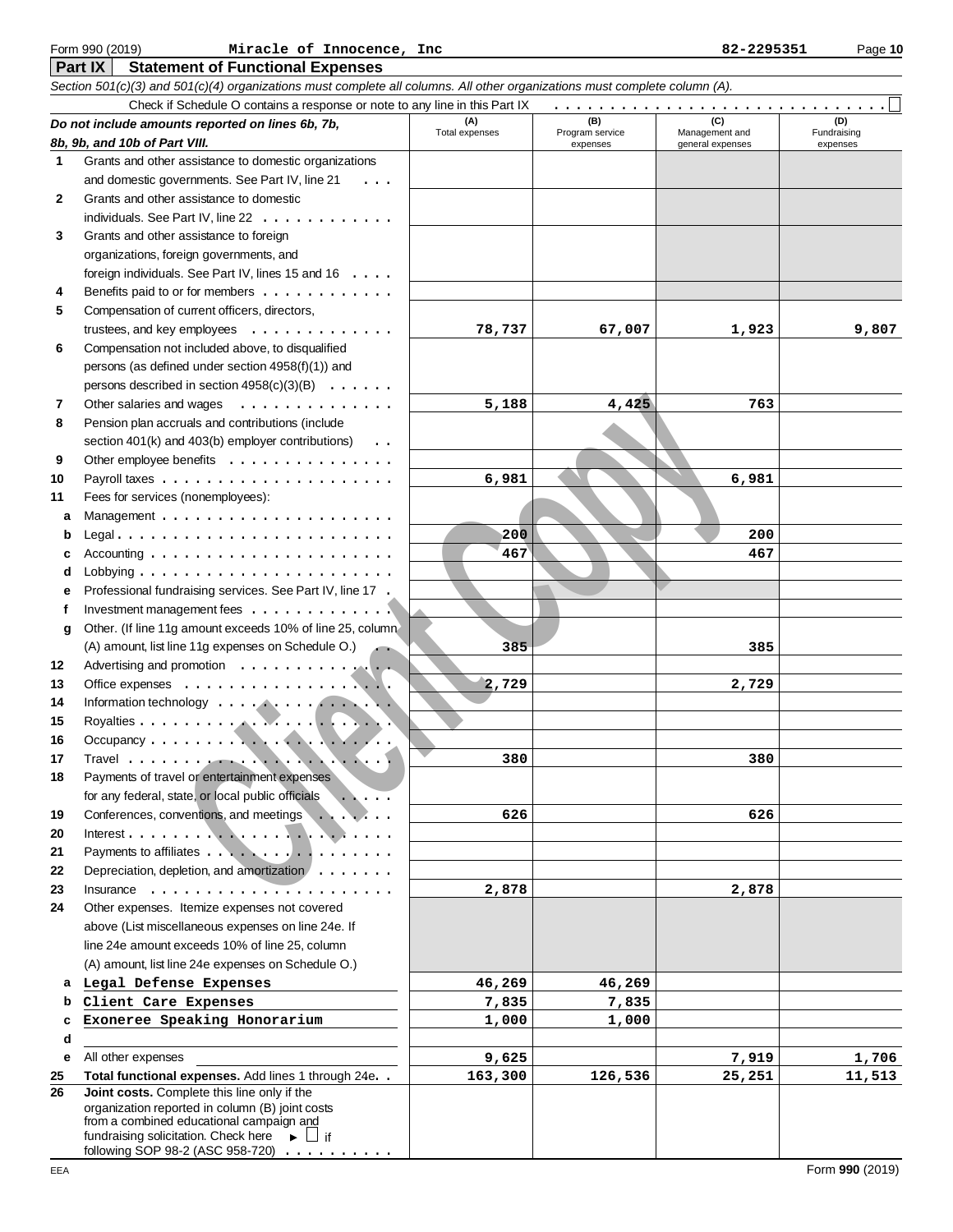|              | Section 501(c)(3) and 501(c)(4) organizations must complete all columns. All other organizations must complete column (A). |                       |                        |                       |                    |
|--------------|----------------------------------------------------------------------------------------------------------------------------|-----------------------|------------------------|-----------------------|--------------------|
|              | Check if Schedule O contains a response or note to any line in this Part IX                                                |                       |                        |                       |                    |
|              | Do not include amounts reported on lines 6b, 7b,                                                                           | (A)<br>Total expenses | (B)<br>Program service | (C)<br>Management and | (D)<br>Fundraising |
|              | 8b, 9b, and 10b of Part VIII.                                                                                              |                       | expenses               | general expenses      | expenses           |
| 1            | Grants and other assistance to domestic organizations                                                                      |                       |                        |                       |                    |
|              | and domestic governments. See Part IV, line 21<br>$\cdots$                                                                 |                       |                        |                       |                    |
| $\mathbf{2}$ | Grants and other assistance to domestic                                                                                    |                       |                        |                       |                    |
|              | individuals. See Part IV, line 22                                                                                          |                       |                        |                       |                    |
| 3            | Grants and other assistance to foreign                                                                                     |                       |                        |                       |                    |
|              | organizations, foreign governments, and                                                                                    |                       |                        |                       |                    |
|              | foreign individuals. See Part IV, lines 15 and 16<br>Benefits paid to or for members                                       |                       |                        |                       |                    |
| 4            | Compensation of current officers, directors,                                                                               |                       |                        |                       |                    |
| 5            |                                                                                                                            |                       |                        |                       |                    |
|              | trustees, and key employees $\ldots \ldots \ldots \ldots$<br>Compensation not included above, to disqualified              | 78,737                | 67,007                 | 1,923                 | 9,807              |
| 6            |                                                                                                                            |                       |                        |                       |                    |
|              | persons (as defined under section 4958(f)(1)) and                                                                          |                       |                        |                       |                    |
| 7            | persons described in section $4958(c)(3)(B) \ldots \ldots$<br>Other salaries and wages<br>.                                | 5,188                 | 4,425                  | 763                   |                    |
| 8            | Pension plan accruals and contributions (include                                                                           |                       |                        |                       |                    |
|              | section 401(k) and 403(b) employer contributions)<br>$\cdots$                                                              |                       |                        |                       |                    |
| 9            | Other employee benefits                                                                                                    |                       |                        |                       |                    |
| 10           |                                                                                                                            | 6,981                 |                        | 6,981                 |                    |
| 11           | Fees for services (nonemployees):                                                                                          |                       |                        |                       |                    |
| a            |                                                                                                                            |                       |                        |                       |                    |
| b            | Legal                                                                                                                      | 200                   |                        | 200                   |                    |
| c            |                                                                                                                            | 467                   |                        | 467                   |                    |
| d            |                                                                                                                            |                       |                        |                       |                    |
| е            | Professional fundraising services. See Part IV, line 17.                                                                   |                       |                        |                       |                    |
| f            | Investment management fees $\dots\dots\dots\dots\dots$                                                                     |                       |                        |                       |                    |
| g            | Other. (If line 11g amount exceeds 10% of line 25, column                                                                  |                       |                        |                       |                    |
|              | (A) amount, list line 11g expenses on Schedule O.)                                                                         | 385                   |                        | 385                   |                    |
| 12           | Advertising and promotion                                                                                                  |                       |                        |                       |                    |
| 13           |                                                                                                                            | 2,729                 |                        | 2,729                 |                    |
| 14           |                                                                                                                            |                       |                        |                       |                    |
| 15           |                                                                                                                            |                       |                        |                       |                    |
| 16           |                                                                                                                            |                       |                        |                       |                    |
| 17           |                                                                                                                            | 380                   |                        | 380                   |                    |
| 18           | Payments of travel or entertainment expenses                                                                               |                       |                        |                       |                    |
|              | for any federal, state, or local public officials                                                                          |                       |                        |                       |                    |
| 19           | Conferences, conventions, and meetings                                                                                     | 626                   |                        | 626                   |                    |
| 20           |                                                                                                                            |                       |                        |                       |                    |
| 21           | Payments to affiliates                                                                                                     |                       |                        |                       |                    |
| 22           | Depreciation, depletion, and amortization                                                                                  |                       |                        |                       |                    |
| 23           | Insurance $\ldots \ldots \ldots \ldots \ldots$                                                                             | 2,878                 |                        | 2,878                 |                    |
| 24           | Other expenses. Itemize expenses not covered                                                                               |                       |                        |                       |                    |
|              | above (List miscellaneous expenses on line 24e. If                                                                         |                       |                        |                       |                    |
|              | line 24e amount exceeds 10% of line 25, column                                                                             |                       |                        |                       |                    |
|              | (A) amount, list line 24e expenses on Schedule O.)                                                                         |                       |                        |                       |                    |
| a            | Legal Defense Expenses                                                                                                     | 46,269                | 46,269                 |                       |                    |
| b            | Client Care Expenses                                                                                                       | 7,835                 | 7,835                  |                       |                    |
| c            | Exoneree Speaking Honorarium                                                                                               | 1,000                 | 1,000                  |                       |                    |
| d            |                                                                                                                            |                       |                        |                       |                    |
| e            | All other expenses                                                                                                         | 9,625                 |                        | 7,919                 | 1,706              |
| 25           | Total functional expenses. Add lines 1 through 24e. .                                                                      | 163,300               | 126,536                | 25,251                | 11,513             |
| 26           | Joint costs. Complete this line only if the<br>organization reported in column (B) joint costs                             |                       |                        |                       |                    |
|              | from a combined educational campaign and                                                                                   |                       |                        |                       |                    |
|              | fundraising solicitation. Check here $\longrightarrow \Box$ if                                                             |                       |                        |                       |                    |
|              | following SOP 98-2 (ASC 958-720) $\ldots \ldots$                                                                           |                       |                        |                       |                    |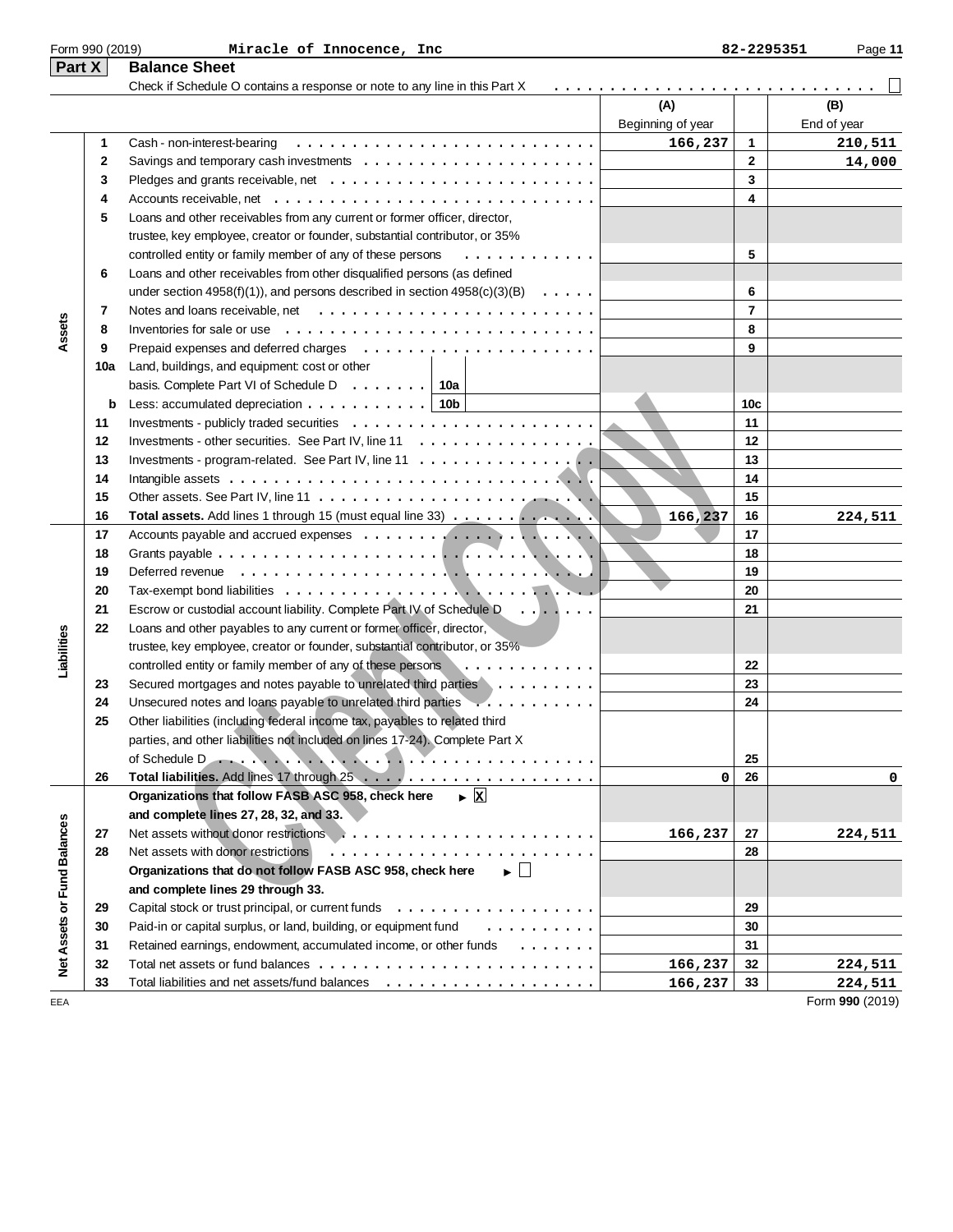| Part X                      |          | <b>Balance Sheet</b>                                                                                |                          |                |                            |
|-----------------------------|----------|-----------------------------------------------------------------------------------------------------|--------------------------|----------------|----------------------------|
|                             |          | Check if Schedule O contains a response or note to any line in this Part X                          | (A)<br>Beginning of year |                | (B)<br>End of year         |
|                             | 1        | Cash - non-interest-bearing                                                                         | 166,237                  | $\mathbf{1}$   | 210,511                    |
|                             | 2        | Savings and temporary cash investments $\dots \dots \dots \dots \dots \dots \dots \dots$            |                          | $\mathbf{2}$   | 14,000                     |
|                             | 3        |                                                                                                     |                          | 3              |                            |
|                             | 4        |                                                                                                     |                          | 4              |                            |
|                             | 5        | Loans and other receivables from any current or former officer, director,                           |                          |                |                            |
|                             |          | trustee, key employee, creator or founder, substantial contributor, or 35%                          |                          |                |                            |
|                             |          | controlled entity or family member of any of these persons<br>.                                     |                          | 5              |                            |
|                             | 6        | Loans and other receivables from other disqualified persons (as defined                             |                          |                |                            |
|                             |          | under section 4958(f)(1)), and persons described in section $4958(c)(3)(B) \ldots \ldots$           |                          | 6              |                            |
|                             | 7        |                                                                                                     |                          | $\overline{7}$ |                            |
| Assets                      | 8        | Inventories for sale or use $\ldots \ldots \ldots \ldots \ldots \ldots \ldots \ldots \ldots$        |                          | 8              |                            |
|                             | 9        |                                                                                                     |                          | 9              |                            |
|                             | 10a      | Land, buildings, and equipment: cost or other                                                       |                          |                |                            |
|                             |          | basis. Complete Part VI of Schedule D. $\ldots$   10a                                               |                          |                |                            |
|                             | b        | Less: accumulated depreciation $\ldots$ ,    10b                                                    |                          | 10c            |                            |
|                             | 11       |                                                                                                     |                          | 11             |                            |
|                             | 12       | Investments - other securities. See Part IV, line 11                                                |                          | 12             |                            |
|                             | 13       | Investments - program-related. See Part IV, line 11 $\dots$ ,                                       |                          | 13             |                            |
|                             | 14       |                                                                                                     |                          | 14             |                            |
|                             | 15       |                                                                                                     |                          | 15             |                            |
|                             |          |                                                                                                     |                          | 16             |                            |
|                             | 16<br>17 | Total assets. Add lines 1 through 15 (must equal line 33)                                           | 166,237                  | 17             | 224,511                    |
|                             |          |                                                                                                     |                          | 18             |                            |
|                             | 18       | Deferred revenue $\ldots \ldots \ldots \ldots \ldots \ldots \ldots \ldots \ldots \ldots$            |                          | 19             |                            |
|                             | 19       |                                                                                                     |                          | 20             |                            |
|                             | 20       |                                                                                                     |                          | 21             |                            |
|                             | 21       | Escrow or custodial account liability. Complete Part IV of Schedule D.                              |                          |                |                            |
| Liabilities                 | 22       | Loans and other payables to any current or former officer, director,                                |                          |                |                            |
|                             |          | trustee, key employee, creator or founder, substantial contributor, or 35%                          |                          |                |                            |
|                             |          | controlled entity or family member of any of these persons<br>.                                     |                          | 22             |                            |
|                             | 23       | Secured mortgages and notes payable to unrelated third parties                                      |                          | 23             |                            |
|                             | 24       | Unsecured notes and loans payable to unrelated third parties                                        |                          | 24             |                            |
|                             | 25       | Other liabilities (including federal income tax, payables to related third                          |                          |                |                            |
|                             |          | parties, and other liabilities not included on lines 17-24). Complete Part X                        |                          |                |                            |
|                             |          | of Schedule D                                                                                       |                          | 25             |                            |
|                             | 26       |                                                                                                     | 0                        | 26             | 0                          |
|                             |          | $\blacktriangleright$ $\overline{\mathbf{x}}$<br>Organizations that follow FASB ASC 958, check here |                          |                |                            |
|                             |          | and complete lines 27, 28, 32, and 33.                                                              |                          |                |                            |
|                             | 27       |                                                                                                     | 166,237                  | 27             | 224,511                    |
|                             | 28       | Net assets with donor restrictions                                                                  |                          | 28             |                            |
|                             |          | Organizations that do not follow FASB ASC 958, check here<br>$\blacktriangleright \Box$             |                          |                |                            |
|                             |          | and complete lines 29 through 33.                                                                   |                          |                |                            |
|                             | 29       |                                                                                                     |                          | 29             |                            |
|                             | 30       | Paid-in or capital surplus, or land, building, or equipment fund<br>.                               |                          | 30             |                            |
| Net Assets or Fund Balances | 31       | Retained earnings, endowment, accumulated income, or other funds                                    |                          | 31             |                            |
|                             | 32       |                                                                                                     | 166,237                  | 32             | 224,511                    |
|                             | 33       |                                                                                                     | 166,237                  | 33             | 224,511<br>Form 990 (2019) |

Form 990 (2019) Page **11 Miracle of Innocence, Inc 82-2295351**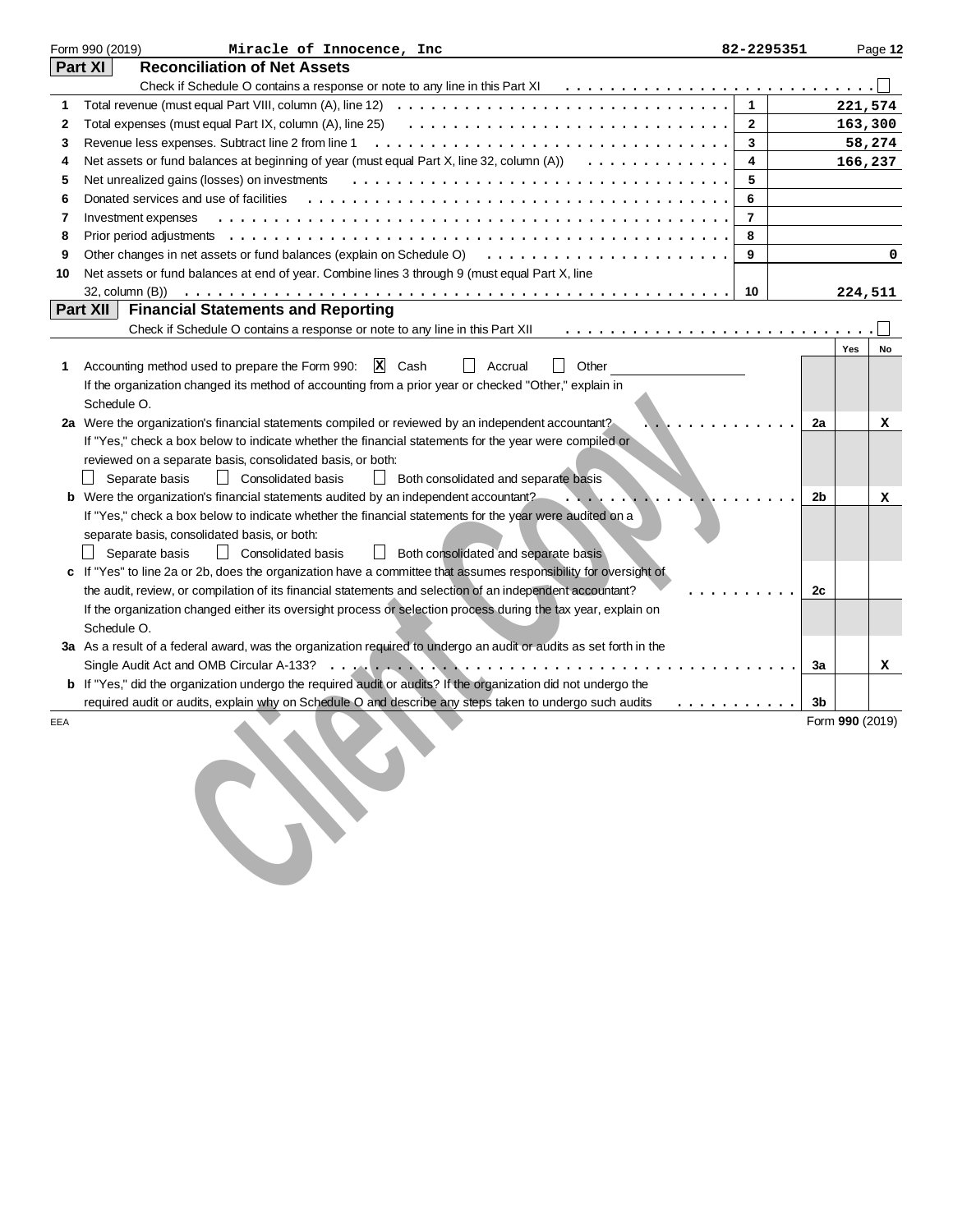|     | Form 990 (2019)<br>Miracle of Innocence, Inc                                                                                            | 82-2295351     |    |                 | Page 12 |
|-----|-----------------------------------------------------------------------------------------------------------------------------------------|----------------|----|-----------------|---------|
|     | <b>Reconciliation of Net Assets</b><br>Part XI                                                                                          |                |    |                 |         |
|     |                                                                                                                                         |                |    |                 |         |
|     | Total revenue (must equal Part VIII, column (A), line 12) $\ldots$ ,                                                                    | $\mathbf{1}$   |    | 221,574         |         |
| 2   | Total expenses (must equal Part IX, column (A), line 25) $\ldots \ldots \ldots \ldots \ldots \ldots \ldots \ldots \ldots \ldots \ldots$ | $\mathbf{2}$   |    | 163,300         |         |
| 3   | Revenue less expenses. Subtract line 2 from line 1                                                                                      | 3              |    |                 | 58,274  |
| 4   | Net assets or fund balances at beginning of year (must equal Part X, line 32, column $(A)$ ) $\ldots \ldots \ldots \ldots$              | 4              |    | 166,237         |         |
| 5   | Net unrealized gains (losses) on investments                                                                                            | 5              |    |                 |         |
| 6   | Donated services and use of facilities                                                                                                  | 6              |    |                 |         |
| 7   | Investment expenses                                                                                                                     | $\overline{7}$ |    |                 |         |
| 8   |                                                                                                                                         | 8              |    |                 |         |
| 9   | Other changes in net assets or fund balances (explain on Schedule O)                                                                    | 9              |    |                 | 0       |
| 10  | Net assets or fund balances at end of year. Combine lines 3 through 9 (must equal Part X, line                                          |                |    |                 |         |
|     |                                                                                                                                         | 10             |    | 224,511         |         |
|     | Part XII<br><b>Financial Statements and Reporting</b>                                                                                   |                |    |                 |         |
|     | Check if Schedule O contains a response or note to any line in this Part XII                                                            |                |    |                 |         |
|     |                                                                                                                                         |                |    | Yes             | No      |
| 1   | I Other<br>X Cash<br>Accounting method used to prepare the Form 990:<br>Accrual                                                         |                |    |                 |         |
|     | If the organization changed its method of accounting from a prior year or checked "Other," explain in                                   |                |    |                 |         |
|     | Schedule O.                                                                                                                             |                |    |                 |         |
|     | 2a Were the organization's financial statements compiled or reviewed by an independent accountant?                                      |                | 2a |                 | x       |
|     | If "Yes," check a box below to indicate whether the financial statements for the year were compiled or                                  |                |    |                 |         |
|     | reviewed on a separate basis, consolidated basis, or both:                                                                              |                |    |                 |         |
|     | Separate basis<br>Consolidated basis<br><b>Both consolidated and separate basis</b>                                                     |                |    |                 |         |
|     | b Were the organization's financial statements audited by an independent accountant?                                                    |                | 2b |                 | x       |
|     | If "Yes," check a box below to indicate whether the financial statements for the year were audited on a                                 |                |    |                 |         |
|     | separate basis, consolidated basis, or both:                                                                                            |                |    |                 |         |
|     | Consolidated basis<br>Separate basis<br>  Both consolidated and separate basis                                                          |                |    |                 |         |
|     | If "Yes" to line 2a or 2b, does the organization have a committee that assumes responsibility for oversight of                          |                |    |                 |         |
|     | the audit, review, or compilation of its financial statements and selection of an independent accountant?                               |                | 2с |                 |         |
|     | If the organization changed either its oversight process or selection process during the tax year, explain on                           |                |    |                 |         |
|     | Schedule O.                                                                                                                             |                |    |                 |         |
|     | 3a As a result of a federal award, was the organization required to undergo an audit or audits as set forth in the                      |                |    |                 |         |
|     |                                                                                                                                         |                | За |                 | x       |
|     | b If "Yes," did the organization undergo the required audit or audits? If the organization did not undergo the                          |                |    |                 |         |
|     | required audit or audits, explain why on Schedule O and describe any steps taken to undergo such audits                                 | .              | 3b |                 |         |
| EEA |                                                                                                                                         |                |    | Form 990 (2019) |         |
|     |                                                                                                                                         |                |    |                 |         |
|     |                                                                                                                                         |                |    |                 |         |
|     |                                                                                                                                         |                |    |                 |         |
|     |                                                                                                                                         |                |    |                 |         |
|     |                                                                                                                                         |                |    |                 |         |
|     |                                                                                                                                         |                |    |                 |         |
|     |                                                                                                                                         |                |    |                 |         |
|     |                                                                                                                                         |                |    |                 |         |
|     |                                                                                                                                         |                |    |                 |         |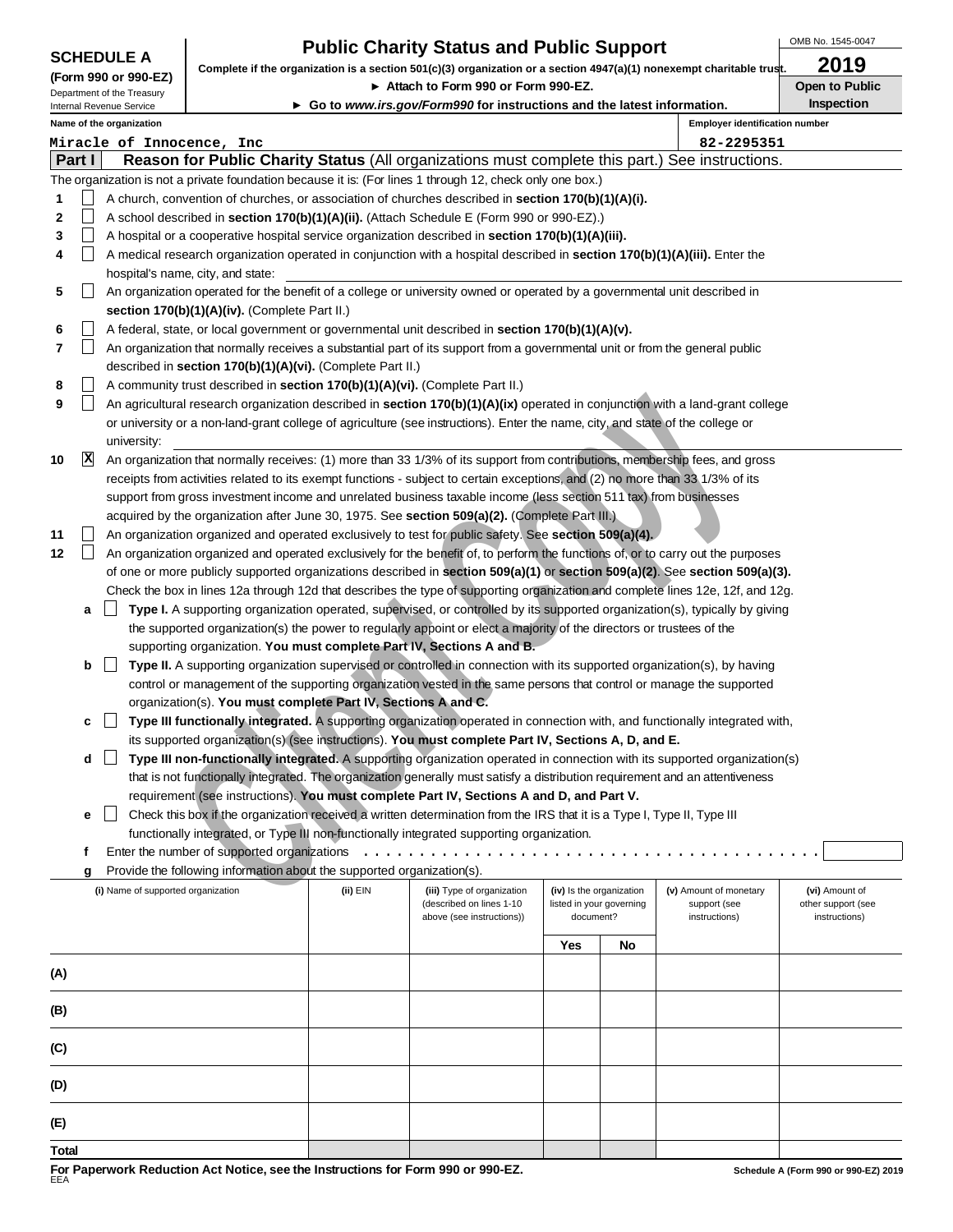| <b>SCHEDULE A</b> |  |
|-------------------|--|
|-------------------|--|

# **Public Charity Status and Public Support**

OMB No. 1545-0047

| (Form 990 or 990-EZ)       |  |
|----------------------------|--|
| Department of the Treasury |  |

**Complete if the organization is a section 501(c)(3) organization or a section 4947(a)(1) nonexempt charitable trust. 2019**

▶ Attach to Form 990 or Form 990-EZ. **Demetrical State of Public** Open to Public

**Inspection**

| Internal Revenue Service |
|--------------------------|
| Nome of the examination  |

**Go to www.irs.gov/Form990 for instructions and the latest information.**

|     |                   | Name of the organization<br><b>Employer identification number</b>                                                                  |          |                            |           |                          |                                        |                    |
|-----|-------------------|------------------------------------------------------------------------------------------------------------------------------------|----------|----------------------------|-----------|--------------------------|----------------------------------------|--------------------|
|     |                   | Miracle of Innocence, Inc                                                                                                          |          |                            |           |                          | 82-2295351                             |                    |
|     | Part I            | Reason for Public Charity Status (All organizations must complete this part.) See instructions.                                    |          |                            |           |                          |                                        |                    |
|     |                   | The organization is not a private foundation because it is: (For lines 1 through 12, check only one box.)                          |          |                            |           |                          |                                        |                    |
| 1   |                   | A church, convention of churches, or association of churches described in section 170(b)(1)(A)(i).                                 |          |                            |           |                          |                                        |                    |
| 2   |                   | A school described in section 170(b)(1)(A)(ii). (Attach Schedule E (Form 990 or 990-EZ).)                                          |          |                            |           |                          |                                        |                    |
| 3   | $\mathsf{L}$      | A hospital or a cooperative hospital service organization described in section 170(b)(1)(A)(iii).                                  |          |                            |           |                          |                                        |                    |
| 4   | $\vert \ \ \vert$ | A medical research organization operated in conjunction with a hospital described in section 170(b)(1)(A)(iii). Enter the          |          |                            |           |                          |                                        |                    |
|     |                   | hospital's name, city, and state:                                                                                                  |          |                            |           |                          |                                        |                    |
| 5   |                   | An organization operated for the benefit of a college or university owned or operated by a governmental unit described in          |          |                            |           |                          |                                        |                    |
|     |                   |                                                                                                                                    |          |                            |           |                          |                                        |                    |
|     |                   | section 170(b)(1)(A)(iv). (Complete Part II.)                                                                                      |          |                            |           |                          |                                        |                    |
| 6   |                   | A federal, state, or local government or governmental unit described in section 170(b)(1)(A)(v).                                   |          |                            |           |                          |                                        |                    |
| 7   |                   | An organization that normally receives a substantial part of its support from a governmental unit or from the general public       |          |                            |           |                          |                                        |                    |
|     |                   | described in section 170(b)(1)(A)(vi). (Complete Part II.)                                                                         |          |                            |           |                          |                                        |                    |
| 8   | $\vert \ \ \vert$ | A community trust described in section 170(b)(1)(A)(vi). (Complete Part II.)                                                       |          |                            |           |                          |                                        |                    |
| 9   | $\Box$            | An agricultural research organization described in section 170(b)(1)(A)(ix) operated in conjunction with a land-grant college      |          |                            |           |                          |                                        |                    |
|     |                   | or university or a non-land-grant college of agriculture (see instructions). Enter the name, city, and state of the college or     |          |                            |           |                          |                                        |                    |
|     |                   | university:                                                                                                                        |          |                            |           |                          |                                        |                    |
| 10  | $\mathbf{x}$      | An organization that normally receives: (1) more than 33 1/3% of its support from contributions, membership fees, and gross        |          |                            |           |                          |                                        |                    |
|     |                   | receipts from activities related to its exempt functions - subject to certain exceptions, and (2) no more than 33 1/3% of its      |          |                            |           |                          |                                        |                    |
|     |                   | support from gross investment income and unrelated business taxable income (less section 511 tax) from businesses                  |          |                            |           |                          |                                        |                    |
|     |                   | acquired by the organization after June 30, 1975. See section 509(a)(2). (Complete Part III.)                                      |          |                            |           |                          |                                        |                    |
| 11  | $\vert \ \ \vert$ | An organization organized and operated exclusively to test for public safety. See section 509(a)(4).                               |          |                            |           |                          |                                        |                    |
| 12  | $\Box$            | An organization organized and operated exclusively for the benefit of, to perform the functions of, or to carry out the purposes   |          |                            |           |                          |                                        |                    |
|     |                   | of one or more publicly supported organizations described in section 509(a)(1) or section 509(a)(2). See section 509(a)(3).        |          |                            |           |                          |                                        |                    |
|     |                   | Check the box in lines 12a through 12d that describes the type of supporting organization and complete lines 12e, 12f, and 12g.    |          |                            |           |                          |                                        |                    |
|     | a                 | Type I. A supporting organization operated, supervised, or controlled by its supported organization(s), typically by giving        |          |                            |           |                          |                                        |                    |
|     |                   | the supported organization(s) the power to regularly appoint or elect a majority of the directors or trustees of the               |          |                            |           |                          |                                        |                    |
|     |                   | supporting organization. You must complete Part IV, Sections A and B.                                                              |          |                            |           |                          |                                        |                    |
|     | b                 | $\perp$<br>Type II. A supporting organization supervised or controlled in connection with its supported organization(s), by having |          |                            |           |                          |                                        |                    |
|     |                   | control or management of the supporting organization vested in the same persons that control or manage the supported               |          |                            |           |                          |                                        |                    |
|     |                   | organization(s). You must complete Part IV, Sections A and C.                                                                      |          |                            |           |                          |                                        |                    |
|     | c                 | Type III functionally integrated. A supporting organization operated in connection with, and functionally integrated with,         |          |                            |           |                          |                                        |                    |
|     |                   | its supported organization(s) (see instructions). You must complete Part IV, Sections A, D, and E.                                 |          |                            |           |                          |                                        |                    |
|     | d                 | Type III non-functionally integrated. A supporting organization operated in connection with its supported organization(s)          |          |                            |           |                          |                                        |                    |
|     |                   | that is not functionally integrated. The organization generally must satisfy a distribution requirement and an attentiveness       |          |                            |           |                          |                                        |                    |
|     |                   | requirement (see instructions). You must complete Part IV, Sections A and D, and Part V.                                           |          |                            |           |                          |                                        |                    |
|     |                   | Check this box if the organization received a written determination from the IRS that it is a Type I, Type II, Type III            |          |                            |           |                          |                                        |                    |
|     |                   | functionally integrated, or Type III non-functionally integrated supporting organization.                                          |          |                            |           |                          |                                        |                    |
|     | f                 |                                                                                                                                    |          |                            |           |                          |                                        |                    |
|     |                   | Provide the following information about the supported organization(s).                                                             |          |                            |           |                          |                                        |                    |
|     | g                 | (i) Name of supported organization                                                                                                 | (ii) EIN | (iii) Type of organization |           | (iv) Is the organization |                                        | (vi) Amount of     |
|     |                   |                                                                                                                                    |          | (described on lines 1-10   |           | listed in your governing | (v) Amount of monetary<br>support (see | other support (see |
|     |                   |                                                                                                                                    |          | above (see instructions))  | document? |                          | instructions)                          | instructions)      |
|     |                   |                                                                                                                                    |          |                            |           |                          |                                        |                    |
|     |                   |                                                                                                                                    |          |                            | Yes       | No                       |                                        |                    |
| (A) |                   |                                                                                                                                    |          |                            |           |                          |                                        |                    |
|     |                   |                                                                                                                                    |          |                            |           |                          |                                        |                    |
| (B) |                   |                                                                                                                                    |          |                            |           |                          |                                        |                    |
|     |                   |                                                                                                                                    |          |                            |           |                          |                                        |                    |
| (C) |                   |                                                                                                                                    |          |                            |           |                          |                                        |                    |
|     |                   |                                                                                                                                    |          |                            |           |                          |                                        |                    |
| (D) |                   |                                                                                                                                    |          |                            |           |                          |                                        |                    |
|     |                   |                                                                                                                                    |          |                            |           |                          |                                        |                    |
|     |                   |                                                                                                                                    |          |                            |           |                          |                                        |                    |

**(E) Total**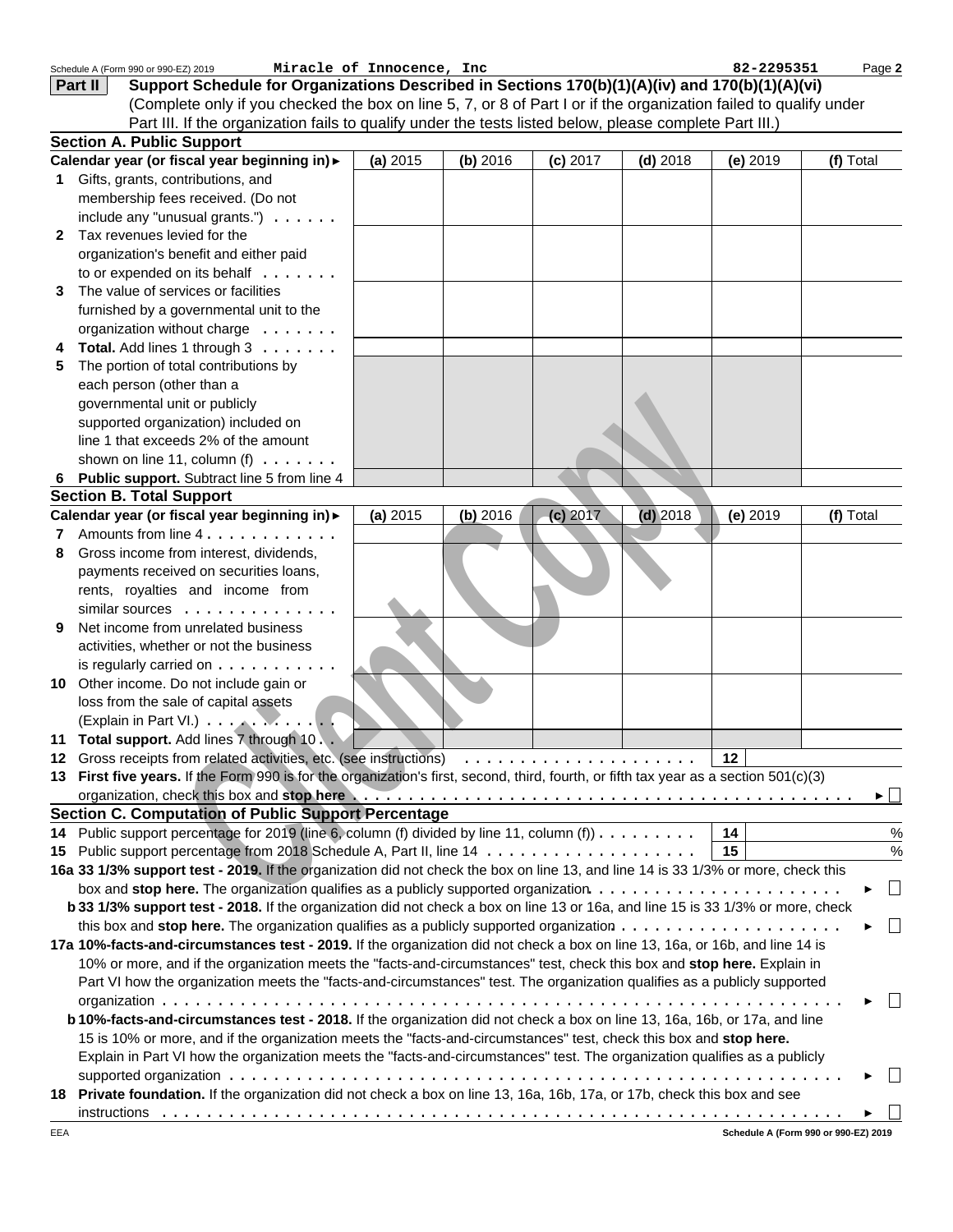|   | Schedule A (Form 990 or 990-EZ) 2019<br>Support Schedule for Organizations Described in Sections 170(b)(1)(A)(iv) and 170(b)(1)(A)(vi)<br>Part II                                                                              | Miracle of Innocence, Inc |            |            |            | 82-2295351 | Page 2        |
|---|--------------------------------------------------------------------------------------------------------------------------------------------------------------------------------------------------------------------------------|---------------------------|------------|------------|------------|------------|---------------|
|   | (Complete only if you checked the box on line 5, 7, or 8 of Part I or if the organization failed to qualify under                                                                                                              |                           |            |            |            |            |               |
|   | Part III. If the organization fails to qualify under the tests listed below, please complete Part III.)                                                                                                                        |                           |            |            |            |            |               |
|   | <b>Section A. Public Support</b>                                                                                                                                                                                               |                           |            |            |            |            |               |
|   | Calendar year (or fiscal year beginning in) >                                                                                                                                                                                  | (a) 2015                  | (b) 2016   | $(c)$ 2017 | $(d)$ 2018 | $(e)$ 2019 | (f) Total     |
| 1 | Gifts, grants, contributions, and                                                                                                                                                                                              |                           |            |            |            |            |               |
|   | membership fees received. (Do not                                                                                                                                                                                              |                           |            |            |            |            |               |
|   | include any "unusual grants.") $\ldots \ldots$                                                                                                                                                                                 |                           |            |            |            |            |               |
| 2 | Tax revenues levied for the                                                                                                                                                                                                    |                           |            |            |            |            |               |
|   | organization's benefit and either paid                                                                                                                                                                                         |                           |            |            |            |            |               |
|   | to or expended on its behalf                                                                                                                                                                                                   |                           |            |            |            |            |               |
| 3 | The value of services or facilities                                                                                                                                                                                            |                           |            |            |            |            |               |
|   | furnished by a governmental unit to the                                                                                                                                                                                        |                           |            |            |            |            |               |
|   | organization without charge                                                                                                                                                                                                    |                           |            |            |            |            |               |
|   | Total. Add lines 1 through 3                                                                                                                                                                                                   |                           |            |            |            |            |               |
| 5 | The portion of total contributions by                                                                                                                                                                                          |                           |            |            |            |            |               |
|   | each person (other than a                                                                                                                                                                                                      |                           |            |            |            |            |               |
|   | governmental unit or publicly                                                                                                                                                                                                  |                           |            |            |            |            |               |
|   | supported organization) included on                                                                                                                                                                                            |                           |            |            |            |            |               |
|   | line 1 that exceeds 2% of the amount                                                                                                                                                                                           |                           |            |            |            |            |               |
|   | shown on line 11, column (f) $\ldots \ldots$                                                                                                                                                                                   |                           |            |            |            |            |               |
| 6 | Public support. Subtract line 5 from line 4                                                                                                                                                                                    |                           |            |            |            |            |               |
|   | <b>Section B. Total Support</b>                                                                                                                                                                                                |                           |            |            |            |            |               |
|   | Calendar year (or fiscal year beginning in) >                                                                                                                                                                                  | (a) 2015                  | $(b)$ 2016 | $(c)$ 2017 | $(d)$ 2018 | $(e)$ 2019 | (f) Total     |
| 7 | Amounts from line 4.                                                                                                                                                                                                           |                           |            |            |            |            |               |
| 8 | Gross income from interest, dividends,                                                                                                                                                                                         |                           |            |            |            |            |               |
|   | payments received on securities loans,                                                                                                                                                                                         |                           |            |            |            |            |               |
|   | rents, royalties and income from                                                                                                                                                                                               |                           |            |            |            |            |               |
|   | similar sources $\ldots$                                                                                                                                                                                                       |                           |            |            |            |            |               |
| 9 | Net income from unrelated business                                                                                                                                                                                             |                           |            |            |            |            |               |
|   | activities, whether or not the business                                                                                                                                                                                        |                           |            |            |            |            |               |
|   | is regularly carried on $\dots \dots$                                                                                                                                                                                          |                           |            |            |            |            |               |
|   | 10 Other income. Do not include gain or                                                                                                                                                                                        |                           |            |            |            |            |               |
|   | loss from the sale of capital assets                                                                                                                                                                                           |                           |            |            |            |            |               |
|   | (Explain in Part VI.)                                                                                                                                                                                                          |                           |            |            |            |            |               |
|   | 11 Total support. Add lines 7 through 10. .                                                                                                                                                                                    |                           |            |            |            |            |               |
|   |                                                                                                                                                                                                                                |                           |            |            |            | 12         |               |
|   | 13 First five years. If the Form 990 is for the organization's first, second, third, fourth, or fifth tax year as a section 501(c)(3)                                                                                          |                           |            |            |            |            |               |
|   | organization, check this box and stop here with the state of the state of the state of the state of the state of the state of the state of the state of the state of the state of the state of the state of the state of the s |                           |            |            |            |            | ▸∐            |
|   | <b>Section C. Computation of Public Support Percentage</b>                                                                                                                                                                     |                           |            |            |            |            |               |
|   | 14 Public support percentage for 2019 (line 6, column (f) divided by line 11, column (f))                                                                                                                                      |                           |            |            |            | 14         | $\%$          |
|   |                                                                                                                                                                                                                                |                           |            |            |            | 15         | $\frac{0}{0}$ |
|   | 16a 33 1/3% support test - 2019. If the organization did not check the box on line 13, and line 14 is 33 1/3% or more, check this                                                                                              |                           |            |            |            |            |               |
|   |                                                                                                                                                                                                                                |                           |            |            |            |            | $\Box$        |
|   | b 33 1/3% support test - 2018. If the organization did not check a box on line 13 or 16a, and line 15 is 33 1/3% or more, check                                                                                                |                           |            |            |            |            |               |
|   | this box and stop here. The organization qualifies as a publicly supported organization $\ldots \ldots \ldots \ldots \ldots \ldots$                                                                                            |                           |            |            |            |            | $\Box$        |
|   | 17a 10%-facts-and-circumstances test - 2019. If the organization did not check a box on line 13, 16a, or 16b, and line 14 is                                                                                                   |                           |            |            |            |            |               |
|   | 10% or more, and if the organization meets the "facts-and-circumstances" test, check this box and stop here. Explain in                                                                                                        |                           |            |            |            |            |               |
|   | Part VI how the organization meets the "facts-and-circumstances" test. The organization qualifies as a publicly supported                                                                                                      |                           |            |            |            |            |               |
|   |                                                                                                                                                                                                                                |                           |            |            |            |            |               |
|   | b 10%-facts-and-circumstances test - 2018. If the organization did not check a box on line 13, 16a, 16b, or 17a, and line                                                                                                      |                           |            |            |            |            |               |
|   | 15 is 10% or more, and if the organization meets the "facts-and-circumstances" test, check this box and stop here.                                                                                                             |                           |            |            |            |            |               |
|   | Explain in Part VI how the organization meets the "facts-and-circumstances" test. The organization qualifies as a publicly                                                                                                     |                           |            |            |            |            |               |
|   |                                                                                                                                                                                                                                |                           |            |            |            |            |               |
|   | 18 Private foundation. If the organization did not check a box on line 13, 16a, 16b, 17a, or 17b, check this box and see                                                                                                       |                           |            |            |            |            |               |
|   |                                                                                                                                                                                                                                |                           |            |            |            |            |               |
|   |                                                                                                                                                                                                                                |                           |            |            |            |            |               |

**Schedule A (Form 990 or 990-EZ) 2019**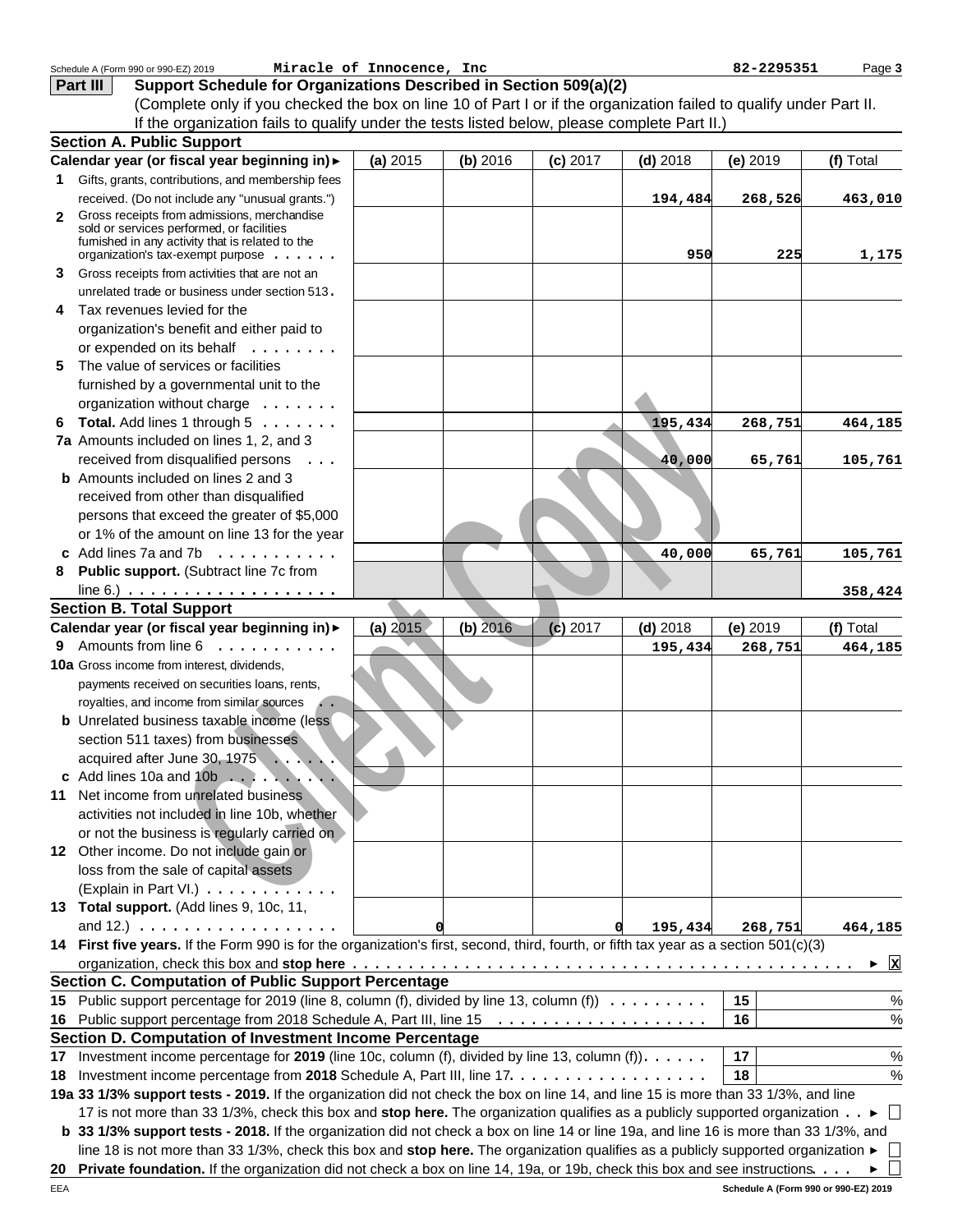|              | Schedule A (Form 990 or 990-EZ) 2019                                                                                                  | Miracle of Innocence, Inc |            |            |              | 82-2295351 | Page 3    |
|--------------|---------------------------------------------------------------------------------------------------------------------------------------|---------------------------|------------|------------|--------------|------------|-----------|
|              | Support Schedule for Organizations Described in Section 509(a)(2)<br>Part III                                                         |                           |            |            |              |            |           |
|              | (Complete only if you checked the box on line 10 of Part I or if the organization failed to qualify under Part II.                    |                           |            |            |              |            |           |
|              | If the organization fails to qualify under the tests listed below, please complete Part II.)                                          |                           |            |            |              |            |           |
|              | <b>Section A. Public Support</b>                                                                                                      |                           |            |            |              |            |           |
|              | Calendar year (or fiscal year beginning in) >                                                                                         | (a) 2015                  | (b) 2016   | $(c)$ 2017 | $(d)$ 2018   | $(e)$ 2019 | (f) Total |
|              | 1 Gifts, grants, contributions, and membership fees                                                                                   |                           |            |            |              |            |           |
|              | received. (Do not include any "unusual grants.")                                                                                      |                           |            |            | 194,484      | 268,526    | 463,010   |
| $\mathbf{2}$ | Gross receipts from admissions, merchandise                                                                                           |                           |            |            |              |            |           |
|              | sold or services performed, or facilities                                                                                             |                           |            |            |              |            |           |
|              | fumished in any activity that is related to the<br>organization's tax-exempt purpose                                                  |                           |            |            | 950          | 225        | 1,175     |
| 3            | Gross receipts from activities that are not an                                                                                        |                           |            |            |              |            |           |
|              | unrelated trade or business under section 513.                                                                                        |                           |            |            |              |            |           |
| 4            | Tax revenues levied for the                                                                                                           |                           |            |            |              |            |           |
|              | organization's benefit and either paid to                                                                                             |                           |            |            |              |            |           |
|              | or expended on its behalf                                                                                                             |                           |            |            |              |            |           |
| 5            | The value of services or facilities                                                                                                   |                           |            |            |              |            |           |
|              | furnished by a governmental unit to the                                                                                               |                           |            |            |              |            |           |
|              | organization without charge                                                                                                           |                           |            |            |              |            |           |
|              | 6 Total. Add lines 1 through $5 \ldots \ldots$                                                                                        |                           |            |            | 195,434      | 268,751    | 464,185   |
|              | 7a Amounts included on lines 1, 2, and 3                                                                                              |                           |            |            |              |            |           |
|              | received from disqualified persons<br>$\ldots$                                                                                        |                           |            |            | 40,000       | 65,761     | 105,761   |
|              | <b>b</b> Amounts included on lines 2 and 3                                                                                            |                           |            |            |              |            |           |
|              | received from other than disqualified                                                                                                 |                           |            |            |              |            |           |
|              | persons that exceed the greater of \$5,000                                                                                            |                           |            |            |              |            |           |
|              | or 1% of the amount on line 13 for the year                                                                                           |                           |            |            |              |            |           |
|              | c Add lines 7a and 7b $\ldots \ldots$                                                                                                 |                           |            |            | 40,000       | 65,761     | 105,761   |
| 8            | Public support. (Subtract line 7c from                                                                                                |                           |            |            |              |            |           |
|              | line 6.) $\ldots \ldots \ldots \ldots \ldots \ldots \ldots$                                                                           |                           |            |            |              |            | 358,424   |
|              | <b>Section B. Total Support</b>                                                                                                       |                           |            |            |              |            |           |
|              | Calendar year (or fiscal year beginning in) >                                                                                         | (a) 2015                  | $(b)$ 2016 | $(c)$ 2017 | $(d)$ 2018   | (e) 2019   | (f) Total |
|              | 9 Amounts from line 6                                                                                                                 |                           |            |            | 195,434      | 268,751    | 464,185   |
|              | <b>10a</b> Gross income from interest, dividends,                                                                                     |                           |            |            |              |            |           |
|              | payments received on securities loans, rents,                                                                                         |                           |            |            |              |            |           |
|              | royalties, and income from similar sources<br>$\ddot{\phantom{a}}$ .                                                                  |                           |            |            |              |            |           |
|              | <b>b</b> Unrelated business taxable income (less                                                                                      |                           |            |            |              |            |           |
|              | section 511 taxes) from businesses                                                                                                    |                           |            |            |              |            |           |
|              | acquired after June 30, 1975                                                                                                          |                           |            |            |              |            |           |
|              |                                                                                                                                       |                           |            |            |              |            |           |
|              | 11 Net income from unrelated business                                                                                                 |                           |            |            |              |            |           |
|              | activities not included in line 10b, whether                                                                                          |                           |            |            |              |            |           |
|              | or not the business is regularly carried on                                                                                           |                           |            |            |              |            |           |
|              | 12 Other income. Do not include gain or                                                                                               |                           |            |            |              |            |           |
|              | loss from the sale of capital assets                                                                                                  |                           |            |            |              |            |           |
|              | (Explain in Part VI.)                                                                                                                 |                           |            |            |              |            |           |
|              | 13 Total support. (Add lines 9, 10c, 11,                                                                                              |                           |            |            |              |            |           |
|              | and 12.) $\ldots \ldots \ldots \ldots \ldots$                                                                                         |                           |            |            | 195,434<br>O | 268,751    | 464,185   |
|              | 14 First five years. If the Form 990 is for the organization's first, second, third, fourth, or fifth tax year as a section 501(c)(3) |                           |            |            |              |            |           |
|              |                                                                                                                                       |                           |            |            |              |            | Ιx        |
|              | <b>Section C. Computation of Public Support Percentage</b>                                                                            |                           |            |            |              |            |           |
|              | 15 Public support percentage for 2019 (line 8, column (f), divided by line 13, column (f))                                            |                           |            |            |              | 15         | $\%$      |
|              |                                                                                                                                       |                           |            |            |              | 16         | $\%$      |
|              | Section D. Computation of Investment Income Percentage                                                                                |                           |            |            |              |            |           |
|              | 17 Investment income percentage for 2019 (line 10c, column (f), divided by line 13, column (f)).                                      |                           |            |            |              | 17         | $\%$      |
|              |                                                                                                                                       |                           |            |            |              | 18         | $\%$      |
|              | 19a 33 1/3% support tests - 2019. If the organization did not check the box on line 14, and line 15 is more than 33 1/3%, and line    |                           |            |            |              |            |           |
|              | 17 is not more than 33 1/3%, check this box and stop here. The organization qualifies as a publicly supported organization ►          |                           |            |            |              |            | $\Box$    |
|              | b 33 1/3% support tests - 2018. If the organization did not check a box on line 14 or line 19a, and line 16 is more than 33 1/3%, and |                           |            |            |              |            |           |
|              | line 18 is not more than 33 1/3%, check this box and stop here. The organization qualifies as a publicly supported organization ►     |                           |            |            |              |            |           |
|              | 20 Private foundation. If the organization did not check a box on line 14, 19a, or 19b, check this box and see instructions. ▶        |                           |            |            |              |            |           |
|              |                                                                                                                                       |                           |            |            |              |            |           |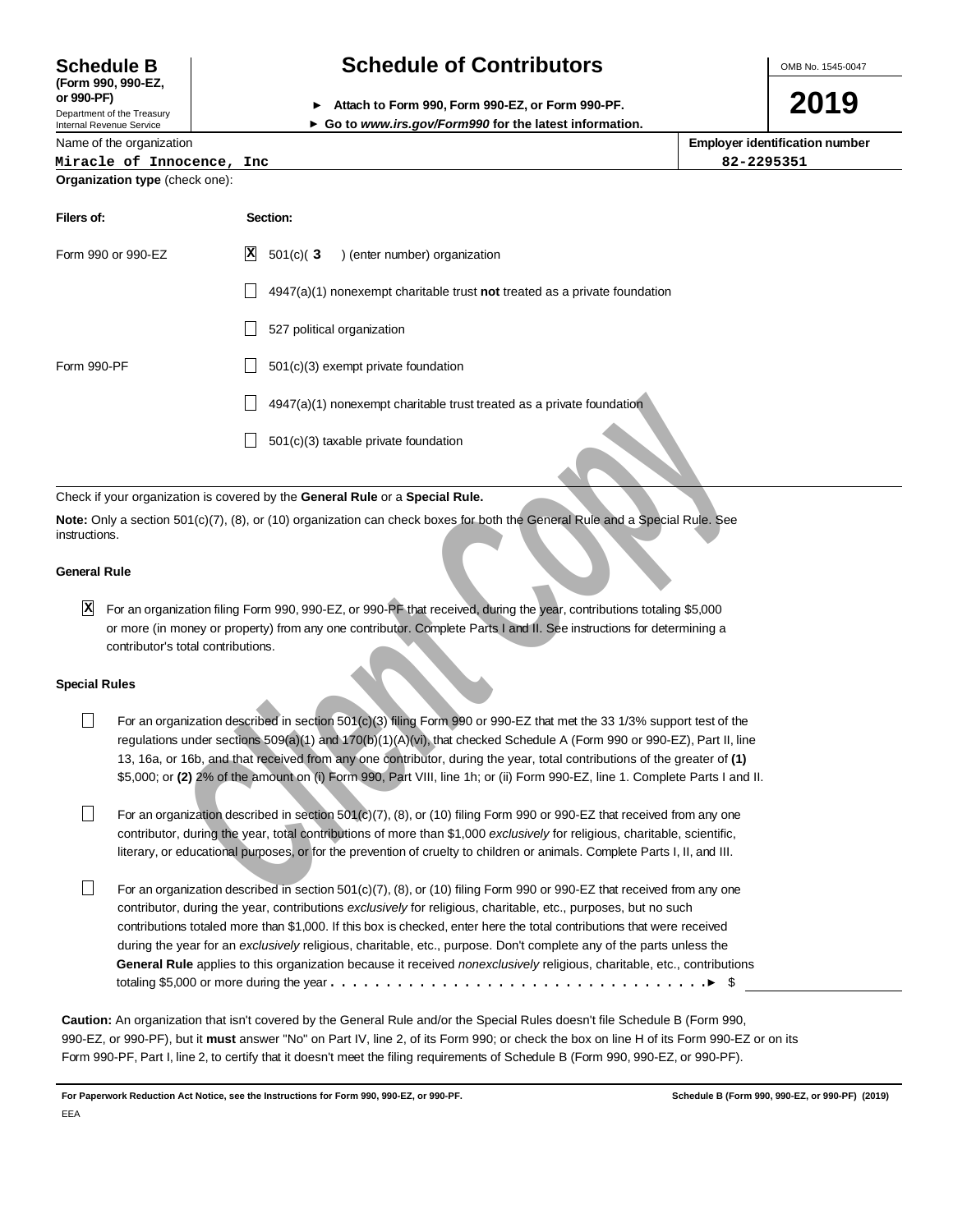# **Schedule B Schedule of Contributors**

Internal Revenue Service

**(Form 990, 990-EZ,** Department of the Treasury

OMB No. 1545-0047

**2019**

| or 990-PF)  | Attach to Form 990, Form 990-EZ, or Form 990-PF. |  |
|-------------|--------------------------------------------------|--|
| - - - - - - |                                                  |  |

### **Go to www.irs.gov/Form990 for the latest information.**

| Name of the organization              | <b>Employer identification number</b> |  |  |  |  |
|---------------------------------------|---------------------------------------|--|--|--|--|
| Miracle of Innocence, Inc.            | 82-2295351                            |  |  |  |  |
| <b>Organization type (check one):</b> |                                       |  |  |  |  |

| Filers of:         | Section:                                                                  |
|--------------------|---------------------------------------------------------------------------|
| Form 990 or 990-EZ | $\mathbf{x}$<br>$501(c)$ (3<br>) (enter number) organization              |
|                    | 4947(a)(1) nonexempt charitable trust not treated as a private foundation |
|                    | 527 political organization                                                |
| Form 990-PF        | 501(c)(3) exempt private foundation                                       |
|                    | 4947(a)(1) nonexempt charitable trust treated as a private foundation     |
|                    | 501(c)(3) taxable private foundation                                      |

## Check if your organization is covered by the **General Rule** or a **Special Rule.**

**Note:** Only a section 501(c)(7), (8), or (10) organization can check boxes for both the General Rule and a Special Rule. See instructions.

#### **General Rule**

For an organization filing Form 990, 990-EZ, or 990-PF that received, during the year, contributions totaling \$5,000 **X**or more (in money or property) from any one contributor. Complete Parts I and II. See instructions for determining a contributor's total contributions.

#### **Special Rules**

- For an organization described in section 501(c)(3) filing Form 990 or 990-EZ that met the 33 1/3% support test of the  $\Box$ regulations under sections 509(a)(1) and 170(b)(1)(A)(vi), that checked Schedule A (Form 990 or 990-EZ), Part II, line 13, 16a, or 16b, and that received from any one contributor, during the year, total contributions of the greater of **(1)** \$5,000; or **(2)** 2% of the amount on (i) Form 990, Part VIII, line 1h; or (ii) Form 990-EZ, line 1. Complete Parts I and II.
- For an organization described in section 501(c)(7), (8), or (10) filing Form 990 or 990-EZ that received from any one П contributor, during the year, total contributions of more than \$1,000 exclusively for religious, charitable, scientific, literary, or educational purposes, or for the prevention of cruelty to children or animals. Complete Parts I, II, and III.
- **Example 2** and the properties and the tractive than the state of a state of a state of the state of a Special Rule.<br>
The state of the contract Rule or a Special Rule.<br>
The state of CoPy (*C*), (8), or (10) organization П For an organization described in section 501(c)(7), (8), or (10) filing Form 990 or 990-EZ that received from any one contributor, during the year, contributions exclusively for religious, charitable, etc., purposes, but no such contributions totaled more than \$1,000. If this box is checked, enter here the total contributions that were received during the year for an exclusively religious, charitable, etc., purpose. Don't complete any of the parts unless the **General Rule** applies to this organization because it received nonexclusively religious, charitable, etc., contributions totaling \$5,000 or more during the year  $\dots\dots\dots\dots\dots\dots\dots\dots\dots\dots\dots\dots\dots\dots\dots\dots$

**Caution:** An organization that isn't covered by the General Rule and/or the Special Rules doesn't file Schedule B (Form 990, 990-EZ, or 990-PF), but it **must** answer "No" on Part IV, line 2, of its Form 990; or check the box on line H of its Form 990-EZ or on its Form 990-PF, Part I, line 2, to certify that it doesn't meet the filing requirements of Schedule B (Form 990, 990-EZ, or 990-PF).

**For Paperwork Reduction Act Notice, see the Instructions for Form 990, 990-EZ, or 990-PF. Schedule B (Form 990, 990-EZ, or 990-PF) (2019)**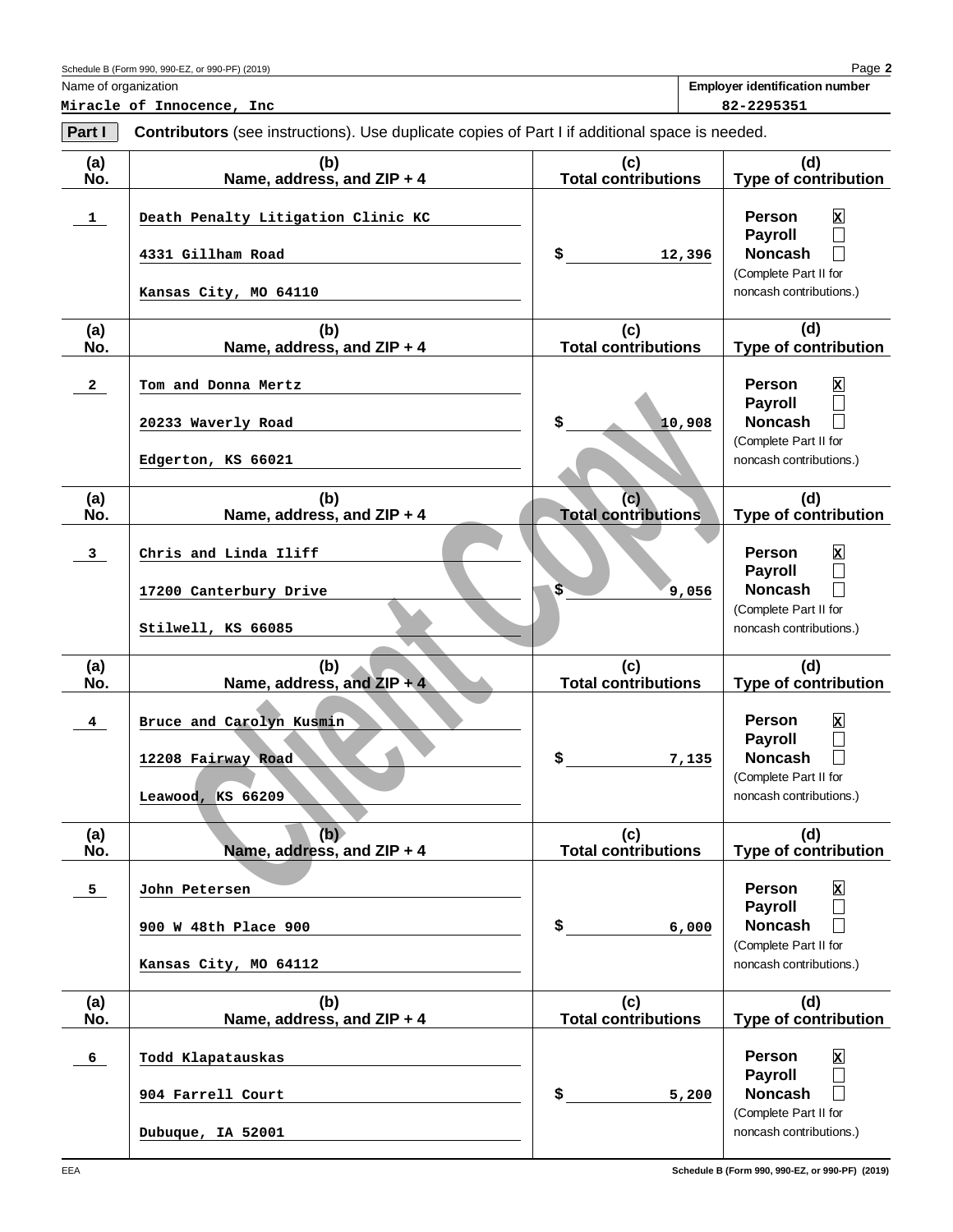Name of organization

**2** Page **Employer identification number**

**Miracle of Innocence, Inc 82-2295351** 

| Part I                  | <b>Contributors</b> (see instructions). Use duplicate copies of Part I if additional space is needed. |                                   |                                                                                                                                                  |
|-------------------------|-------------------------------------------------------------------------------------------------------|-----------------------------------|--------------------------------------------------------------------------------------------------------------------------------------------------|
| (a)<br>No.              | (b)<br>Name, address, and ZIP + 4                                                                     | (c)<br><b>Total contributions</b> | (d)<br><b>Type of contribution</b>                                                                                                               |
| $\mathbf{1}$            | Death Penalty Litigation Clinic KC                                                                    |                                   | <b>Person</b><br>$\mathbf x$<br><b>Payroll</b><br>$\Box$                                                                                         |
|                         | 4331 Gillham Road<br>Kansas City, MO 64110                                                            | \$<br>12,396                      | <b>Noncash</b><br>(Complete Part II for<br>noncash contributions.)                                                                               |
| (a)                     | (b)                                                                                                   | (c)                               | (d)                                                                                                                                              |
| No.                     | Name, address, and ZIP + 4                                                                            | <b>Total contributions</b>        | <b>Type of contribution</b>                                                                                                                      |
| $\mathbf{2}$            | Tom and Donna Mertz                                                                                   |                                   | <b>Person</b><br>$\mathbf x$                                                                                                                     |
|                         | 20233 Waverly Road                                                                                    | \$<br>10,908                      | <b>Payroll</b><br>$\Box$<br><b>Noncash</b>                                                                                                       |
|                         | Edgerton, KS 66021                                                                                    |                                   | (Complete Part II for<br>noncash contributions.)                                                                                                 |
| (a)<br>No.              | (b)<br>Name, address, and ZIP + 4                                                                     | (c)<br><b>Total contributions</b> | (d)<br><b>Type of contribution</b>                                                                                                               |
| $\mathbf{3}$            | Chris and Linda Iliff                                                                                 |                                   | <b>Person</b><br>$\mathbf x$<br><b>Payroll</b>                                                                                                   |
|                         | 17200 Canterbury Drive                                                                                | $\overline{\mathbb{S}}$<br>9,056  | $\Box$<br><b>Noncash</b>                                                                                                                         |
|                         | Stilwell, KS 66085                                                                                    |                                   | (Complete Part II for<br>noncash contributions.)                                                                                                 |
| (a)<br>No.              | (b)<br>Name, address, and ZIP + 4                                                                     | (c)<br><b>Total contributions</b> | (d)<br><b>Type of contribution</b>                                                                                                               |
| $\overline{\mathbf{4}}$ | Bruce and Carolyn Kusmin<br>12208 Fairway Road<br>Leawood, KS 66209                                   | \$<br>7,135                       | <b>Person</b><br>$\mathbf x$<br><b>Payroll</b><br>$\overline{\phantom{a}}$<br><b>Noncash</b><br>(Complete Part II for<br>noncash contributions.) |
| (a)<br>No.              | (b)<br>Name, address, and ZIP + 4                                                                     | (c)<br><b>Total contributions</b> | (d)<br><b>Type of contribution</b>                                                                                                               |
| 5                       | John Petersen                                                                                         |                                   | <b>Person</b><br>$\mathbf{x}$                                                                                                                    |
|                         | 900 W 48th Place 900                                                                                  | \$<br>6,000                       | Payroll<br>$\Box$<br><b>Noncash</b><br>$\mathbf{I}$                                                                                              |
|                         | Kansas City, MO 64112                                                                                 |                                   | (Complete Part II for<br>noncash contributions.)                                                                                                 |
| (a)<br>No.              | (b)<br>Name, address, and ZIP + 4                                                                     | (c)<br><b>Total contributions</b> | (d)<br><b>Type of contribution</b>                                                                                                               |
| 6                       | Todd Klapatauskas                                                                                     |                                   | Person<br>$\mathbf{x}$                                                                                                                           |
|                         | 904 Farrell Court                                                                                     | \$<br>5,200                       | <b>Payroll</b><br>$\Box$<br><b>Noncash</b><br>$\mathbf{L}$<br>(Complete Part II for                                                              |
|                         | Dubuque, IA 52001                                                                                     |                                   | noncash contributions.)                                                                                                                          |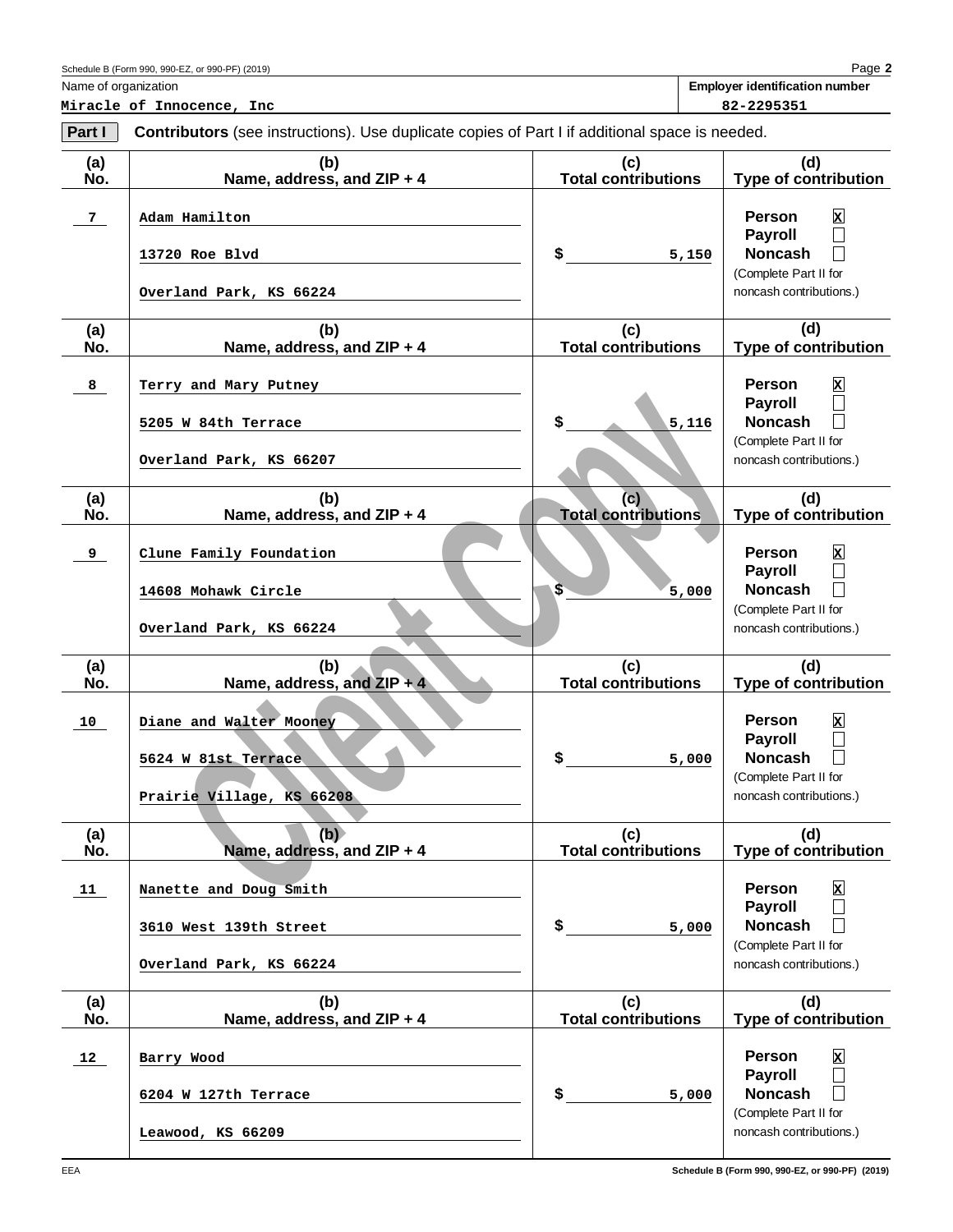Name of organization

**2** Page

**Employer identification number**

Schedule B (Form 990, 990-EZ, or 990-PF) (2019)

**Miracle of Innocence, Inc 82-2295351**

| Part I         | <b>Contributors</b> (see instructions). Use duplicate copies of Part I if additional space is needed. |                                   |                                                                                                                                                                                  |
|----------------|-------------------------------------------------------------------------------------------------------|-----------------------------------|----------------------------------------------------------------------------------------------------------------------------------------------------------------------------------|
| (a)<br>No.     | (b)<br>Name, address, and ZIP + 4                                                                     | (c)<br><b>Total contributions</b> | (d)<br><b>Type of contribution</b>                                                                                                                                               |
| 7 <sub>1</sub> | Adam Hamilton<br>13720 Roe Blvd<br>Overland Park, KS 66224                                            | \$<br>5,150                       | $\mathbf x$<br><b>Person</b><br><b>Payroll</b><br>$\Box$<br><b>Noncash</b><br>$\mathbf{L}$<br>(Complete Part II for<br>noncash contributions.)                                   |
| (a)<br>No.     | (b)<br>Name, address, and ZIP + 4                                                                     | (c)<br><b>Total contributions</b> | (d)<br><b>Type of contribution</b>                                                                                                                                               |
| 8              | Terry and Mary Putney<br>5205 W 84th Terrace<br>Overland Park, KS 66207                               | \$<br>5,116                       | <b>Person</b><br>$\mathbf{x}$<br><b>Payroll</b><br>$\Box$<br><b>Noncash</b><br>$\Box$<br>(Complete Part II for<br>noncash contributions.)                                        |
| (a)<br>No.     | (b)<br>Name, address, and ZIP + 4                                                                     | (c)<br><b>Total contributions</b> | (d)<br><b>Type of contribution</b>                                                                                                                                               |
| 9              | Clune Family Foundation<br>14608 Mohawk Circle<br>Overland Park, KS 66224                             | \$<br>5,000                       | $\mathbf x$<br><b>Person</b><br><b>Payroll</b><br>$\Box$<br><b>Noncash</b><br>$\Box$<br>(Complete Part II for<br>noncash contributions.)                                         |
| (a)<br>No.     | (b)<br>Name, address, and $ZIP + 4$                                                                   | (c)<br><b>Total contributions</b> | (d)<br>Type of contribution                                                                                                                                                      |
| 10             | Diane and Walter Mooney<br>5624 W 81st Terrace<br>Prairie Village, KS 66208                           | \$<br>5,000                       | $\mathbf x$<br><b>Person</b><br><b>Payroll</b><br>$\Box$<br><b>Noncash</b><br>$\mathbb{L}$<br>(Complete Part II for<br>noncash contributions.)                                   |
| (a)<br>No.     | (b)<br>Name, address, and ZIP + 4                                                                     | (c)<br><b>Total contributions</b> | (d)<br><b>Type of contribution</b>                                                                                                                                               |
| <u>11</u>      | Nanette and Doug Smith<br>3610 West 139th Street<br>Overland Park, KS 66224                           | \$<br>5,000                       | <b>Person</b><br>$\mathbf{x}$<br><b>Payroll</b><br>$\mathcal{L}_{\mathcal{A}}$<br><b>Noncash</b><br>$\overline{\phantom{a}}$<br>(Complete Part II for<br>noncash contributions.) |
| (a)<br>No.     | (b)<br>Name, address, and ZIP + 4                                                                     | (c)<br><b>Total contributions</b> | (d)<br><b>Type of contribution</b>                                                                                                                                               |
| 12             | Barry Wood<br>6204 W 127th Terrace<br>Leawood, KS 66209                                               | \$<br>5,000                       | <b>Person</b><br>$\mathbf{x}$<br><b>Payroll</b><br>$\overline{\phantom{0}}$<br><b>Noncash</b><br>$\mathsf{L}$<br>(Complete Part II for<br>noncash contributions.)                |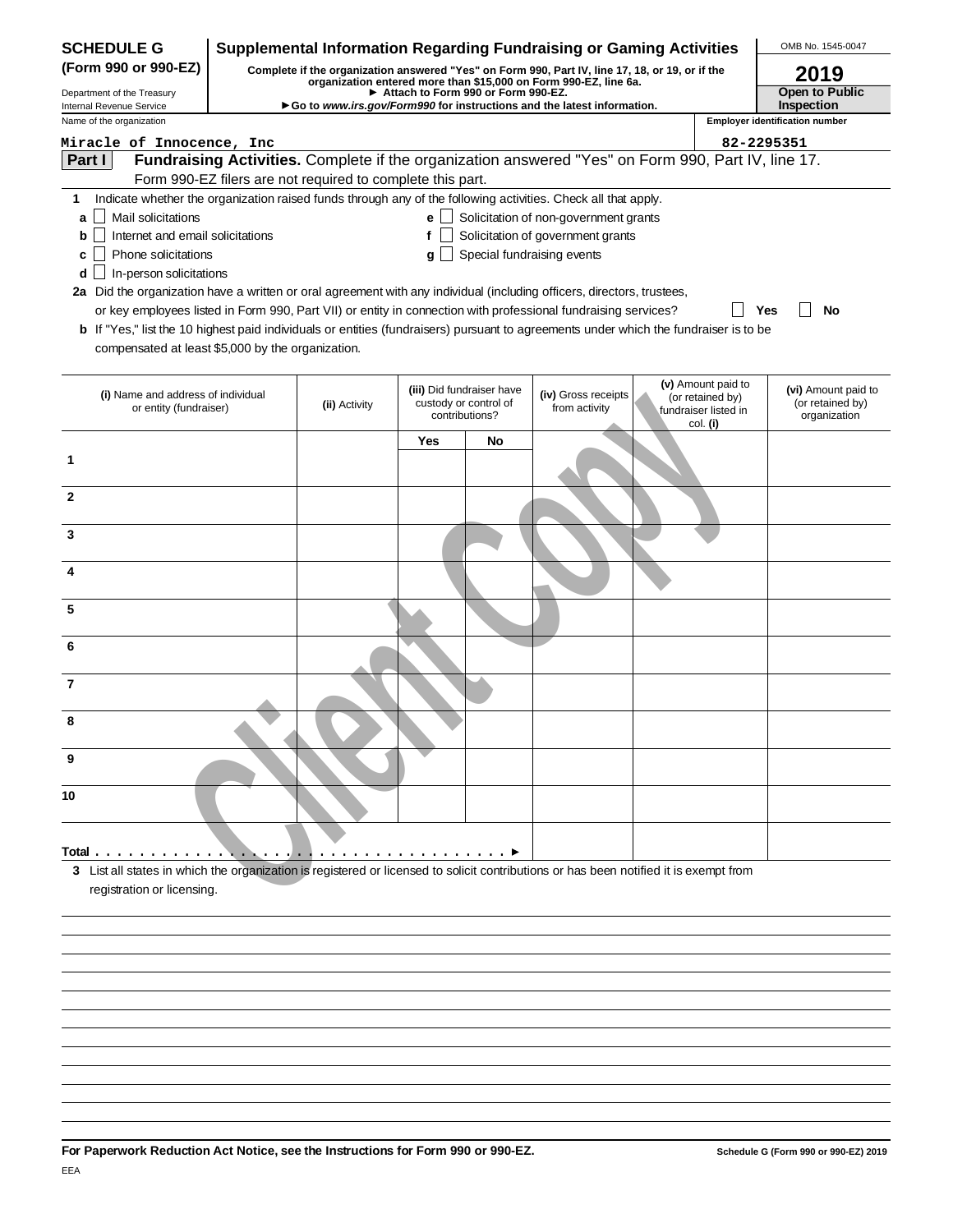| Complete if the organization answered "Yes" on Form 990, Part IV, line 17, 18, or 19, or if the<br>2019<br>organization entered more than \$15,000 on Form 990-EZ, line 6a.<br>Open to Public<br>Attach to Form 990 or Form 990-EZ.<br>Inspection<br>Go to www.irs.gov/Form990 for instructions and the latest information.<br>Internal Revenue Service<br><b>Employer identification number</b><br>Miracle of Innocence, Inc<br>82-2295351<br>Fundraising Activities. Complete if the organization answered "Yes" on Form 990, Part IV, line 17.<br>Part I<br>Form 990-EZ filers are not required to complete this part.<br>Indicate whether the organization raised funds through any of the following activities. Check all that apply.<br>1.<br>$e$ Solicitation of non-government grants<br>Mail solicitations<br>a<br>Solicitation of government grants<br>Internet and email solicitations<br>f<br>b<br>Special fundraising events<br>Phone solicitations<br>c<br>g<br>In-person solicitations<br>d<br>2a Did the organization have a written or oral agreement with any individual (including officers, directors, trustees,<br>or key employees listed in Form 990, Part VII) or entity in connection with professional fundraising services?<br>Yes<br>No<br><b>b</b> If "Yes," list the 10 highest paid individuals or entities (fundraisers) pursuant to agreements under which the fundraiser is to be<br>compensated at least \$5,000 by the organization.<br>(v) Amount paid to<br>(vi) Amount paid to<br>(iii) Did fundraiser have<br>(iv) Gross receipts<br>(i) Name and address of individual<br>(or retained by)<br>custody or control of<br>(or retained by)<br>(ii) Activity<br>or entity (fundraiser)<br>from activity<br>fundraiser listed in<br>contributions?<br>organization<br>col. (i)<br>Yes<br>No<br>1<br>2<br>3<br>4<br>5<br>6<br>7<br>8<br>9<br>10<br>.<br>3 List all states in which the organization is registered or licensed to solicit contributions or has been notified it is exempt from<br>registration or licensing. | <b>SCHEDULE G</b>          |  |  | <b>Supplemental Information Regarding Fundraising or Gaming Activities</b> |  | OMB No. 1545-0047 |
|----------------------------------------------------------------------------------------------------------------------------------------------------------------------------------------------------------------------------------------------------------------------------------------------------------------------------------------------------------------------------------------------------------------------------------------------------------------------------------------------------------------------------------------------------------------------------------------------------------------------------------------------------------------------------------------------------------------------------------------------------------------------------------------------------------------------------------------------------------------------------------------------------------------------------------------------------------------------------------------------------------------------------------------------------------------------------------------------------------------------------------------------------------------------------------------------------------------------------------------------------------------------------------------------------------------------------------------------------------------------------------------------------------------------------------------------------------------------------------------------------------------------------------------------------------------------------------------------------------------------------------------------------------------------------------------------------------------------------------------------------------------------------------------------------------------------------------------------------------------------------------------------------------------------------------------------------------------------------------------------------------------------------------------------------------------|----------------------------|--|--|----------------------------------------------------------------------------|--|-------------------|
|                                                                                                                                                                                                                                                                                                                                                                                                                                                                                                                                                                                                                                                                                                                                                                                                                                                                                                                                                                                                                                                                                                                                                                                                                                                                                                                                                                                                                                                                                                                                                                                                                                                                                                                                                                                                                                                                                                                                                                                                                                                                | (Form 990 or 990-EZ)       |  |  |                                                                            |  |                   |
|                                                                                                                                                                                                                                                                                                                                                                                                                                                                                                                                                                                                                                                                                                                                                                                                                                                                                                                                                                                                                                                                                                                                                                                                                                                                                                                                                                                                                                                                                                                                                                                                                                                                                                                                                                                                                                                                                                                                                                                                                                                                | Department of the Treasury |  |  |                                                                            |  |                   |
|                                                                                                                                                                                                                                                                                                                                                                                                                                                                                                                                                                                                                                                                                                                                                                                                                                                                                                                                                                                                                                                                                                                                                                                                                                                                                                                                                                                                                                                                                                                                                                                                                                                                                                                                                                                                                                                                                                                                                                                                                                                                | Name of the organization   |  |  |                                                                            |  |                   |
|                                                                                                                                                                                                                                                                                                                                                                                                                                                                                                                                                                                                                                                                                                                                                                                                                                                                                                                                                                                                                                                                                                                                                                                                                                                                                                                                                                                                                                                                                                                                                                                                                                                                                                                                                                                                                                                                                                                                                                                                                                                                |                            |  |  |                                                                            |  |                   |
|                                                                                                                                                                                                                                                                                                                                                                                                                                                                                                                                                                                                                                                                                                                                                                                                                                                                                                                                                                                                                                                                                                                                                                                                                                                                                                                                                                                                                                                                                                                                                                                                                                                                                                                                                                                                                                                                                                                                                                                                                                                                |                            |  |  |                                                                            |  |                   |
|                                                                                                                                                                                                                                                                                                                                                                                                                                                                                                                                                                                                                                                                                                                                                                                                                                                                                                                                                                                                                                                                                                                                                                                                                                                                                                                                                                                                                                                                                                                                                                                                                                                                                                                                                                                                                                                                                                                                                                                                                                                                |                            |  |  |                                                                            |  |                   |
|                                                                                                                                                                                                                                                                                                                                                                                                                                                                                                                                                                                                                                                                                                                                                                                                                                                                                                                                                                                                                                                                                                                                                                                                                                                                                                                                                                                                                                                                                                                                                                                                                                                                                                                                                                                                                                                                                                                                                                                                                                                                |                            |  |  |                                                                            |  |                   |
|                                                                                                                                                                                                                                                                                                                                                                                                                                                                                                                                                                                                                                                                                                                                                                                                                                                                                                                                                                                                                                                                                                                                                                                                                                                                                                                                                                                                                                                                                                                                                                                                                                                                                                                                                                                                                                                                                                                                                                                                                                                                |                            |  |  |                                                                            |  |                   |
|                                                                                                                                                                                                                                                                                                                                                                                                                                                                                                                                                                                                                                                                                                                                                                                                                                                                                                                                                                                                                                                                                                                                                                                                                                                                                                                                                                                                                                                                                                                                                                                                                                                                                                                                                                                                                                                                                                                                                                                                                                                                |                            |  |  |                                                                            |  |                   |
|                                                                                                                                                                                                                                                                                                                                                                                                                                                                                                                                                                                                                                                                                                                                                                                                                                                                                                                                                                                                                                                                                                                                                                                                                                                                                                                                                                                                                                                                                                                                                                                                                                                                                                                                                                                                                                                                                                                                                                                                                                                                |                            |  |  |                                                                            |  |                   |
|                                                                                                                                                                                                                                                                                                                                                                                                                                                                                                                                                                                                                                                                                                                                                                                                                                                                                                                                                                                                                                                                                                                                                                                                                                                                                                                                                                                                                                                                                                                                                                                                                                                                                                                                                                                                                                                                                                                                                                                                                                                                |                            |  |  |                                                                            |  |                   |
|                                                                                                                                                                                                                                                                                                                                                                                                                                                                                                                                                                                                                                                                                                                                                                                                                                                                                                                                                                                                                                                                                                                                                                                                                                                                                                                                                                                                                                                                                                                                                                                                                                                                                                                                                                                                                                                                                                                                                                                                                                                                |                            |  |  |                                                                            |  |                   |
|                                                                                                                                                                                                                                                                                                                                                                                                                                                                                                                                                                                                                                                                                                                                                                                                                                                                                                                                                                                                                                                                                                                                                                                                                                                                                                                                                                                                                                                                                                                                                                                                                                                                                                                                                                                                                                                                                                                                                                                                                                                                |                            |  |  |                                                                            |  |                   |
|                                                                                                                                                                                                                                                                                                                                                                                                                                                                                                                                                                                                                                                                                                                                                                                                                                                                                                                                                                                                                                                                                                                                                                                                                                                                                                                                                                                                                                                                                                                                                                                                                                                                                                                                                                                                                                                                                                                                                                                                                                                                |                            |  |  |                                                                            |  |                   |
|                                                                                                                                                                                                                                                                                                                                                                                                                                                                                                                                                                                                                                                                                                                                                                                                                                                                                                                                                                                                                                                                                                                                                                                                                                                                                                                                                                                                                                                                                                                                                                                                                                                                                                                                                                                                                                                                                                                                                                                                                                                                |                            |  |  |                                                                            |  |                   |
|                                                                                                                                                                                                                                                                                                                                                                                                                                                                                                                                                                                                                                                                                                                                                                                                                                                                                                                                                                                                                                                                                                                                                                                                                                                                                                                                                                                                                                                                                                                                                                                                                                                                                                                                                                                                                                                                                                                                                                                                                                                                |                            |  |  |                                                                            |  |                   |
|                                                                                                                                                                                                                                                                                                                                                                                                                                                                                                                                                                                                                                                                                                                                                                                                                                                                                                                                                                                                                                                                                                                                                                                                                                                                                                                                                                                                                                                                                                                                                                                                                                                                                                                                                                                                                                                                                                                                                                                                                                                                |                            |  |  |                                                                            |  |                   |
|                                                                                                                                                                                                                                                                                                                                                                                                                                                                                                                                                                                                                                                                                                                                                                                                                                                                                                                                                                                                                                                                                                                                                                                                                                                                                                                                                                                                                                                                                                                                                                                                                                                                                                                                                                                                                                                                                                                                                                                                                                                                |                            |  |  |                                                                            |  |                   |
|                                                                                                                                                                                                                                                                                                                                                                                                                                                                                                                                                                                                                                                                                                                                                                                                                                                                                                                                                                                                                                                                                                                                                                                                                                                                                                                                                                                                                                                                                                                                                                                                                                                                                                                                                                                                                                                                                                                                                                                                                                                                |                            |  |  |                                                                            |  |                   |
|                                                                                                                                                                                                                                                                                                                                                                                                                                                                                                                                                                                                                                                                                                                                                                                                                                                                                                                                                                                                                                                                                                                                                                                                                                                                                                                                                                                                                                                                                                                                                                                                                                                                                                                                                                                                                                                                                                                                                                                                                                                                |                            |  |  |                                                                            |  |                   |
|                                                                                                                                                                                                                                                                                                                                                                                                                                                                                                                                                                                                                                                                                                                                                                                                                                                                                                                                                                                                                                                                                                                                                                                                                                                                                                                                                                                                                                                                                                                                                                                                                                                                                                                                                                                                                                                                                                                                                                                                                                                                |                            |  |  |                                                                            |  |                   |
|                                                                                                                                                                                                                                                                                                                                                                                                                                                                                                                                                                                                                                                                                                                                                                                                                                                                                                                                                                                                                                                                                                                                                                                                                                                                                                                                                                                                                                                                                                                                                                                                                                                                                                                                                                                                                                                                                                                                                                                                                                                                |                            |  |  |                                                                            |  |                   |
|                                                                                                                                                                                                                                                                                                                                                                                                                                                                                                                                                                                                                                                                                                                                                                                                                                                                                                                                                                                                                                                                                                                                                                                                                                                                                                                                                                                                                                                                                                                                                                                                                                                                                                                                                                                                                                                                                                                                                                                                                                                                |                            |  |  |                                                                            |  |                   |
|                                                                                                                                                                                                                                                                                                                                                                                                                                                                                                                                                                                                                                                                                                                                                                                                                                                                                                                                                                                                                                                                                                                                                                                                                                                                                                                                                                                                                                                                                                                                                                                                                                                                                                                                                                                                                                                                                                                                                                                                                                                                |                            |  |  |                                                                            |  |                   |
|                                                                                                                                                                                                                                                                                                                                                                                                                                                                                                                                                                                                                                                                                                                                                                                                                                                                                                                                                                                                                                                                                                                                                                                                                                                                                                                                                                                                                                                                                                                                                                                                                                                                                                                                                                                                                                                                                                                                                                                                                                                                |                            |  |  |                                                                            |  |                   |
|                                                                                                                                                                                                                                                                                                                                                                                                                                                                                                                                                                                                                                                                                                                                                                                                                                                                                                                                                                                                                                                                                                                                                                                                                                                                                                                                                                                                                                                                                                                                                                                                                                                                                                                                                                                                                                                                                                                                                                                                                                                                |                            |  |  |                                                                            |  |                   |
|                                                                                                                                                                                                                                                                                                                                                                                                                                                                                                                                                                                                                                                                                                                                                                                                                                                                                                                                                                                                                                                                                                                                                                                                                                                                                                                                                                                                                                                                                                                                                                                                                                                                                                                                                                                                                                                                                                                                                                                                                                                                |                            |  |  |                                                                            |  |                   |
|                                                                                                                                                                                                                                                                                                                                                                                                                                                                                                                                                                                                                                                                                                                                                                                                                                                                                                                                                                                                                                                                                                                                                                                                                                                                                                                                                                                                                                                                                                                                                                                                                                                                                                                                                                                                                                                                                                                                                                                                                                                                |                            |  |  |                                                                            |  |                   |
|                                                                                                                                                                                                                                                                                                                                                                                                                                                                                                                                                                                                                                                                                                                                                                                                                                                                                                                                                                                                                                                                                                                                                                                                                                                                                                                                                                                                                                                                                                                                                                                                                                                                                                                                                                                                                                                                                                                                                                                                                                                                |                            |  |  |                                                                            |  |                   |
|                                                                                                                                                                                                                                                                                                                                                                                                                                                                                                                                                                                                                                                                                                                                                                                                                                                                                                                                                                                                                                                                                                                                                                                                                                                                                                                                                                                                                                                                                                                                                                                                                                                                                                                                                                                                                                                                                                                                                                                                                                                                |                            |  |  |                                                                            |  |                   |
|                                                                                                                                                                                                                                                                                                                                                                                                                                                                                                                                                                                                                                                                                                                                                                                                                                                                                                                                                                                                                                                                                                                                                                                                                                                                                                                                                                                                                                                                                                                                                                                                                                                                                                                                                                                                                                                                                                                                                                                                                                                                |                            |  |  |                                                                            |  |                   |
|                                                                                                                                                                                                                                                                                                                                                                                                                                                                                                                                                                                                                                                                                                                                                                                                                                                                                                                                                                                                                                                                                                                                                                                                                                                                                                                                                                                                                                                                                                                                                                                                                                                                                                                                                                                                                                                                                                                                                                                                                                                                |                            |  |  |                                                                            |  |                   |
|                                                                                                                                                                                                                                                                                                                                                                                                                                                                                                                                                                                                                                                                                                                                                                                                                                                                                                                                                                                                                                                                                                                                                                                                                                                                                                                                                                                                                                                                                                                                                                                                                                                                                                                                                                                                                                                                                                                                                                                                                                                                |                            |  |  |                                                                            |  |                   |
|                                                                                                                                                                                                                                                                                                                                                                                                                                                                                                                                                                                                                                                                                                                                                                                                                                                                                                                                                                                                                                                                                                                                                                                                                                                                                                                                                                                                                                                                                                                                                                                                                                                                                                                                                                                                                                                                                                                                                                                                                                                                |                            |  |  |                                                                            |  |                   |
|                                                                                                                                                                                                                                                                                                                                                                                                                                                                                                                                                                                                                                                                                                                                                                                                                                                                                                                                                                                                                                                                                                                                                                                                                                                                                                                                                                                                                                                                                                                                                                                                                                                                                                                                                                                                                                                                                                                                                                                                                                                                |                            |  |  |                                                                            |  |                   |
|                                                                                                                                                                                                                                                                                                                                                                                                                                                                                                                                                                                                                                                                                                                                                                                                                                                                                                                                                                                                                                                                                                                                                                                                                                                                                                                                                                                                                                                                                                                                                                                                                                                                                                                                                                                                                                                                                                                                                                                                                                                                |                            |  |  |                                                                            |  |                   |
|                                                                                                                                                                                                                                                                                                                                                                                                                                                                                                                                                                                                                                                                                                                                                                                                                                                                                                                                                                                                                                                                                                                                                                                                                                                                                                                                                                                                                                                                                                                                                                                                                                                                                                                                                                                                                                                                                                                                                                                                                                                                | Total                      |  |  |                                                                            |  |                   |
|                                                                                                                                                                                                                                                                                                                                                                                                                                                                                                                                                                                                                                                                                                                                                                                                                                                                                                                                                                                                                                                                                                                                                                                                                                                                                                                                                                                                                                                                                                                                                                                                                                                                                                                                                                                                                                                                                                                                                                                                                                                                |                            |  |  |                                                                            |  |                   |
|                                                                                                                                                                                                                                                                                                                                                                                                                                                                                                                                                                                                                                                                                                                                                                                                                                                                                                                                                                                                                                                                                                                                                                                                                                                                                                                                                                                                                                                                                                                                                                                                                                                                                                                                                                                                                                                                                                                                                                                                                                                                |                            |  |  |                                                                            |  |                   |
|                                                                                                                                                                                                                                                                                                                                                                                                                                                                                                                                                                                                                                                                                                                                                                                                                                                                                                                                                                                                                                                                                                                                                                                                                                                                                                                                                                                                                                                                                                                                                                                                                                                                                                                                                                                                                                                                                                                                                                                                                                                                |                            |  |  |                                                                            |  |                   |
|                                                                                                                                                                                                                                                                                                                                                                                                                                                                                                                                                                                                                                                                                                                                                                                                                                                                                                                                                                                                                                                                                                                                                                                                                                                                                                                                                                                                                                                                                                                                                                                                                                                                                                                                                                                                                                                                                                                                                                                                                                                                |                            |  |  |                                                                            |  |                   |
|                                                                                                                                                                                                                                                                                                                                                                                                                                                                                                                                                                                                                                                                                                                                                                                                                                                                                                                                                                                                                                                                                                                                                                                                                                                                                                                                                                                                                                                                                                                                                                                                                                                                                                                                                                                                                                                                                                                                                                                                                                                                |                            |  |  |                                                                            |  |                   |
|                                                                                                                                                                                                                                                                                                                                                                                                                                                                                                                                                                                                                                                                                                                                                                                                                                                                                                                                                                                                                                                                                                                                                                                                                                                                                                                                                                                                                                                                                                                                                                                                                                                                                                                                                                                                                                                                                                                                                                                                                                                                |                            |  |  |                                                                            |  |                   |
|                                                                                                                                                                                                                                                                                                                                                                                                                                                                                                                                                                                                                                                                                                                                                                                                                                                                                                                                                                                                                                                                                                                                                                                                                                                                                                                                                                                                                                                                                                                                                                                                                                                                                                                                                                                                                                                                                                                                                                                                                                                                |                            |  |  |                                                                            |  |                   |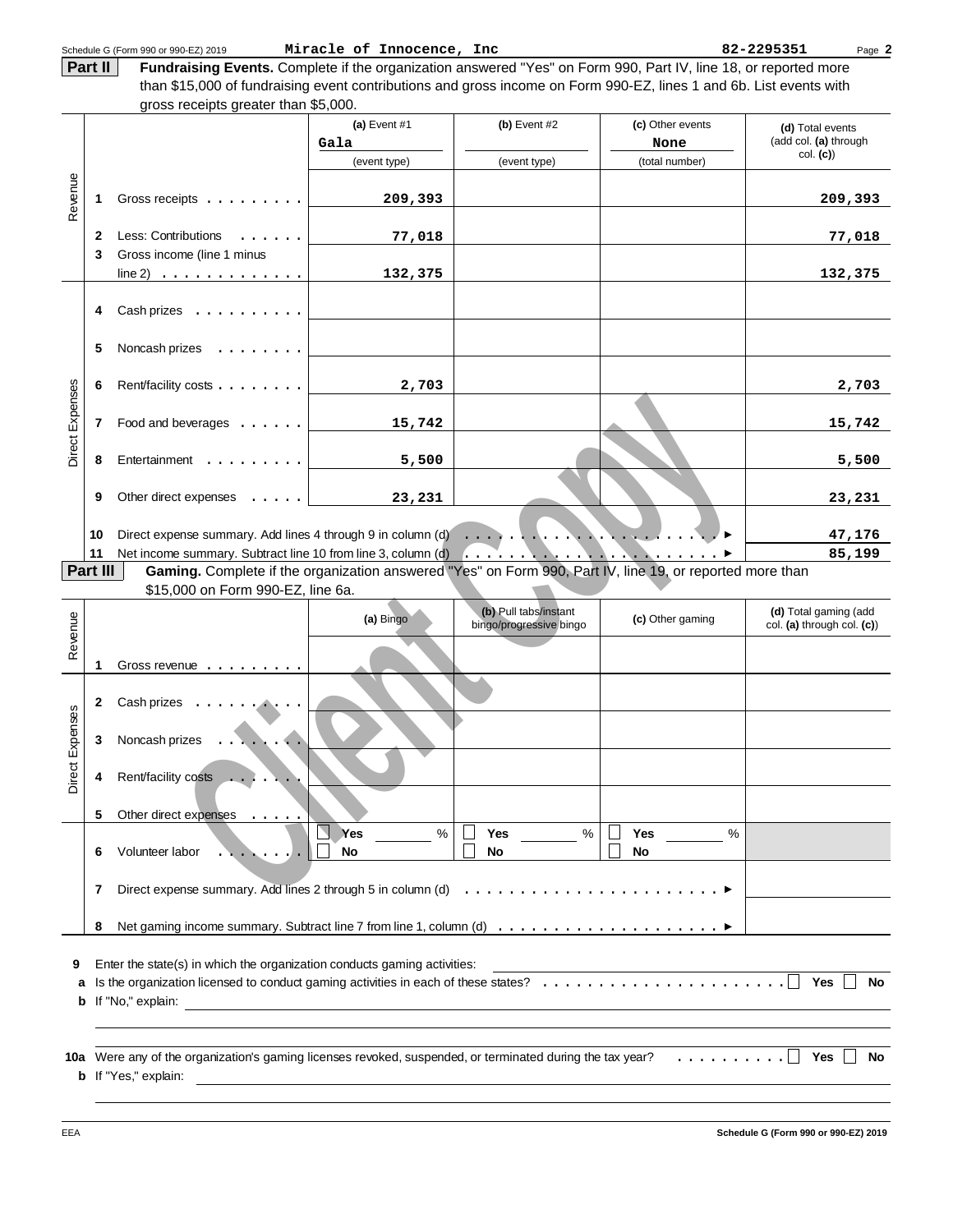|                            |                   | Schedule G (Form 990 or 990-EZ) 2019                                                                                                                       | Miracle of Innocence, Inc |                                                  |                                   | 82-2295351<br>Page 2                                |
|----------------------------|-------------------|------------------------------------------------------------------------------------------------------------------------------------------------------------|---------------------------|--------------------------------------------------|-----------------------------------|-----------------------------------------------------|
|                            | Part II           | Fundraising Events. Complete if the organization answered "Yes" on Form 990, Part IV, line 18, or reported more                                            |                           |                                                  |                                   |                                                     |
|                            |                   | than \$15,000 of fundraising event contributions and gross income on Form 990-EZ, lines 1 and 6b. List events with<br>gross receipts greater than \$5,000. |                           |                                                  |                                   |                                                     |
|                            |                   |                                                                                                                                                            | (a) Event $#1$<br>Gala    | $(b)$ Event #2                                   | (c) Other events<br>None          | (d) Total events<br>(add col. (a) through           |
|                            |                   |                                                                                                                                                            | (event type)              | (event type)                                     | (total number)                    | col. (c)                                            |
| Revenue                    | 1                 | Gross receipts                                                                                                                                             | 209,393                   |                                                  |                                   | 209,393                                             |
|                            | $\mathbf{2}$<br>3 | Less: Contributions<br>Gross income (line 1 minus                                                                                                          | 77,018                    |                                                  |                                   | 77,018                                              |
|                            |                   | $line 2)$                                                                                                                                                  | 132,375                   |                                                  |                                   | 132,375                                             |
|                            | 4                 | $Cash\! :   $                                                                                                                                              |                           |                                                  |                                   |                                                     |
|                            | 5                 | Noncash prizes<br>$\sim$                                                                                                                                   |                           |                                                  |                                   |                                                     |
|                            | 6                 | Rent/facility costs                                                                                                                                        | 2,703                     |                                                  |                                   | 2,703                                               |
| <b>Direct Expenses</b>     | 7                 | Food and beverages                                                                                                                                         | 15,742                    |                                                  |                                   | 15,742                                              |
|                            | 8                 | Entertainment                                                                                                                                              | 5,500                     |                                                  |                                   | 5,500                                               |
|                            | 9                 | Other direct expenses                                                                                                                                      | 23,231                    |                                                  |                                   | 23,231                                              |
|                            | 10                |                                                                                                                                                            |                           |                                                  | $\sim$                            | 47,176                                              |
|                            | 11                |                                                                                                                                                            |                           |                                                  |                                   | 85,199                                              |
|                            | Part III          | Gaming. Complete if the organization answered "Yes" on Form 990, Part IV, line 19, or reported more than<br>\$15,000 on Form 990-EZ, line 6a.              |                           |                                                  |                                   |                                                     |
|                            |                   |                                                                                                                                                            |                           |                                                  |                                   |                                                     |
|                            |                   |                                                                                                                                                            | (a) Bingo                 | (b) Pull tabs/instant<br>bingo/progressive bingo | (c) Other gaming                  | (d) Total gaming (add<br>col. (a) through col. (c)) |
|                            | 1                 | Gross revenue                                                                                                                                              |                           |                                                  |                                   |                                                     |
|                            | 2                 | Cash prizes                                                                                                                                                |                           |                                                  |                                   |                                                     |
|                            | 3                 | Noncash prizes                                                                                                                                             |                           |                                                  |                                   |                                                     |
| Revenue<br>Direct Expenses | 4                 | Rent/facility costs                                                                                                                                        |                           |                                                  |                                   |                                                     |
|                            | 5                 | Other direct expenses                                                                                                                                      |                           |                                                  |                                   |                                                     |
|                            | 6                 | Volunteer labor                                                                                                                                            | Yes<br>$\%$<br><b>No</b>  | Yes<br>$\%$<br>No                                | $\frac{0}{0}$<br>Yes<br><b>No</b> |                                                     |
|                            | 7                 | Direct expense summary. Add lines 2 through 5 in column (d)                                                                                                |                           | .                                                |                                   |                                                     |
|                            | 8                 |                                                                                                                                                            |                           |                                                  |                                   |                                                     |
| 9                          |                   | Enter the state(s) in which the organization conducts gaming activities:                                                                                   |                           |                                                  |                                   |                                                     |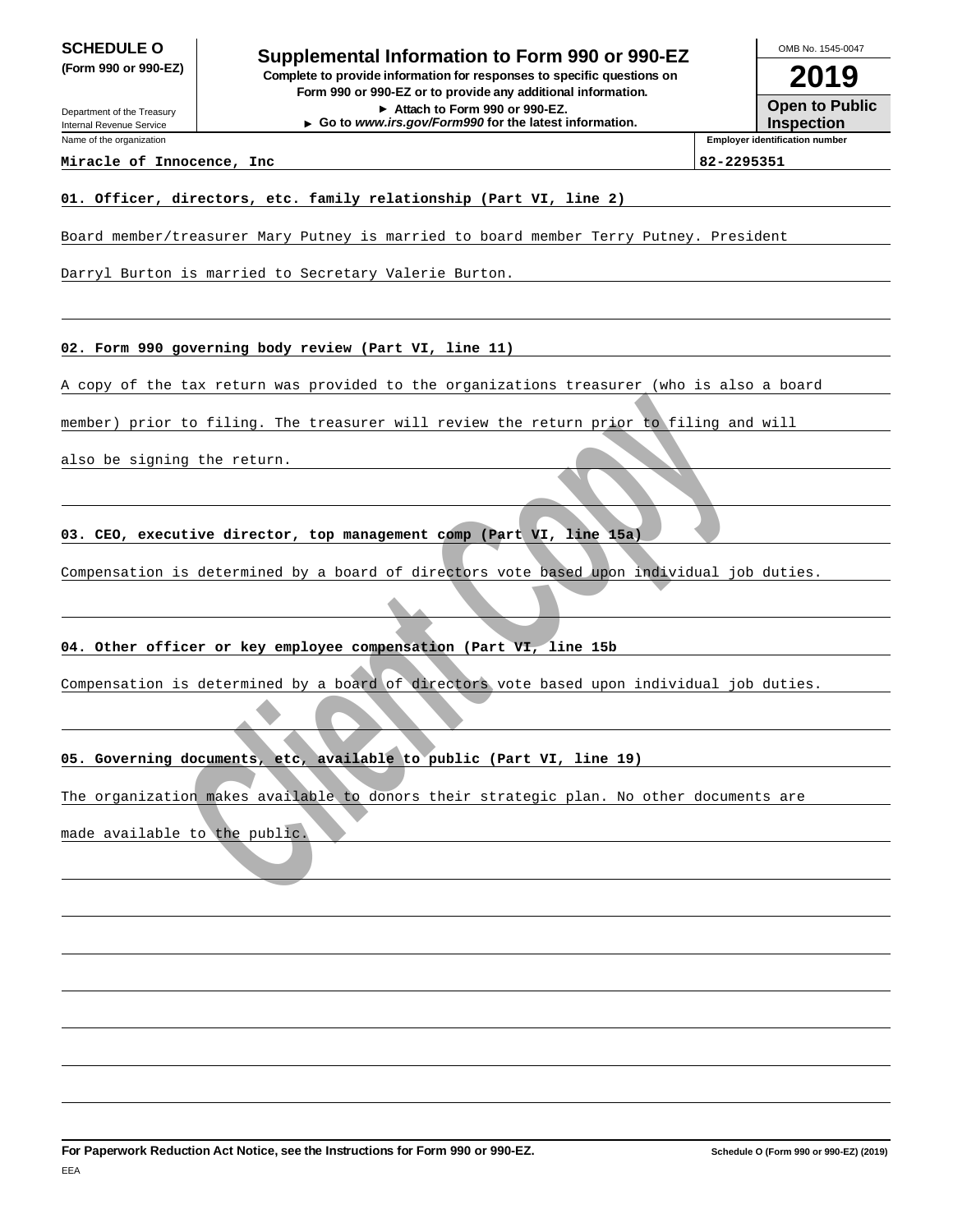Department of the Treasury

Internal Revenue Service Name of the organization

**SCHEDULE O**<br> **Supplemental Information to Form 990 or 990-EZ**<br> **Supplemental Information to Form 990 or 990-EZ (Form 990 or 990-EZ) Complete to provide information for responses to specific questions on Form 990 or 990-EZ or to provide any additional information. Attach to Form 990 or 990-EZ. Go to www.irs.gov/Form990 for the latest information.**

**2019 Open to Public** OMB No. 1545-0047

**Inspection Employer identification number**

**Miracle of Innocence, Inc 82-2295351**

## **01. Officer, directors, etc. family relationship (Part VI, line 2)**

Board member/treasurer Mary Putney is married to board member Terry Putney. President

Darryl Burton is married to Secretary Valerie Burton.

**02. Form 990 governing body review (Part VI, line 11)**

A copy of the tax return was provided to the organizations treasurer (who is also a board

or to filing. The treasurer will review the return prior to filing and<br>ing the return.<br>**Boutive director, top management comp (Part VI, line 158)**<br>is determined by a board of directors vote based upon individual jo!<br>fifter member) prior to filing. The treasurer will review the return prior to filing and will

also be signing the return.

**03. CEO, executive director, top management comp (Part VI, line 15a)**

Compensation is determined by a board of directors vote based upon individual job duties.

## **04. Other officer or key employee compensation (Part VI, line 15b**

Compensation is determined by a board of directors vote based upon individual job duties.

# **05. Governing documents, etc, available to public (Part VI, line 19)**

The organization makes available to donors their strategic plan. No other documents are

made available to the public.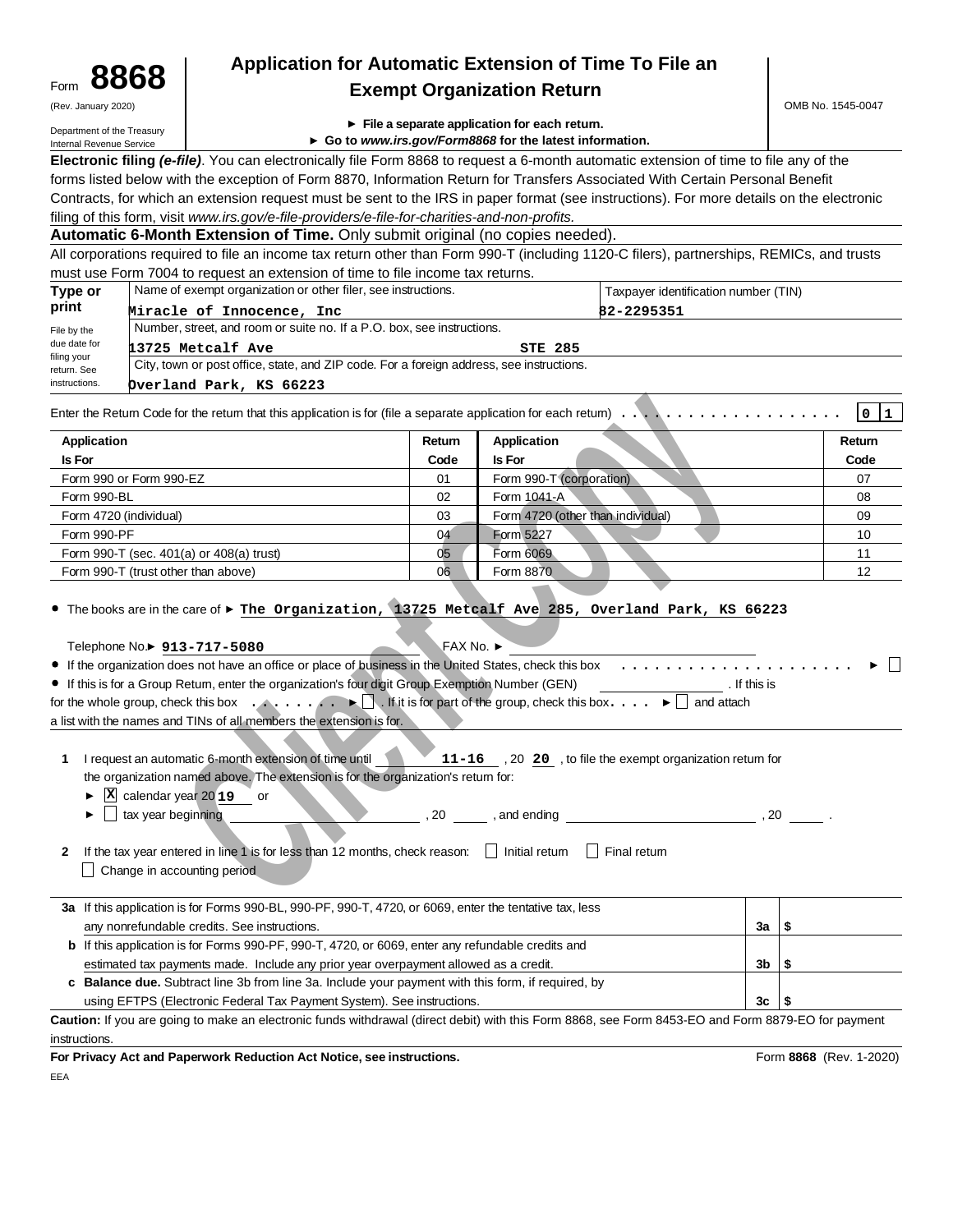| Form | 8868                |  |
|------|---------------------|--|
|      | (Rev. January 2020) |  |

# **8868 Application for Automatic Extension of Time To File an Exempt Organization Return**

Department of the Treasury Internal Revenue Service

- **File a separate application for each return.**
- **Go to www.irs.gov/Form8868 for the latest information.**

**Electronic filing (e-file)**. You can electronically file Form 8868 to request a 6-month automatic extension of time to file any of the forms listed below with the exception of Form 8870, Information Return for Transfers Associated With Certain Personal Benefit Contracts, for which an extension request must be sent to the IRS in paper format (see instructions). For more details on the electronic filing of this form, visit www.irs.gov/e-file-providers/e-file-for-charities-and-non-profits.

| Automatic 6-Month Extension of Time. Only submit original (no copies needed). |  |  |
|-------------------------------------------------------------------------------|--|--|
|                                                                               |  |  |

All corporations required to file an income tax return other than Form 990-T (including 1120-C filers), partnerships, REMICs, and trusts must use Form 7004 to request an extension of time to file income tax returns.

| Type or                    | Name of exempt organization or other filer, see instructions.                            |                | Taxpayer identification number (TIN) |  |  |
|----------------------------|------------------------------------------------------------------------------------------|----------------|--------------------------------------|--|--|
| print                      | Miracle of Innocence, Inc.                                                               |                | 82-2295351                           |  |  |
| File by the                | Number, street, and room or suite no. If a P.O. box, see instructions.                   |                |                                      |  |  |
| due date for               | 13725 Metcalf Ave                                                                        | <b>STE 285</b> |                                      |  |  |
| filing your<br>return. See | City, town or post office, state, and ZIP code. For a foreign address, see instructions. |                |                                      |  |  |
| instructions.              | Overland Park, KS 66223                                                                  |                |                                      |  |  |

| Application                              | Return | Application                       | Return |
|------------------------------------------|--------|-----------------------------------|--------|
| <b>Is For</b>                            | Code   | <b>Is For</b>                     | Code   |
| Form 990 or Form 990-EZ                  | 01     | Form 990-T (corporation)          | 07     |
| Form 990-BL                              | 02     | Form 1041-A                       | 08     |
| Form 4720 (individual)                   | 03     | Form 4720 (other than individual) | 09     |
| Form 990-PF                              | 04     | Form 5227                         | 10     |
| Form 990-T (sec. 401(a) or 408(a) trust) | 05     | Form 6069                         | 11     |
| Form 990-T (trust other than above)      | 06     | Form 8870                         | 12     |

| <b>Application</b>                                                                                                                                                                                                                                                                                                                                                                                                                                                                                                                                                                                                                                                                                                                                                                                                                                                    | Return | <b>Application</b>                                                                              |                     | Return                  |
|-----------------------------------------------------------------------------------------------------------------------------------------------------------------------------------------------------------------------------------------------------------------------------------------------------------------------------------------------------------------------------------------------------------------------------------------------------------------------------------------------------------------------------------------------------------------------------------------------------------------------------------------------------------------------------------------------------------------------------------------------------------------------------------------------------------------------------------------------------------------------|--------|-------------------------------------------------------------------------------------------------|---------------------|-------------------------|
| Is For                                                                                                                                                                                                                                                                                                                                                                                                                                                                                                                                                                                                                                                                                                                                                                                                                                                                | Code   | <b>Is For</b>                                                                                   |                     | Code                    |
| Form 990 or Form 990-EZ                                                                                                                                                                                                                                                                                                                                                                                                                                                                                                                                                                                                                                                                                                                                                                                                                                               | 01     | Form 990-T (corporation)                                                                        |                     | 07                      |
| Form 990-BL                                                                                                                                                                                                                                                                                                                                                                                                                                                                                                                                                                                                                                                                                                                                                                                                                                                           | 02     | Form 1041-A                                                                                     |                     | 08                      |
| Form 4720 (individual)                                                                                                                                                                                                                                                                                                                                                                                                                                                                                                                                                                                                                                                                                                                                                                                                                                                | 03     | Form 4720 (other than individual)                                                               |                     | 09                      |
| Form 990-PF                                                                                                                                                                                                                                                                                                                                                                                                                                                                                                                                                                                                                                                                                                                                                                                                                                                           | 04     | Form 5227                                                                                       |                     | 10                      |
| Form 990-T (sec. 401(a) or 408(a) trust)                                                                                                                                                                                                                                                                                                                                                                                                                                                                                                                                                                                                                                                                                                                                                                                                                              | 05     | Form 6069                                                                                       |                     | 11                      |
| Form 990-T (trust other than above)                                                                                                                                                                                                                                                                                                                                                                                                                                                                                                                                                                                                                                                                                                                                                                                                                                   | 06     | Form 8870                                                                                       |                     | 12                      |
| Telephone No.▶ 913-717-5080<br>• If the organization does not have an office or place of business in the United States, check this box<br>• If this is for a Group Retum, enter the organization's four digit Group Exemption Number (GEN)<br>for the whole group, check this box $\ldots$ , $\blacksquare$ . If it is for part of the group, check this box $\ldots$ $\blacktriangleright \square$ and attach<br>a list with the names and TINs of all members the extension is for.<br>I request an automatic 6-month extension of time until<br>1.<br>the organization named above. The extension is for the organization's retum for:<br>$\overline{\textbf{X}}$ calendar year 2019 or<br>$\Box$ tax year beginning<br>▶<br>If the tax year entered in line 1 is for less than 12 months, check reason: $\Box$ Initial return<br>2<br>Change in accounting period |        | 11-16 , 20 20 , to file the exempt organization retum for<br>, 20 , and ending<br>  Final retum | . If this is<br>.20 |                         |
| 3a If this application is for Forms 990-BL, 990-PF, 990-T, 4720, or 6069, enter the tentative tax, less<br>any nonrefundable credits. See instructions.                                                                                                                                                                                                                                                                                                                                                                                                                                                                                                                                                                                                                                                                                                               |        |                                                                                                 | За                  | \$                      |
| b If this application is for Forms 990-PF, 990-T, 4720, or 6069, enter any refundable credits and                                                                                                                                                                                                                                                                                                                                                                                                                                                                                                                                                                                                                                                                                                                                                                     |        |                                                                                                 |                     |                         |
| estimated tax payments made. Include any prior year overpayment allowed as a credit.                                                                                                                                                                                                                                                                                                                                                                                                                                                                                                                                                                                                                                                                                                                                                                                  |        |                                                                                                 | 3b                  | \$                      |
| c Balance due. Subtract line 3b from line 3a. Include your payment with this form, if required, by                                                                                                                                                                                                                                                                                                                                                                                                                                                                                                                                                                                                                                                                                                                                                                    |        |                                                                                                 |                     |                         |
| using EFTPS (Electronic Federal Tax Payment System). See instructions.                                                                                                                                                                                                                                                                                                                                                                                                                                                                                                                                                                                                                                                                                                                                                                                                |        |                                                                                                 | 3c                  | S                       |
| Caution: If you are going to make an electronic funds withdrawal (direct debit) with this Form 8868, see Form 8453-EO and Form 8879-EO for payment                                                                                                                                                                                                                                                                                                                                                                                                                                                                                                                                                                                                                                                                                                                    |        |                                                                                                 |                     |                         |
| instructions.                                                                                                                                                                                                                                                                                                                                                                                                                                                                                                                                                                                                                                                                                                                                                                                                                                                         |        |                                                                                                 |                     |                         |
| For Privacy Act and Paperwork Reduction Act Notice, see instructions.                                                                                                                                                                                                                                                                                                                                                                                                                                                                                                                                                                                                                                                                                                                                                                                                 |        |                                                                                                 |                     | Form 8868 (Rev. 1-2020) |

EEA